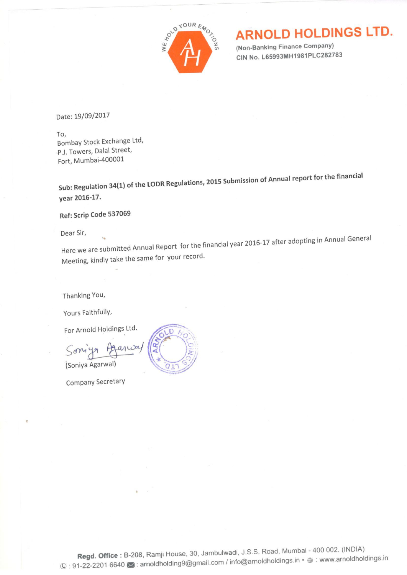

# **ARNOLD HOLDINGS LTD.**

(Non-Banking Finance Company) CIN No. L65993MH1981PLC282783

Date: 19/09/2017

To, Bombay Stock Exchange Ltd, P.J. Towers, Dalal Street, Fort, Mumbai-400001

Sub: Regulation 34(1) of the LODR Regulations, 2015 Submission of Annual report for the financial year 2016-17.

Ref: Scrip Code 537069

Dear Sir,

Here we are submitted Annual Report for the financial year 2016-17 after adopting in Annual General Meeting, kindly take the same for your record.

Thanking You,

Yours Faithfully,

For Arnold Holdings Ltd.

arise Sonic (Soniya Agarwal)

Company Secretary

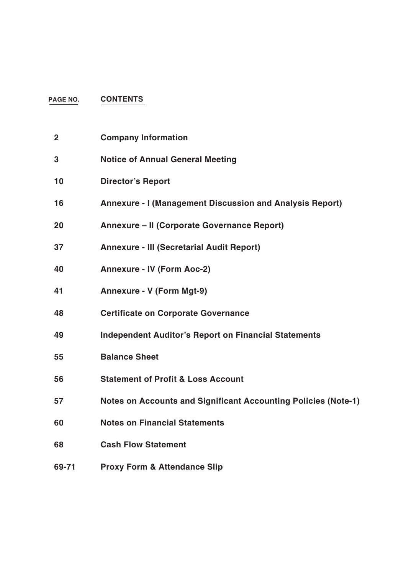# PAGE NO. CONTENTS

2 Company Information 3 Notice of Annual General Meeting 10 Director's Report 16 Annexure - I (Management Discussion and Analysis Report) 20 Annexure – II (Corporate Governance Report) 37 Annexure - III (Secretarial Audit Report) 40 Annexure - IV (Form Aoc-2) 41 Annexure - V (Form Mgt-9) 48 Certificate on Corporate Governance 49 Independent Auditor's Report on Financial Statements 55 Balance Sheet 56 Statement of Profit & Loss Account 57 Notes on Accounts and Significant Accounting Policies (Note-1) 60 Notes on Financial Statements 68 Cash Flow Statement 69-71 Proxy Form & Attendance Slip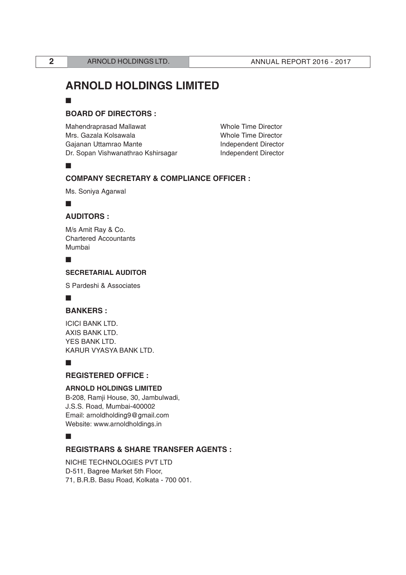# ARNOLD HOLDINGS LIMITED

# $\blacksquare$

# BOARD OF DIRECTORS :

Mahendraprasad Mallawat Whole Time Director Mrs. Gazala Kolsawala Whole Time Director Gajanan Uttamrao Mante **Independent Director** Dr. Sopan Vishwanathrao Kshirsagar Independent Director

# COMPANY SECRETARY & COMPLIANCE OFFICER :

Ms. Soniya Agarwal

#### $\blacksquare$

**Contract** 

# AUDITORS :

M/s Amit Ray & Co. Chartered Accountants Mumbai

#### $\mathcal{L}_{\mathcal{A}}$

# SECRETARIAL AUDITOR

S Pardeshi & Associates

# $\blacksquare$

# BANKERS :

ICICI BANK LTD. AXIS BANK LTD. YES BANK LTD. KARUR VYASYA BANK LTD.

# $\overline{\phantom{a}}$

# REGISTERED OFFICE :

# ARNOLD HOLDINGS LIMITED

B-208, Ramji House, 30, Jambulwadi, J.S.S. Road, Mumbai-400002 Email: arnoldholding9@gmail.com Website: www.arnoldholdings.in

# $\blacksquare$

#### REGISTRARS & SHARE TRANSFER AGENTS :

NICHE TECHNOLOGIES PVT LTD D-511, Bagree Market 5th Floor, 71, B.R.B. Basu Road, Kolkata - 700 001.

2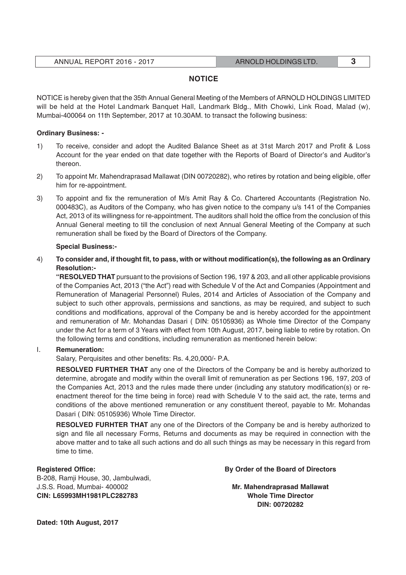3

# **NOTICE**

NOTICE is hereby given that the 35th Annual General Meeting of the Members of ARNOLD HOLDINGS LIMITED will be held at the Hotel Landmark Banquet Hall, Landmark Bldg., Mith Chowki, Link Road, Malad (w), Mumbai-400064 on 11th September, 2017 at 10.30AM. to transact the following business:

# Ordinary Business: -

- 1) To receive, consider and adopt the Audited Balance Sheet as at 31st March 2017 and Profit & Loss Account for the year ended on that date together with the Reports of Board of Director's and Auditor's thereon.
- 2) To appoint Mr. Mahendraprasad Mallawat (DIN 00720282), who retires by rotation and being eligible, offer him for re-appointment.
- 3) To appoint and fix the remuneration of M/s Amit Ray & Co. Chartered Accountants (Registration No. 000483C), as Auditors of the Company, who has given notice to the company u/s 141 of the Companies Act, 2013 of its willingness for re-appointment. The auditors shall hold the office from the conclusion of this Annual General meeting to till the conclusion of next Annual General Meeting of the Company at such remuneration shall be fixed by the Board of Directors of the Company.

# Special Business:-

# 4) To consider and, if thought fit, to pass, with or without modification(s), the following as an Ordinary Resolution:-

"RESOLVED THAT pursuant to the provisions of Section 196, 197 & 203, and all other applicable provisions of the Companies Act, 2013 ("the Act") read with Schedule V of the Act and Companies (Appointment and Remuneration of Managerial Personnel) Rules, 2014 and Articles of Association of the Company and subject to such other approvals, permissions and sanctions, as may be required, and subject to such conditions and modifications, approval of the Company be and is hereby accorded for the appointment and remuneration of Mr. Mohandas Dasari ( DIN: 05105936) as Whole time Director of the Company under the Act for a term of 3 Years with effect from 10th August, 2017, being liable to retire by rotation. On the following terms and conditions, including remuneration as mentioned herein below:

# I. Remuneration:

Salary, Perquisites and other benefits: Rs. 4,20,000/- P.A.

RESOLVED FURTHER THAT any one of the Directors of the Company be and is hereby authorized to determine, abrogate and modify within the overall limit of remuneration as per Sections 196, 197, 203 of the Companies Act, 2013 and the rules made there under (including any statutory modification(s) or reenactment thereof for the time being in force) read with Schedule V to the said act, the rate, terms and conditions of the above mentioned remuneration or any constituent thereof, payable to Mr. Mohandas Dasari ( DIN: 05105936) Whole Time Director.

RESOLVED FURHTER THAT any one of the Directors of the Company be and is hereby authorized to sign and file all necessary Forms, Returns and documents as may be required in connection with the above matter and to take all such actions and do all such things as may be necessary in this regard from time to time.

B-208, Ramji House, 30, Jambulwadi, J.S.S. Road, Mumbai- 400002 Mr. Mahendraprasad Mallawat CIN: L65993MH1981PLC282783 Whole Time Director

Registered Office: By Order of the Board of Directors

DIN: 00720282

Dated: 10th August, 2017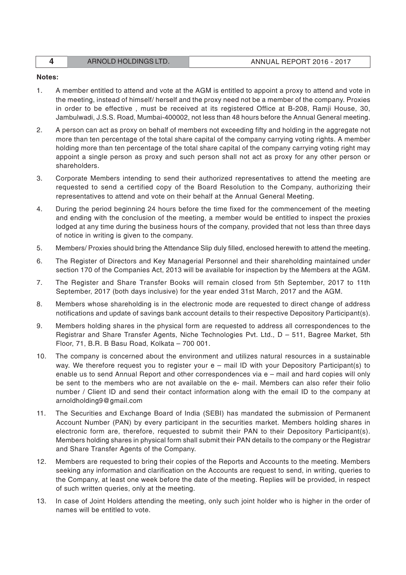| ARNOLD HOLDINGS LTD. | <b>ANNUAL REPORT 2016 - 2017</b> |
|----------------------|----------------------------------|
|                      |                                  |

# Notes:

- 1. A member entitled to attend and vote at the AGM is entitled to appoint a proxy to attend and vote in the meeting, instead of himself/ herself and the proxy need not be a member of the company. Proxies in order to be effective , must be received at its registered Office at B-208, Ramji House, 30, Jambulwadi, J.S.S. Road, Mumbai-400002, not less than 48 hours before the Annual General meeting.
- 2. A person can act as proxy on behalf of members not exceeding fifty and holding in the aggregate not more than ten percentage of the total share capital of the company carrying voting rights. A member holding more than ten percentage of the total share capital of the company carrying voting right may appoint a single person as proxy and such person shall not act as proxy for any other person or shareholders.
- 3. Corporate Members intending to send their authorized representatives to attend the meeting are requested to send a certified copy of the Board Resolution to the Company, authorizing their representatives to attend and vote on their behalf at the Annual General Meeting.
- 4. During the period beginning 24 hours before the time fixed for the commencement of the meeting and ending with the conclusion of the meeting, a member would be entitled to inspect the proxies lodged at any time during the business hours of the company, provided that not less than three days of notice in writing is given to the company.
- 5. Members/ Proxies should bring the Attendance Slip duly filled, enclosed herewith to attend the meeting.
- 6. The Register of Directors and Key Managerial Personnel and their shareholding maintained under section 170 of the Companies Act, 2013 will be available for inspection by the Members at the AGM.
- 7. The Register and Share Transfer Books will remain closed from 5th September, 2017 to 11th September, 2017 (both days inclusive) for the year ended 31st March, 2017 and the AGM.
- 8. Members whose shareholding is in the electronic mode are requested to direct change of address notifications and update of savings bank account details to their respective Depository Participant(s).
- 9. Members holding shares in the physical form are requested to address all correspondences to the Registrar and Share Transfer Agents, Niche Technologies Pvt. Ltd., D – 511, Bagree Market, 5th Floor, 71, B.R. B Basu Road, Kolkata – 700 001.
- 10. The company is concerned about the environment and utilizes natural resources in a sustainable way. We therefore request you to register your e – mail ID with your Depository Participant(s) to enable us to send Annual Report and other correspondences via e – mail and hard copies will only be sent to the members who are not available on the e- mail. Members can also refer their folio number / Client ID and send their contact information along with the email ID to the company at arnoldholding9@gmail.com
- 11. The Securities and Exchange Board of India (SEBI) has mandated the submission of Permanent Account Number (PAN) by every participant in the securities market. Members holding shares in electronic form are, therefore, requested to submit their PAN to their Depository Participant(s). Members holding shares in physical form shall submit their PAN details to the company or the Registrar and Share Transfer Agents of the Company.
- 12. Members are requested to bring their copies of the Reports and Accounts to the meeting. Members seeking any information and clarification on the Accounts are request to send, in writing, queries to the Company, at least one week before the date of the meeting. Replies will be provided, in respect of such written queries, only at the meeting.
- 13. In case of Joint Holders attending the meeting, only such joint holder who is higher in the order of names will be entitled to vote.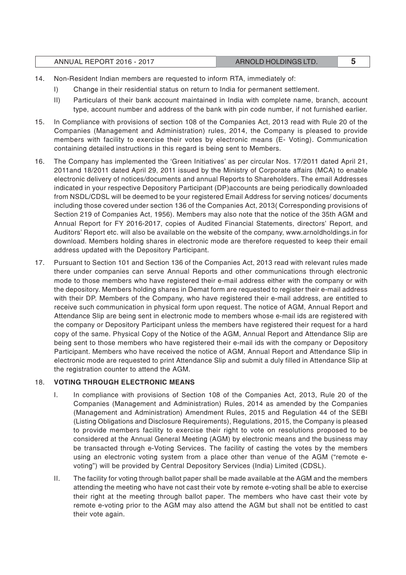| ANNUAL REPORT 2016 - 2017 | ARNOLD HOLDINGS LTD. |  |
|---------------------------|----------------------|--|
|---------------------------|----------------------|--|

- 14. Non-Resident Indian members are requested to inform RTA, immediately of:
	- I) Change in their residential status on return to India for permanent settlement.
	- II) Particulars of their bank account maintained in India with complete name, branch, account type, account number and address of the bank with pin code number, if not furnished earlier.
- 15. In Compliance with provisions of section 108 of the Companies Act, 2013 read with Rule 20 of the Companies (Management and Administration) rules, 2014, the Company is pleased to provide members with facility to exercise their votes by electronic means (E- Voting). Communication containing detailed instructions in this regard is being sent to Members.
- 16. The Company has implemented the 'Green Initiatives' as per circular Nos. 17/2011 dated April 21, 2011and 18/2011 dated April 29, 2011 issued by the Ministry of Corporate affairs (MCA) to enable electronic delivery of notices/documents and annual Reports to Shareholders. The email Addresses indicated in your respective Depository Participant (DP)accounts are being periodically downloaded from NSDL/CDSL will be deemed to be your registered Email Address for serving notices/ documents including those covered under section 136 of the Companies Act, 2013( Corresponding provisions of Section 219 of Companies Act, 1956). Members may also note that the notice of the 35th AGM and Annual Report for FY 2016-2017, copies of Audited Financial Statements, directors' Report, and Auditors' Report etc. will also be available on the website of the company, www.arnoldholdings.in for download. Members holding shares in electronic mode are therefore requested to keep their email address updated with the Depository Participant.
- 17. Pursuant to Section 101 and Section 136 of the Companies Act, 2013 read with relevant rules made there under companies can serve Annual Reports and other communications through electronic mode to those members who have registered their e-mail address either with the company or with the depository. Members holding shares in Demat form are requested to register their e-mail address with their DP. Members of the Company, who have registered their e-mail address, are entitled to receive such communication in physical form upon request. The notice of AGM, Annual Report and Attendance Slip are being sent in electronic mode to members whose e-mail ids are registered with the company or Depository Participant unless the members have registered their request for a hard copy of the same. Physical Copy of the Notice of the AGM, Annual Report and Attendance Slip are being sent to those members who have registered their e-mail ids with the company or Depository Participant. Members who have received the notice of AGM, Annual Report and Attendance Slip in electronic mode are requested to print Attendance Slip and submit a duly filled in Attendance Slip at the registration counter to attend the AGM.

# 18. VOTING THROUGH ELECTRONIC MEANS

- I. In compliance with provisions of Section 108 of the Companies Act, 2013, Rule 20 of the Companies (Management and Administration) Rules, 2014 as amended by the Companies (Management and Administration) Amendment Rules, 2015 and Regulation 44 of the SEBI (Listing Obligations and Disclosure Requirements), Regulations, 2015, the Company is pleased to provide members facility to exercise their right to vote on resolutions proposed to be considered at the Annual General Meeting (AGM) by electronic means and the business may be transacted through e-Voting Services. The facility of casting the votes by the members using an electronic voting system from a place other than venue of the AGM ("remote evoting") will be provided by Central Depository Services (India) Limited (CDSL).
- II. The facility for voting through ballot paper shall be made available at the AGM and the members attending the meeting who have not cast their vote by remote e-voting shall be able to exercise their right at the meeting through ballot paper. The members who have cast their vote by remote e-voting prior to the AGM may also attend the AGM but shall not be entitled to cast their vote again.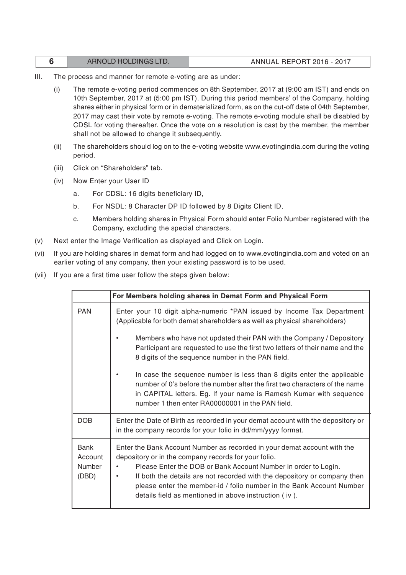| ARNOLD HOLDINGS LTD. | <b>ANNUAL REPORT 2016 - 2017</b> |
|----------------------|----------------------------------|
|                      |                                  |

- III. The process and manner for remote e-voting are as under:
	- (i) The remote e-voting period commences on 8th September, 2017 at (9:00 am IST) and ends on 10th September, 2017 at (5:00 pm IST). During this period members' of the Company, holding shares either in physical form or in dematerialized form, as on the cut-off date of 04th September, 2017 may cast their vote by remote e-voting. The remote e-voting module shall be disabled by CDSL for voting thereafter. Once the vote on a resolution is cast by the member, the member shall not be allowed to change it subsequently.
	- (ii) The shareholders should log on to the e-voting website www.evotingindia.com during the voting period.
	- (iii) Click on "Shareholders" tab.
	- (iv) Now Enter your User ID
		- a. For CDSL: 16 digits beneficiary ID,
		- b. For NSDL: 8 Character DP ID followed by 8 Digits Client ID,
		- c. Members holding shares in Physical Form should enter Folio Number registered with the Company, excluding the special characters.
- (v) Next enter the Image Verification as displayed and Click on Login.
- (vi) If you are holding shares in demat form and had logged on to www.evotingindia.com and voted on an earlier voting of any company, then your existing password is to be used.
- (vii) If you are a first time user follow the steps given below:

|                                           | For Members holding shares in Demat Form and Physical Form                                                                                                                                                                                                                                                                                                                                                                   |
|-------------------------------------------|------------------------------------------------------------------------------------------------------------------------------------------------------------------------------------------------------------------------------------------------------------------------------------------------------------------------------------------------------------------------------------------------------------------------------|
| <b>PAN</b>                                | Enter your 10 digit alpha-numeric *PAN issued by Income Tax Department<br>(Applicable for both demat shareholders as well as physical shareholders)                                                                                                                                                                                                                                                                          |
|                                           | Members who have not updated their PAN with the Company / Depository<br>Participant are requested to use the first two letters of their name and the<br>8 digits of the sequence number in the PAN field.                                                                                                                                                                                                                    |
|                                           | In case the sequence number is less than 8 digits enter the applicable<br>number of 0's before the number after the first two characters of the name<br>in CAPITAL letters. Eg. If your name is Ramesh Kumar with sequence<br>number 1 then enter RA00000001 in the PAN field.                                                                                                                                               |
| <b>DOB</b>                                | Enter the Date of Birth as recorded in your demat account with the depository or<br>in the company records for your folio in dd/mm/yyyy format.                                                                                                                                                                                                                                                                              |
| <b>Bank</b><br>Account<br>Number<br>(DBD) | Enter the Bank Account Number as recorded in your demat account with the<br>depository or in the company records for your folio.<br>Please Enter the DOB or Bank Account Number in order to Login.<br>$\bullet$<br>If both the details are not recorded with the depository or company then<br>please enter the member-id / folio number in the Bank Account Number<br>details field as mentioned in above instruction (iv). |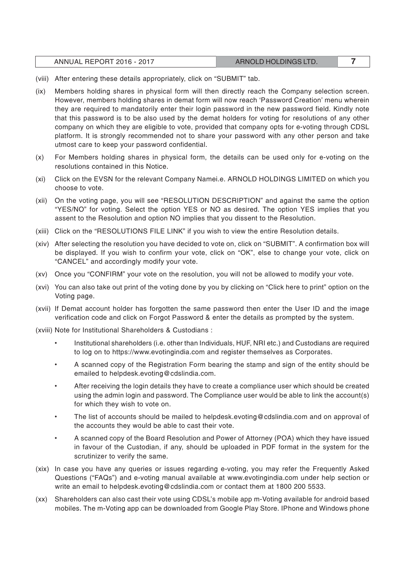| <b>ANNUAL REPORT 2016 - 2017</b> | ARNOLD HOLDINGS LTD. |  |
|----------------------------------|----------------------|--|
|----------------------------------|----------------------|--|

- (viii) After entering these details appropriately, click on "SUBMIT" tab.
- (ix) Members holding shares in physical form will then directly reach the Company selection screen. However, members holding shares in demat form will now reach 'Password Creation' menu wherein they are required to mandatorily enter their login password in the new password field. Kindly note that this password is to be also used by the demat holders for voting for resolutions of any other company on which they are eligible to vote, provided that company opts for e-voting through CDSL platform. It is strongly recommended not to share your password with any other person and take utmost care to keep your password confidential.
- (x) For Members holding shares in physical form, the details can be used only for e-voting on the resolutions contained in this Notice.
- (xi) Click on the EVSN for the relevant Company Namei.e. ARNOLD HOLDINGS LIMITED on which you choose to vote.
- (xii) On the voting page, you will see "RESOLUTION DESCRIPTION" and against the same the option "YES/NO" for voting. Select the option YES or NO as desired. The option YES implies that you assent to the Resolution and option NO implies that you dissent to the Resolution.
- (xiii) Click on the "RESOLUTIONS FILE LINK" if you wish to view the entire Resolution details.
- (xiv) After selecting the resolution you have decided to vote on, click on "SUBMIT". A confirmation box will be displayed. If you wish to confirm your vote, click on "OK", else to change your vote, click on "CANCEL" and accordingly modify your vote.
- (xv) Once you "CONFIRM" your vote on the resolution, you will not be allowed to modify your vote.
- (xvi) You can also take out print of the voting done by you by clicking on "Click here to print" option on the Voting page.
- (xvii) If Demat account holder has forgotten the same password then enter the User ID and the image verification code and click on Forgot Password & enter the details as prompted by the system.
- (xviii) Note for Institutional Shareholders & Custodians :
	- Institutional shareholders (i.e. other than Individuals, HUF, NRI etc.) and Custodians are required to log on to https://www.evotingindia.com and register themselves as Corporates.
	- A scanned copy of the Registration Form bearing the stamp and sign of the entity should be emailed to helpdesk.evoting@cdslindia.com.
	- After receiving the login details they have to create a compliance user which should be created using the admin login and password. The Compliance user would be able to link the account(s) for which they wish to vote on.
	- The list of accounts should be mailed to helpdesk.evoting@cdslindia.com and on approval of the accounts they would be able to cast their vote.
	- A scanned copy of the Board Resolution and Power of Attorney (POA) which they have issued in favour of the Custodian, if any, should be uploaded in PDF format in the system for the scrutinizer to verify the same.
- (xix) In case you have any queries or issues regarding e-voting, you may refer the Frequently Asked Questions ("FAQs") and e-voting manual available at www.evotingindia.com under help section or write an email to helpdesk.evoting@cdslindia.com or contact them at 1800 200 5533.
- (xx) Shareholders can also cast their vote using CDSL's mobile app m-Voting available for android based mobiles. The m-Voting app can be downloaded from Google Play Store. IPhone and Windows phone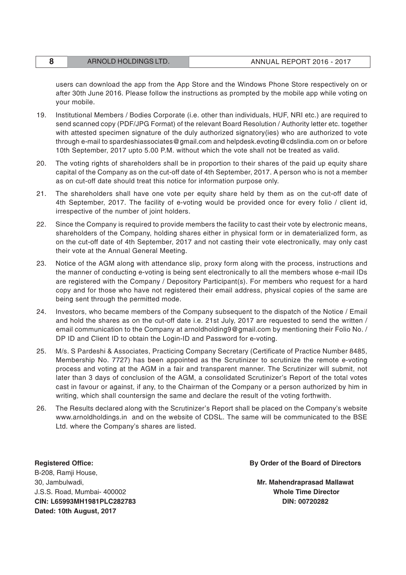|  | ARNOLD HOLDINGS LTD. | <b>ANNUAL REPORT 2016 - 2017</b> |
|--|----------------------|----------------------------------|
|--|----------------------|----------------------------------|

users can download the app from the App Store and the Windows Phone Store respectively on or after 30th June 2016. Please follow the instructions as prompted by the mobile app while voting on your mobile.

- 19. Institutional Members / Bodies Corporate (i.e. other than individuals, HUF, NRI etc.) are required to send scanned copy (PDF/JPG Format) of the relevant Board Resolution / Authority letter etc. together with attested specimen signature of the duly authorized signatory(ies) who are authorized to vote through e-mail to spardeshiassociates@gmail.com and helpdesk.evoting@cdslindia.com on or before 10th September, 2017 upto 5.00 P.M. without which the vote shall not be treated as valid.
- 20. The voting rights of shareholders shall be in proportion to their shares of the paid up equity share capital of the Company as on the cut-off date of 4th September, 2017. A person who is not a member as on cut-off date should treat this notice for information purpose only.
- 21. The shareholders shall have one vote per equity share held by them as on the cut-off date of 4th September, 2017. The facility of e-voting would be provided once for every folio / client id, irrespective of the number of joint holders.
- 22. Since the Company is required to provide members the facility to cast their vote by electronic means, shareholders of the Company, holding shares either in physical form or in dematerialized form, as on the cut-off date of 4th September, 2017 and not casting their vote electronically, may only cast their vote at the Annual General Meeting.
- 23. Notice of the AGM along with attendance slip, proxy form along with the process, instructions and the manner of conducting e-voting is being sent electronically to all the members whose e-mail IDs are registered with the Company / Depository Participant(s). For members who request for a hard copy and for those who have not registered their email address, physical copies of the same are being sent through the permitted mode.
- 24. Investors, who became members of the Company subsequent to the dispatch of the Notice / Email and hold the shares as on the cut-off date i.e. 21st July, 2017 are requested to send the written / email communication to the Company at arnoldholding9@gmail.com by mentioning their Folio No. / DP ID and Client ID to obtain the Login-ID and Password for e-voting.
- 25. M/s. S Pardeshi & Associates, Practicing Company Secretary (Certificate of Practice Number 8485, Membership No. 7727) has been appointed as the Scrutinizer to scrutinize the remote e-voting process and voting at the AGM in a fair and transparent manner. The Scrutinizer will submit, not later than 3 days of conclusion of the AGM, a consolidated Scrutinizer's Report of the total votes cast in favour or against, if any, to the Chairman of the Company or a person authorized by him in writing, which shall countersign the same and declare the result of the voting forthwith.
- 26. The Results declared along with the Scrutinizer's Report shall be placed on the Company's website www.arnoldholdings.in and on the website of CDSL. The same will be communicated to the BSE Ltd. where the Company's shares are listed.

B-208, Ramji House, 30, Jambulwadi, Mahendraprasad Mallawat Nullawat Nashrida at Albert Mr. Mahendraprasad Mallawat J.S.S. Road, Mumbai- 400002 Whole Time Director CIN: L65993MH1981PLC282783 DIN: 00720282 Dated: 10th August, 2017

Registered Office: By Order of the Board of Directors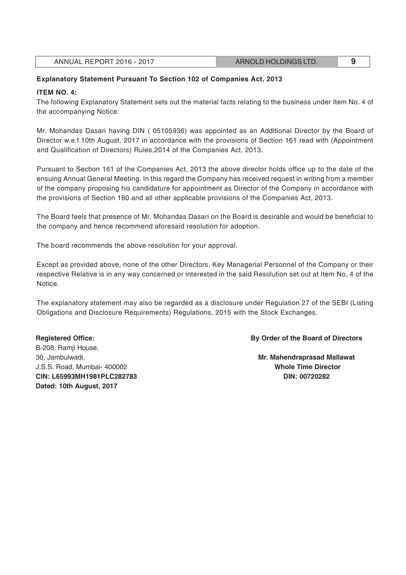| <b>ANNUAL REPORT 2016 - 2017</b> | ARNOLD HOLDINGS LTD. |  |
|----------------------------------|----------------------|--|
|----------------------------------|----------------------|--|

# Explanatory Statement Pursuant To Section 102 of Companies Act, 2013

# ITEM NO. 4:

The following Explanatory Statement sets out the material facts relating to the business under Item No. 4 of the accompanying Notice:

Mr. Mohandas Dasari having DIN ( 05105936) was appointed as an Additional Director by the Board of Director w.e.f.10th August, 2017 in accordance with the provisions of Section 161 read with (Appointment and Qualification of Directors) Rules,2014 of the Companies Act, 2013.

Pursuant to Section 161 of the Companies Act, 2013 the above director holds office up to the date of the ensuing Annual General Meeting. In this regard the Company has received request in writing from a member of the company proposing his candidature for appointment as Director of the Company in accordance with the provisions of Section 160 and all other applicable provisions of the Companies Act, 2013.

The Board feels that presence of Mr. Mohandas Dasari on the Board is desirable and would be beneficial to the company and hence recommend aforesaid resolution for adoption.

The board recommends the above resolution for your approval.

Except as provided above, none of the other Directors, Key Managerial Personnel of the Company or their respective Relative is in any way concerned or interested in the said Resolution set out at Item No. 4 of the Notice.

The explanatory statement may also be regarded as a disclosure under Regulation 27 of the SEBI (Listing Obligations and Disclosure Requirements) Regulations, 2015 with the Stock Exchanges.

B-208, Ramji House, 30, Jambulwadi, Mr. Mahendraprasad Mallawat J.S.S. Road, Mumbai- 400002 Whole Time Director CIN: L65993MH1981PLC282783 DIN: 00720282 Dated: 10th August, 2017

# Registered Office: By Order of the Board of Directors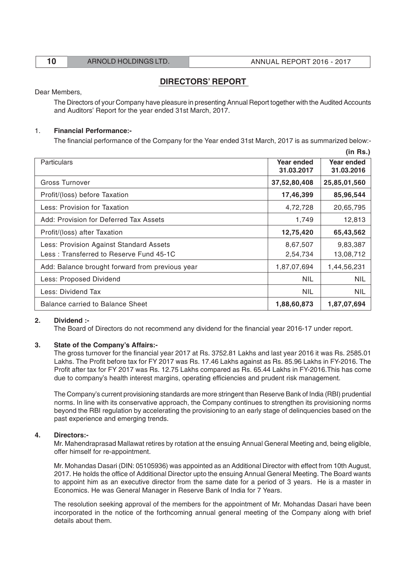| 10 | ARNOLD HOLDINGS LTD. | <b>ANNUAL REPORT 2016 - 2017</b> |
|----|----------------------|----------------------------------|
|----|----------------------|----------------------------------|

# DIRECTORS' REPORT

Dear Members,

The Directors of your Company have pleasure in presenting Annual Report together with the Audited Accounts and Auditors' Report for the year ended 31st March, 2017.

# 1. Financial Performance:-

The financial performance of the Company for the Year ended 31st March, 2017 is as summarized below:-

|                                                                                    |                          | (in Rs.)                 |
|------------------------------------------------------------------------------------|--------------------------|--------------------------|
| <b>Particulars</b>                                                                 | Year ended<br>31.03.2017 | Year ended<br>31.03.2016 |
| Gross Turnover                                                                     | 37,52,80,408             | 25,85,01,560             |
| Profit/(loss) before Taxation                                                      | 17,46,399                | 85,96,544                |
| Less: Provision for Taxation                                                       | 4,72,728                 | 20,65,795                |
| Add: Provision for Deferred Tax Assets                                             | 1,749                    | 12,813                   |
| Profit/(loss) after Taxation                                                       | 12,75,420                | 65,43,562                |
| Less: Provision Against Standard Assets<br>Less: Transferred to Reserve Fund 45-1C | 8,67,507<br>2,54,734     | 9,83,387<br>13,08,712    |
| Add: Balance brought forward from previous year                                    | 1,87,07,694              | 1,44,56,231              |
| Less: Proposed Dividend                                                            | <b>NIL</b>               | <b>NIL</b>               |
| Less: Dividend Tax                                                                 | <b>NIL</b>               | <b>NIL</b>               |
| <b>Balance carried to Balance Sheet</b>                                            | 1,88,60,873              | 1,87,07,694              |

# 2. Dividend :-

The Board of Directors do not recommend any dividend for the financial year 2016-17 under report.

#### 3. State of the Company's Affairs:-

The gross turnover for the financial year 2017 at Rs. 3752.81 Lakhs and last year 2016 it was Rs. 2585.01 Lakhs. The Profit before tax for FY 2017 was Rs. 17.46 Lakhs against as Rs. 85.96 Lakhs in FY-2016. The Profit after tax for FY 2017 was Rs. 12.75 Lakhs compared as Rs. 65.44 Lakhs in FY-2016.This has come due to company's health interest margins, operating efficiencies and prudent risk management.

The Company's current provisioning standards are more stringent than Reserve Bank of India (RBI) prudential norms. In line with its conservative approach, the Company continues to strengthen its provisioning norms beyond the RBI regulation by accelerating the provisioning to an early stage of delinquencies based on the past experience and emerging trends.

# 4. Directors:-

Mr. Mahendraprasad Mallawat retires by rotation at the ensuing Annual General Meeting and, being eligible, offer himself for re-appointment.

Mr. Mohandas Dasari (DIN: 05105936) was appointed as an Additional Director with effect from 10th August, 2017. He holds the office of Additional Director upto the ensuing Annual General Meeting. The Board wants to appoint him as an executive director from the same date for a period of 3 years. He is a master in Economics. He was General Manager in Reserve Bank of India for 7 Years.

The resolution seeking approval of the members for the appointment of Mr. Mohandas Dasari have been incorporated in the notice of the forthcoming annual general meeting of the Company along with brief details about them.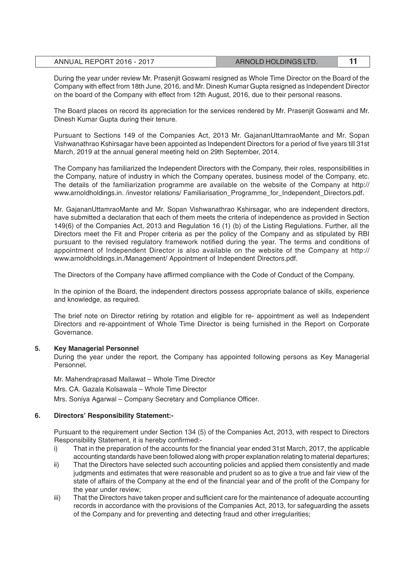| <b>ANNUAL REPORT 2016 - 2017</b> | ARNOLD HOLDINGS LTD. |  |
|----------------------------------|----------------------|--|
|----------------------------------|----------------------|--|

During the year under review Mr. Prasenjit Goswami resigned as Whole Time Director on the Board of the Company with effect from 18th June, 2016, and Mr. Dinesh Kumar Gupta resigned as Independent Director on the board of the Company with effect from 12th August, 2016, due to their personal reasons.

The Board places on record its appreciation for the services rendered by Mr. Prasenjit Goswami and Mr. Dinesh Kumar Gupta during their tenure.

Pursuant to Sections 149 of the Companies Act, 2013 Mr. GajananUttamraoMante and Mr. Sopan Vishwanathrao Kshirsagar have been appointed as Independent Directors for a period of five years till 31st March, 2019 at the annual general meeting held on 29th September, 2014.

The Company has familiarized the Independent Directors with the Company, their roles, responsibilities in the Company, nature of industry in which the Company operates, business model of the Company, etc. The details of the familiarization programme are available on the website of the Company at http:// www.arnoldholdings.in. /investor relations/ Familiarisation\_Programme\_for\_Independent\_Directors.pdf.

Mr. GajananUttamraoMante and Mr. Sopan Vishwanathrao Kshirsagar, who are independent directors, have submitted a declaration that each of them meets the criteria of independence as provided in Section 149(6) of the Companies Act, 2013 and Regulation 16 (1) (b) of the Listing Regulations. Further, all the Directors meet the Fit and Proper criteria as per the policy of the Company and as stipulated by RBI pursuant to the revised regulatory framework notified during the year. The terms and conditions of appointment of Independent Director is also available on the website of the Company at http:// www.arnoldholdings.in./Management/ Appointment of Independent Directors.pdf.

The Directors of the Company have affirmed compliance with the Code of Conduct of the Company.

In the opinion of the Board, the independent directors possess appropriate balance of skills, experience and knowledge, as required.

The brief note on Director retiring by rotation and eligible for re- appointment as well as Independent Directors and re-appointment of Whole Time Director is being furnished in the Report on Corporate Governance.

# 5. Key Managerial Personnel

During the year under the report, the Company has appointed following persons as Key Managerial Personnel.

Mr. Mahendraprasad Mallawat – Whole Time Director

Mrs. CA. Gazala Kolsawala – Whole Time Director

Mrs. Soniya Agarwal – Company Secretary and Compliance Officer.

# 6. Directors' Responsibility Statement:-

Pursuant to the requirement under Section 134 (5) of the Companies Act, 2013, with respect to Directors Responsibility Statement, it is hereby confirmed:-

- i) That in the preparation of the accounts for the financial year ended 31st March, 2017, the applicable accounting standards have been followed along with proper explanation relating to material departures;
- ii) That the Directors have selected such accounting policies and applied them consistently and made judgments and estimates that were reasonable and prudent so as to give a true and fair view of the state of affairs of the Company at the end of the financial year and of the profit of the Company for the year under review;
- iii) That the Directors have taken proper and sufficient care for the maintenance of adequate accounting records in accordance with the provisions of the Companies Act, 2013, for safeguarding the assets of the Company and for preventing and detecting fraud and other irregularities;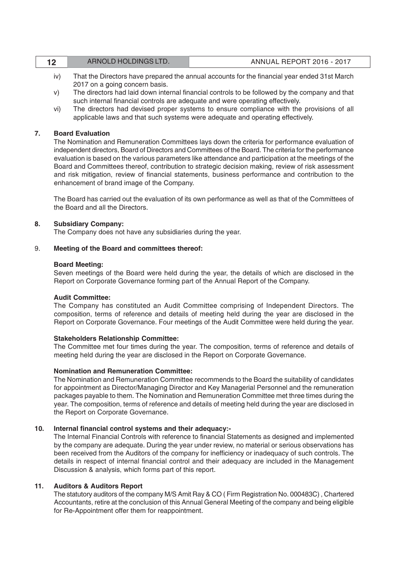| ARNOLD HOLDINGS L | ANNUAL REPORT 2016<br>2017 |
|-------------------|----------------------------|
|                   |                            |

- iv) That the Directors have prepared the annual accounts for the financial year ended 31st March 2017 on a going concern basis.
- v) The directors had laid down internal financial controls to be followed by the company and that such internal financial controls are adequate and were operating effectively.
- vi) The directors had devised proper systems to ensure compliance with the provisions of all applicable laws and that such systems were adequate and operating effectively.

#### 7. Board Evaluation

The Nomination and Remuneration Committees lays down the criteria for performance evaluation of independent directors, Board of Directors and Committees of the Board. The criteria for the performance evaluation is based on the various parameters like attendance and participation at the meetings of the Board and Committees thereof, contribution to strategic decision making, review of risk assessment and risk mitigation, review of financial statements, business performance and contribution to the enhancement of brand image of the Company.

The Board has carried out the evaluation of its own performance as well as that of the Committees of the Board and all the Directors.

#### 8. Subsidiary Company:

The Company does not have any subsidiaries during the year.

#### 9. Meeting of the Board and committees thereof:

#### Board Meeting:

Seven meetings of the Board were held during the year, the details of which are disclosed in the Report on Corporate Governance forming part of the Annual Report of the Company.

#### Audit Committee:

The Company has constituted an Audit Committee comprising of Independent Directors. The composition, terms of reference and details of meeting held during the year are disclosed in the Report on Corporate Governance. Four meetings of the Audit Committee were held during the year.

#### Stakeholders Relationship Committee:

The Committee met four times during the year. The composition, terms of reference and details of meeting held during the year are disclosed in the Report on Corporate Governance.

#### Nomination and Remuneration Committee:

The Nomination and Remuneration Committee recommends to the Board the suitability of candidates for appointment as Director/Managing Director and Key Managerial Personnel and the remuneration packages payable to them. The Nomination and Remuneration Committee met three times during the year. The composition, terms of reference and details of meeting held during the year are disclosed in the Report on Corporate Governance.

#### 10. Internal financial control systems and their adequacy:-

The Internal Financial Controls with reference to financial Statements as designed and implemented by the company are adequate. During the year under review, no material or serious observations has been received from the Auditors of the company for inefficiency or inadequacy of such controls. The details in respect of internal financial control and their adequacy are included in the Management Discussion & analysis, which forms part of this report.

#### 11. Auditors & Auditors Report

The statutory auditors of the company M/S Amit Ray & CO ( Firm Registration No. 000483C) , Chartered Accountants, retire at the conclusion of this Annual General Meeting of the company and being eligible for Re-Appointment offer them for reappointment.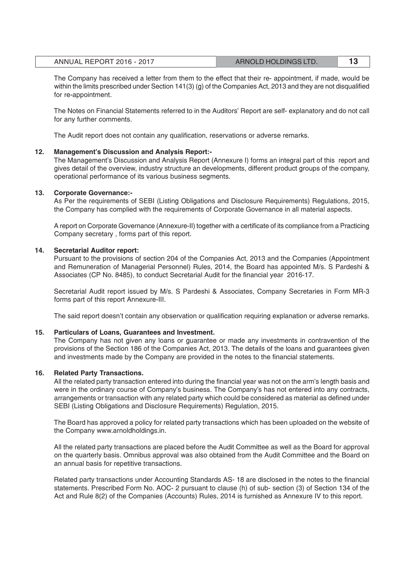| ANNUAL REPORT 2016 - 2017 | ARNOLD HOLDINGS LTD. |  |
|---------------------------|----------------------|--|
|---------------------------|----------------------|--|

The Company has received a letter from them to the effect that their re- appointment, if made, would be within the limits prescribed under Section 141(3) (g) of the Companies Act, 2013 and they are not disqualified for re-appointment.

The Notes on Financial Statements referred to in the Auditors' Report are self- explanatory and do not call for any further comments.

The Audit report does not contain any qualification, reservations or adverse remarks.

#### 12. Management's Discussion and Analysis Report:-

The Management's Discussion and Analysis Report (Annexure I) forms an integral part of this report and gives detail of the overview, industry structure an developments, different product groups of the company, operational performance of its various business segments.

#### 13. Corporate Governance:-

As Per the requirements of SEBI (Listing Obligations and Disclosure Requirements) Regulations, 2015, the Company has complied with the requirements of Corporate Governance in all material aspects.

A report on Corporate Governance (Annexure-II) together with a certificate of its compliance from a Practicing Company secretary , forms part of this report.

#### 14. Secretarial Auditor report:

Pursuant to the provisions of section 204 of the Companies Act, 2013 and the Companies (Appointment and Remuneration of Managerial Personnel) Rules, 2014, the Board has appointed M/s. S Pardeshi & Associates (CP No. 8485), to conduct Secretarial Audit for the financial year 2016-17.

Secretarial Audit report issued by M/s. S Pardeshi & Associates, Company Secretaries in Form MR-3 forms part of this report Annexure-III.

The said report doesn't contain any observation or qualification requiring explanation or adverse remarks.

#### 15. Particulars of Loans, Guarantees and Investment.

The Company has not given any loans or guarantee or made any investments in contravention of the provisions of the Section 186 of the Companies Act, 2013. The details of the loans and guarantees given and investments made by the Company are provided in the notes to the financial statements.

#### 16. Related Party Transactions.

All the related party transaction entered into during the financial year was not on the arm's length basis and were in the ordinary course of Company's business. The Company's has not entered into any contracts, arrangements or transaction with any related party which could be considered as material as defined under SEBI (Listing Obligations and Disclosure Requirements) Regulation, 2015.

The Board has approved a policy for related party transactions which has been uploaded on the website of the Company www.arnoldholdings.in.

All the related party transactions are placed before the Audit Committee as well as the Board for approval on the quarterly basis. Omnibus approval was also obtained from the Audit Committee and the Board on an annual basis for repetitive transactions.

Related party transactions under Accounting Standards AS- 18 are disclosed in the notes to the financial statements. Prescribed Form No. AOC- 2 pursuant to clause (h) of sub- section (3) of Section 134 of the Act and Rule 8(2) of the Companies (Accounts) Rules, 2014 is furnished as Annexure IV to this report.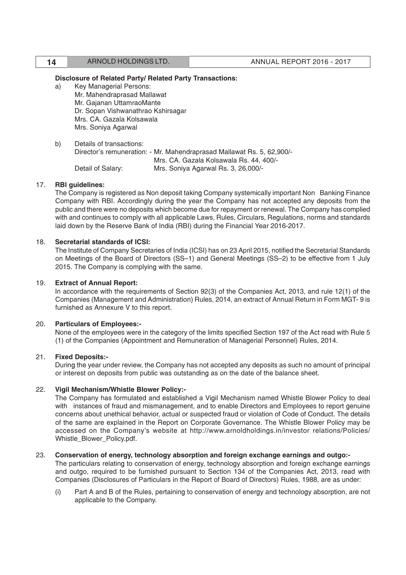| ARNOLD HOLDINGS LTD. | <b>ANNUAL REPORT 2016 - 2017</b> |
|----------------------|----------------------------------|
|                      |                                  |

# Disclosure of Related Party/ Related Party Transactions:

- a) Key Managerial Persons: Mr. Mahendraprasad Mallawat Mr. Gajanan UttamraoMante Dr. Sopan Vishwanathrao Kshirsagar Mrs. CA. Gazala Kolsawala Mrs. Soniya Agarwal
- b) Details of transactions: Director's remuneration: - Mr. Mahendraprasad Mallawat Rs. 5, 62,900/- Mrs. CA. Gazala Kolsawala Rs. 44, 400/- Detail of Salary: Mrs. Soniya Agarwal Rs. 3, 26,000/-

#### 17. RBI guidelines:

The Company is registered as Non deposit taking Company systemically important Non Banking Finance Company with RBI. Accordingly during the year the Company has not accepted any deposits from the public and there were no deposits which become due for repayment or renewal. The Company has complied with and continues to comply with all applicable Laws, Rules, Circulars, Regulations, norms and standards laid down by the Reserve Bank of India (RBI) during the Financial Year 2016-2017.

#### 18. Secretarial standards of ICSI:

The Institute of Company Secretaries of India (ICSI) has on 23 April 2015, notified the Secretarial Standards on Meetings of the Board of Directors (SS–1) and General Meetings (SS–2) to be effective from 1 July 2015. The Company is complying with the same.

#### 19. Extract of Annual Report:

In accordance with the requirements of Section 92(3) of the Companies Act, 2013, and rule 12(1) of the Companies (Management and Administration) Rules, 2014, an extract of Annual Return in Form MGT- 9 is furnished as Annexure V to this report.

#### 20. Particulars of Employees:-

None of the employees were in the category of the limits specified Section 197 of the Act read with Rule 5 (1) of the Companies (Appointment and Remuneration of Managerial Personnel) Rules, 2014.

#### 21. Fixed Deposits:-

During the year under review, the Company has not accepted any deposits as such no amount of principal or interest on deposits from public was outstanding as on the date of the balance sheet.

#### 22. Vigil Mechanism/Whistle Blower Policy:-

The Company has formulated and established a Vigil Mechanism named Whistle Blower Policy to deal with instances of fraud and mismanagement, and to enable Directors and Employees to report genuine concerns about unethical behavior, actual or suspected fraud or violation of Code of Conduct. The details of the same are explained in the Report on Corporate Governance. The Whistle Blower Policy may be accessed on the Company's website at http://www.arnoldholdings.in/investor relations/Policies/ Whistle\_Blower\_Policy.pdf.

#### 23. Conservation of energy, technology absorption and foreign exchange earnings and outgo:-

The particulars relating to conservation of energy, technology absorption and foreign exchange earnings and outgo, required to be furnished pursuant to Section 134 of the Companies Act, 2013, read with Companies (Disclosures of Particulars in the Report of Board of Directors) Rules, 1988, are as under:

(i) Part A and B of the Rules, pertaining to conservation of energy and technology absorption, are not applicable to the Company.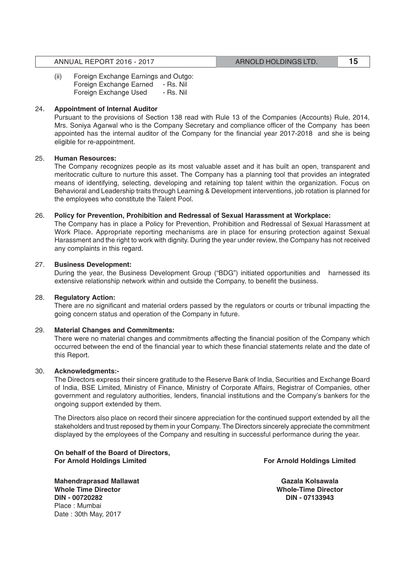| <b>ANNUAL REPORT 2016 - 2017</b> | ARNOLD HOLDINGS LTD. |  |
|----------------------------------|----------------------|--|
|                                  |                      |  |

(ii) Foreign Exchange Earnings and Outgo: Foreign Exchange Earned - Rs. Nil Foreign Exchange Used - Rs. Nil

#### 24. Appointment of Internal Auditor

Pursuant to the provisions of Section 138 read with Rule 13 of the Companies (Accounts) Rule, 2014, Mrs. Soniya Agarwal who is the Company Secretary and compliance officer of the Company has been appointed has the internal auditor of the Company for the financial year 2017-2018 and she is being eligible for re-appointment.

#### 25. Human Resources:

The Company recognizes people as its most valuable asset and it has built an open, transparent and meritocratic culture to nurture this asset. The Company has a planning tool that provides an integrated means of identifying, selecting, developing and retaining top talent within the organization. Focus on Behavioral and Leadership traits through Learning & Development interventions, job rotation is planned for the employees who constitute the Talent Pool.

#### 26. Policy for Prevention, Prohibition and Redressal of Sexual Harassment at Workplace:

The Company has in place a Policy for Prevention, Prohibition and Redressal of Sexual Harassment at Work Place. Appropriate reporting mechanisms are in place for ensuring protection against Sexual Harassment and the right to work with dignity. During the year under review, the Company has not received any complaints in this regard.

#### 27. Business Development:

During the year, the Business Development Group ("BDG") initiated opportunities and harnessed its extensive relationship network within and outside the Company, to benefit the business.

#### 28. Regulatory Action:

There are no significant and material orders passed by the regulators or courts or tribunal impacting the going concern status and operation of the Company in future.

#### 29. Material Changes and Commitments:

There were no material changes and commitments affecting the financial position of the Company which occurred between the end of the financial year to which these financial statements relate and the date of this Report.

#### 30. Acknowledgments:-

The Directors express their sincere gratitude to the Reserve Bank of India, Securities and Exchange Board of India, BSE Limited, Ministry of Finance, Ministry of Corporate Affairs, Registrar of Companies, other government and regulatory authorities, lenders, financial institutions and the Company's bankers for the ongoing support extended by them.

The Directors also place on record their sincere appreciation for the continued support extended by all the stakeholders and trust reposed by them in your Company. The Directors sincerely appreciate the commitment displayed by the employees of the Company and resulting in successful performance during the year.

On behalf of the Board of Directors, For Arnold Holdings Limited **For Arnold Holdings Limited** For Arnold Holdings Limited

Mahendraprasad Mallawat Gazala Kolsawala Whole Time Director<br>DIN - 00720282<br>DIN - 00720282 Place : Mumbai Date : 30th May, 2017

DIN - 07133943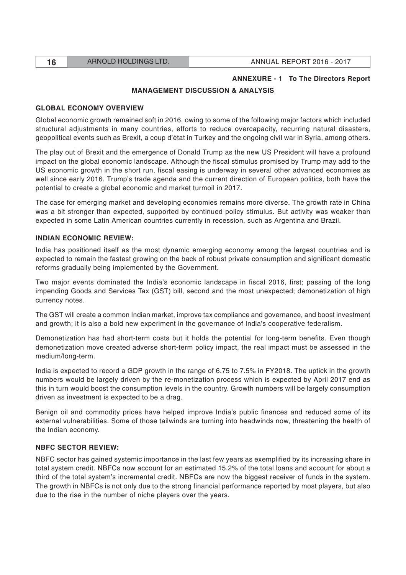# ANNEXURE - 1 To The Directors Report

#### MANAGEMENT DISCUSSION & ANALYSIS

#### GLOBAL ECONOMY OVERVIEW

Global economic growth remained soft in 2016, owing to some of the following major factors which included structural adjustments in many countries, efforts to reduce overcapacity, recurring natural disasters, geopolitical events such as Brexit, a coup d'état in Turkey and the ongoing civil war in Syria, among others.

The play out of Brexit and the emergence of Donald Trump as the new US President will have a profound impact on the global economic landscape. Although the fiscal stimulus promised by Trump may add to the US economic growth in the short run, fiscal easing is underway in several other advanced economies as well since early 2016. Trump's trade agenda and the current direction of European politics, both have the potential to create a global economic and market turmoil in 2017.

The case for emerging market and developing economies remains more diverse. The growth rate in China was a bit stronger than expected, supported by continued policy stimulus. But activity was weaker than expected in some Latin American countries currently in recession, such as Argentina and Brazil.

#### INDIAN ECONOMIC REVIEW:

India has positioned itself as the most dynamic emerging economy among the largest countries and is expected to remain the fastest growing on the back of robust private consumption and significant domestic reforms gradually being implemented by the Government.

Two major events dominated the India's economic landscape in fiscal 2016, first; passing of the long impending Goods and Services Tax (GST) bill, second and the most unexpected; demonetization of high currency notes.

The GST will create a common Indian market, improve tax compliance and governance, and boost investment and growth; it is also a bold new experiment in the governance of India's cooperative federalism.

Demonetization has had short-term costs but it holds the potential for long-term benefits. Even though demonetization move created adverse short-term policy impact, the real impact must be assessed in the medium/long-term.

India is expected to record a GDP growth in the range of 6.75 to 7.5% in FY2018. The uptick in the growth numbers would be largely driven by the re-monetization process which is expected by April 2017 end as this in turn would boost the consumption levels in the country. Growth numbers will be largely consumption driven as investment is expected to be a drag.

Benign oil and commodity prices have helped improve India's public finances and reduced some of its external vulnerabilities. Some of those tailwinds are turning into headwinds now, threatening the health of the Indian economy.

# NBFC SECTOR REVIEW:

NBFC sector has gained systemic importance in the last few years as exemplified by its increasing share in total system credit. NBFCs now account for an estimated 15.2% of the total loans and account for about a third of the total system's incremental credit. NBFCs are now the biggest receiver of funds in the system. The growth in NBFCs is not only due to the strong financial performance reported by most players, but also due to the rise in the number of niche players over the years.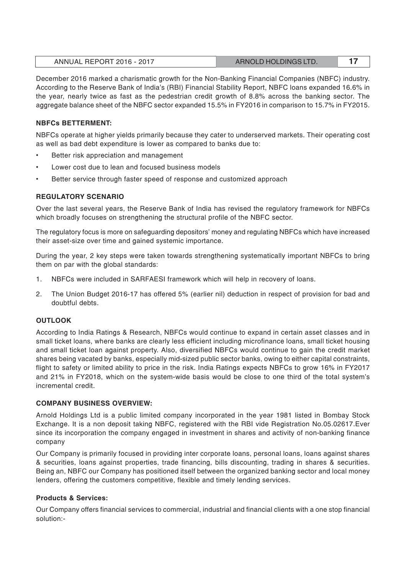| ANNUAL REPORT 2016 - 2017 | ARNOLD HOLDINGS LTD. |  |
|---------------------------|----------------------|--|
|---------------------------|----------------------|--|

December 2016 marked a charismatic growth for the Non-Banking Financial Companies (NBFC) industry. According to the Reserve Bank of India's (RBI) Financial Stability Report, NBFC loans expanded 16.6% in the year, nearly twice as fast as the pedestrian credit growth of 8.8% across the banking sector. The aggregate balance sheet of the NBFC sector expanded 15.5% in FY2016 in comparison to 15.7% in FY2015.

# NBFCs BETTERMENT:

NBFCs operate at higher yields primarily because they cater to underserved markets. Their operating cost as well as bad debt expenditure is lower as compared to banks due to:

- Better risk appreciation and management
- Lower cost due to lean and focused business models
- Better service through faster speed of response and customized approach

# REGULATORY SCENARIO

Over the last several years, the Reserve Bank of India has revised the regulatory framework for NBFCs which broadly focuses on strengthening the structural profile of the NBFC sector.

The regulatory focus is more on safeguarding depositors' money and regulating NBFCs which have increased their asset-size over time and gained systemic importance.

During the year, 2 key steps were taken towards strengthening systematically important NBFCs to bring them on par with the global standards:

- 1. NBFCs were included in SARFAESI framework which will help in recovery of loans.
- 2. The Union Budget 2016-17 has offered 5% (earlier nil) deduction in respect of provision for bad and doubtful debts.

# OUTLOOK

According to India Ratings & Research, NBFCs would continue to expand in certain asset classes and in small ticket loans, where banks are clearly less efficient including microfinance loans, small ticket housing and small ticket loan against property. Also, diversified NBFCs would continue to gain the credit market shares being vacated by banks, especially mid-sized public sector banks, owing to either capital constraints, flight to safety or limited ability to price in the risk. India Ratings expects NBFCs to grow 16% in FY2017 and 21% in FY2018, which on the system-wide basis would be close to one third of the total system's incremental credit.

# COMPANY BUSINESS OVERVIEW:

Arnold Holdings Ltd is a public limited company incorporated in the year 1981 listed in Bombay Stock Exchange. It is a non deposit taking NBFC, registered with the RBI vide Registration No.05.02617.Ever since its incorporation the company engaged in investment in shares and activity of non-banking finance company

Our Company is primarily focused in providing inter corporate loans, personal loans, loans against shares & securities, loans against properties, trade financing, bills discounting, trading in shares & securities. Being an, NBFC our Company has positioned itself between the organized banking sector and local money lenders, offering the customers competitive, flexible and timely lending services.

# Products & Services:

Our Company offers financial services to commercial, industrial and financial clients with a one stop financial solution:-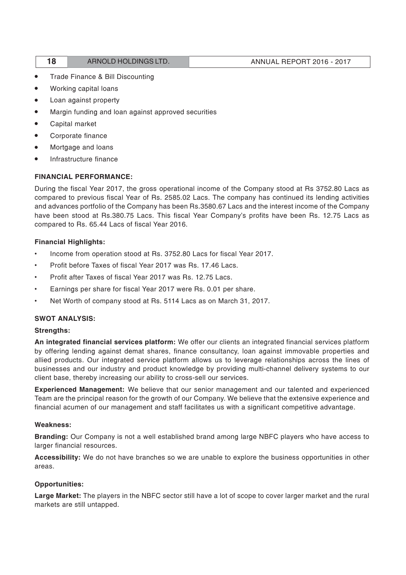#### 18 ARNOLD HOLDINGS LTD. ANNUAL REPORT 2016 - 2017

- Trade Finance & Bill Discounting
- Working capital loans
- Loan against property
- Margin funding and loan against approved securities
- Capital market
- Corporate finance
- Mortgage and loans
- Infrastructure finance

# FINANCIAL PERFORMANCE:

During the fiscal Year 2017, the gross operational income of the Company stood at Rs 3752.80 Lacs as compared to previous fiscal Year of Rs. 2585.02 Lacs. The company has continued its lending activities and advances portfolio of the Company has been Rs.3580.67 Lacs and the interest income of the Company have been stood at Rs.380.75 Lacs. This fiscal Year Company's profits have been Rs. 12.75 Lacs as compared to Rs. 65.44 Lacs of fiscal Year 2016.

# Financial Highlights:

- Income from operation stood at Rs. 3752.80 Lacs for fiscal Year 2017.
- Profit before Taxes of fiscal Year 2017 was Rs. 17.46 Lacs.
- Profit after Taxes of fiscal Year 2017 was Rs. 12.75 Lacs.
- Earnings per share for fiscal Year 2017 were Rs. 0.01 per share.
- Net Worth of company stood at Rs. 5114 Lacs as on March 31, 2017.

# SWOT ANALYSIS:

# Strengths:

An integrated financial services platform: We offer our clients an integrated financial services platform by offering lending against demat shares, finance consultancy, loan against immovable properties and allied products. Our integrated service platform allows us to leverage relationships across the lines of businesses and our industry and product knowledge by providing multi-channel delivery systems to our client base, thereby increasing our ability to cross-sell our services.

Experienced Management: We believe that our senior management and our talented and experienced Team are the principal reason for the growth of our Company. We believe that the extensive experience and financial acumen of our management and staff facilitates us with a significant competitive advantage.

# Weakness:

Branding: Our Company is not a well established brand among large NBFC players who have access to larger financial resources.

Accessibility: We do not have branches so we are unable to explore the business opportunities in other areas.

# Opportunities:

Large Market: The players in the NBFC sector still have a lot of scope to cover larger market and the rural markets are still untapped.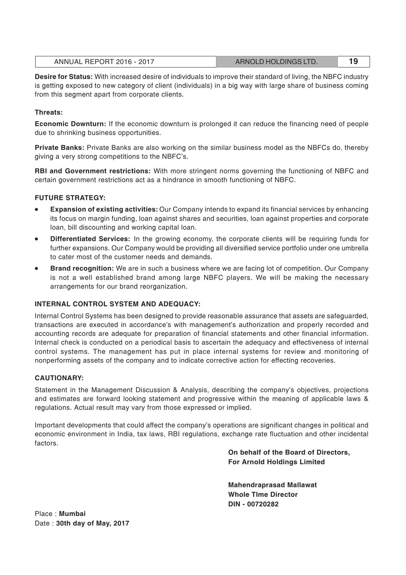| <b>ANNUAL REPORT 2016 - 2017</b> | ARNOLD HOLDINGS LTD. |  |
|----------------------------------|----------------------|--|
|----------------------------------|----------------------|--|

Desire for Status: With increased desire of individuals to improve their standard of living, the NBFC industry is getting exposed to new category of client (individuals) in a big way with large share of business coming from this segment apart from corporate clients.

# Threats:

Economic Downturn: If the economic downturn is prolonged it can reduce the financing need of people due to shrinking business opportunities.

Private Banks: Private Banks are also working on the similar business model as the NBFCs do, thereby giving a very strong competitions to the NBFC's.

RBI and Government restrictions: With more stringent norms governing the functioning of NBFC and certain government restrictions act as a hindrance in smooth functioning of NBFC.

# FUTURE STRATEGY:

- Expansion of existing activities: Our Company intends to expand its financial services by enhancing its focus on margin funding, loan against shares and securities, loan against properties and corporate loan, bill discounting and working capital loan.
- Differentiated Services: In the growing economy, the corporate clients will be requiring funds for further expansions. Our Company would be providing all diversified service portfolio under one umbrella to cater most of the customer needs and demands.
- Brand recognition: We are in such a business where we are facing lot of competition. Our Company is not a well established brand among large NBFC players. We will be making the necessary arrangements for our brand reorganization.

# INTERNAL CONTROL SYSTEM AND ADEQUACY:

Internal Control Systems has been designed to provide reasonable assurance that assets are safeguarded, transactions are executed in accordance's with management's authorization and properly recorded and accounting records are adequate for preparation of financial statements and other financial information. Internal check is conducted on a periodical basis to ascertain the adequacy and effectiveness of internal control systems. The management has put in place internal systems for review and monitoring of nonperforming assets of the company and to indicate corrective action for effecting recoveries.

# CAUTIONARY:

Statement in the Management Discussion & Analysis, describing the company's objectives, projections and estimates are forward looking statement and progressive within the meaning of applicable laws & regulations. Actual result may vary from those expressed or implied.

Important developments that could affect the company's operations are significant changes in political and economic environment in India, tax laws, RBI regulations, exchange rate fluctuation and other incidental factors.

> On behalf of the Board of Directors, For Arnold Holdings Limited

Mahendraprasad Mallawat Whole TIme Director DIN - 00720282

Place : Mumbai Date : 30th day of May, 2017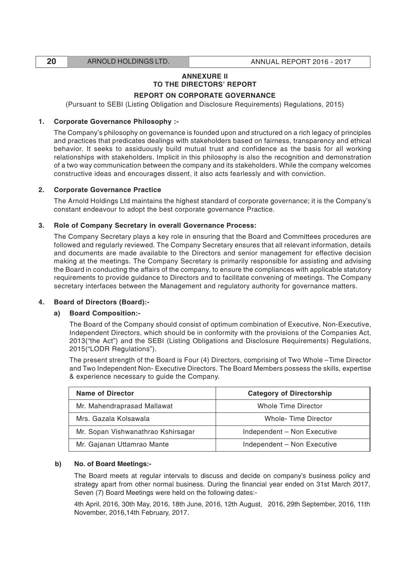# ANNEXURE II TO THE DIRECTORS' REPORT

# REPORT ON CORPORATE GOVERNANCE

(Pursuant to SEBI (Listing Obligation and Disclosure Requirements) Regulations, 2015)

#### 1. Corporate Governance Philosophy :-

The Company's philosophy on governance is founded upon and structured on a rich legacy of principles and practices that predicates dealings with stakeholders based on fairness, transparency and ethical behavior. It seeks to assiduously build mutual trust and confidence as the basis for all working relationships with stakeholders. Implicit in this philosophy is also the recognition and demonstration of a two way communication between the company and its stakeholders. While the company welcomes constructive ideas and encourages dissent, it also acts fearlessly and with conviction.

#### 2. Corporate Governance Practice

The Arnold Holdings Ltd maintains the highest standard of corporate governance; it is the Company's constant endeavour to adopt the best corporate governance Practice.

#### 3. Role of Company Secretary in overall Governance Process:

The Company Secretary plays a key role in ensuring that the Board and Committees procedures are followed and regularly reviewed. The Company Secretary ensures that all relevant information, details and documents are made available to the Directors and senior management for effective decision making at the meetings. The Company Secretary is primarily responsible for assisting and advising the Board in conducting the affairs of the company, to ensure the compliances with applicable statutory requirements to provide guidance to Directors and to facilitate convening of meetings. The Company secretary interfaces between the Management and regulatory authority for governance matters.

#### 4. Board of Directors (Board):-

#### a) Board Composition:-

The Board of the Company should consist of optimum combination of Executive, Non-Executive, Independent Directors, which should be in conformity with the provisions of the Companies Act, 2013("the Act") and the SEBI (Listing Obligations and Disclosure Requirements) Regulations, 2015("LODR Regulations").

The present strength of the Board is Four (4) Directors, comprising of Two Whole –Time Director and Two Independent Non- Executive Directors. The Board Members possess the skills, expertise & experience necessary to guide the Company.

| <b>Name of Director</b>            | <b>Category of Directorship</b> |
|------------------------------------|---------------------------------|
| Mr. Mahendraprasad Mallawat        | Whole Time Director             |
| Mrs. Gazala Kolsawala              | Whole-Time Director             |
| Mr. Sopan Vishwanathrao Kshirsagar | Independent - Non Executive     |
| Mr. Gajanan Uttamrao Mante         | Independent - Non Executive     |

#### b) No. of Board Meetings:-

The Board meets at regular intervals to discuss and decide on company's business policy and strategy apart from other normal business. During the financial year ended on 31st March 2017, Seven (7) Board Meetings were held on the following dates:-

4th April, 2016, 30th May, 2016, 18th June, 2016, 12th August, 2016, 29th September, 2016, 11th November, 2016,14th February, 2017.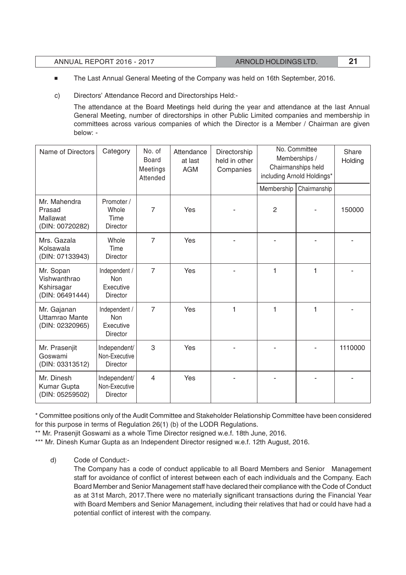| ANNUAL REPORT 2016 - 2017 | ARNOLD HOLDINGS LTD. |  |
|---------------------------|----------------------|--|
|---------------------------|----------------------|--|

- -The Last Annual General Meeting of the Company was held on 16th September, 2016.
- c) Directors' Attendance Record and Directorships Held:-

The attendance at the Board Meetings held during the year and attendance at the last Annual General Meeting, number of directorships in other Public Limited companies and membership in committees across various companies of which the Director is a Member / Chairman are given below: -

| Name of Directors                                          | Category                                             | No. of<br>Board<br>Meetings<br>Attended | Attendance<br>at last<br><b>AGM</b> | Directorship<br>held in other<br>Companies |                | No. Committee<br>Memberships /<br>Chairmanships held<br>including Arnold Holdings* | Share<br>Holding |
|------------------------------------------------------------|------------------------------------------------------|-----------------------------------------|-------------------------------------|--------------------------------------------|----------------|------------------------------------------------------------------------------------|------------------|
|                                                            |                                                      |                                         |                                     |                                            | Membership     | Chairmanship                                                                       |                  |
| Mr. Mahendra<br>Prasad<br>Mallawat<br>(DIN: 00720282)      | Promoter /<br>Whole<br>Time<br>Director              | 7                                       | Yes                                 |                                            | $\overline{2}$ |                                                                                    | 150000           |
| Mrs. Gazala<br>Kolsawala<br>(DIN: 07133943)                | Whole<br>Time<br><b>Director</b>                     | $\overline{7}$                          | Yes                                 |                                            |                |                                                                                    |                  |
| Mr. Sopan<br>Vishwanthrao<br>Kshirsagar<br>(DIN: 06491444) | Independent /<br><b>Non</b><br>Executive<br>Director | $\overline{7}$                          | Yes                                 |                                            | $\mathbf{1}$   | 1                                                                                  |                  |
| Mr. Gajanan<br>Uttamrao Mante<br>(DIN: 02320965)           | Independent /<br>Non<br>Executive<br>Director        | $\overline{7}$                          | Yes                                 | 1                                          | 1              | 1                                                                                  |                  |
| Mr. Prasenjit<br>Goswami<br>(DIN: 03313512)                | Independent/<br>Non-Executive<br>Director            | 3                                       | Yes                                 |                                            |                |                                                                                    | 1110000          |
| Mr. Dinesh<br>Kumar Gupta<br>(DIN: 05259502)               | Independent/<br>Non-Executive<br>Director            | 4                                       | Yes                                 |                                            |                |                                                                                    |                  |

\* Committee positions only of the Audit Committee and Stakeholder Relationship Committee have been considered for this purpose in terms of Regulation 26(1) (b) of the LODR Regulations.

\*\* Mr. Prasenjit Goswami as a whole Time Director resigned w.e.f. 18th June, 2016.

\*\*\* Mr. Dinesh Kumar Gupta as an Independent Director resigned w.e.f. 12th August, 2016.

d) Code of Conduct:-

The Company has a code of conduct applicable to all Board Members and Senior Management staff for avoidance of conflict of interest between each of each individuals and the Company. Each Board Member and Senior Management staff have declared their compliance with the Code of Conduct as at 31st March, 2017.There were no materially significant transactions during the Financial Year with Board Members and Senior Management, including their relatives that had or could have had a potential conflict of interest with the company.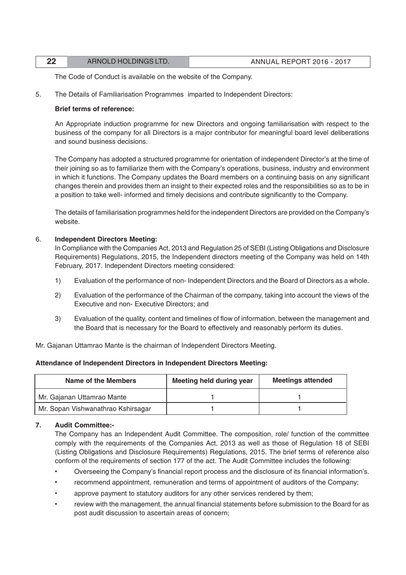| ne. | ARNOLD HOLDINGS LTD. | <b>ANNUAL REPORT 2016 - 2017</b> |
|-----|----------------------|----------------------------------|
|     |                      |                                  |

The Code of Conduct is available on the website of the Company.

5. The Details of Familiarisation Programmes imparted to Independent Directors:

#### Brief terms of reference:

An Appropriate induction programme for new Directors and ongoing familiarisation with respect to the business of the company for all Directors is a major contributor for meaningful board level deliberations and sound business decisions.

The Company has adopted a structured programme for orientation of independent Director's at the time of their joining so as to familiarize them with the Company's operations, business, industry and environment in which it functions. The Company updates the Board members on a continuing basis on any significant changes therein and provides them an insight to their expected roles and the responsibilities so as to be in a position to take well- informed and timely decisions and contribute significantly to the Company.

The details of familiarisation programmes held for the independent Directors are provided on the Company's website.

#### 6. Independent Directors Meeting:

In Compliance with the Companies Act, 2013 and Regulation 25 of SEBI (Listing Obligations and Disclosure Requirements) Regulations, 2015, the Independent directors meeting of the Company was held on 14th February, 2017. Independent Directors meeting considered:

- 1) Evaluation of the performance of non- Independent Directors and the Board of Directors as a whole.
- 2) Evaluation of the performance of the Chairman of the company, taking into account the views of the Executive and non- Executive Directors; and
- 3) Evaluation of the quality, content and timelines of flow of information, between the management and the Board that is necessary for the Board to effectively and reasonably perform its duties.

Mr. Gajanan Uttamrao Mante is the chairman of Independent Directors Meeting.

#### Attendance of Independent Directors in Independent Directors Meeting:

| Name of the Members                | Meeting held during year | <b>Meetings attended</b> |
|------------------------------------|--------------------------|--------------------------|
| Mr. Gajanan Uttamrao Mante         |                          |                          |
| Mr. Sopan Vishwanathrao Kshirsagar |                          |                          |

# 7. Audit Committee:-

The Company has an Independent Audit Committee. The composition, role/ function of the committee comply with the requirements of the Companies Act, 2013 as well as those of Regulation 18 of SEBI (Listing Obligations and Disclosure Requirements) Regulations, 2015. The brief terms of reference also conform of the requirements of section 177 of the act. The Audit Committee includes the following:

- Overseeing the Company's financial report process and the disclosure of its financial information's.
- recommend appointment, remuneration and terms of appointment of auditors of the Company;
- approve payment to statutory auditors for any other services rendered by them;
- review with the management, the annual financial statements before submission to the Board for as post audit discussion to ascertain areas of concern;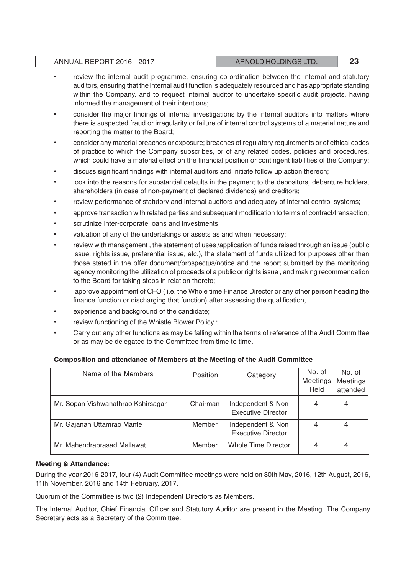| <b>ANNUAL REPORT 2016 - 2017</b> | ARNOLD HOLDINGS LTD. |  |
|----------------------------------|----------------------|--|
|----------------------------------|----------------------|--|

- review the internal audit programme, ensuring co-ordination between the internal and statutory auditors, ensuring that the internal audit function is adequately resourced and has appropriate standing within the Company, and to request internal auditor to undertake specific audit projects, having informed the management of their intentions;
- consider the major findings of internal investigations by the internal auditors into matters where there is suspected fraud or irregularity or failure of internal control systems of a material nature and reporting the matter to the Board;
- consider any material breaches or exposure; breaches of regulatory requirements or of ethical codes of practice to which the Company subscribes, or of any related codes, policies and procedures, which could have a material effect on the financial position or contingent liabilities of the Company;
- discuss significant findings with internal auditors and initiate follow up action thereon;
- look into the reasons for substantial defaults in the payment to the depositors, debenture holders, shareholders (in case of non-payment of declared dividends) and creditors;
- review performance of statutory and internal auditors and adequacy of internal control systems;
- approve transaction with related parties and subsequent modification to terms of contract/transaction;
- scrutinize inter-corporate loans and investments;
- valuation of any of the undertakings or assets as and when necessary;
- review with management , the statement of uses /application of funds raised through an issue (public issue, rights issue, preferential issue, etc.), the statement of funds utilized for purposes other than those stated in the offer document/prospectus/notice and the report submitted by the monitoring agency monitoring the utilization of proceeds of a public or rights issue , and making recommendation to the Board for taking steps in relation thereto;
- approve appointment of CFO ( i.e. the Whole time Finance Director or any other person heading the finance function or discharging that function) after assessing the qualification,
- experience and background of the candidate:
- review functioning of the Whistle Blower Policy;
- Carry out any other functions as may be falling within the terms of reference of the Audit Committee or as may be delegated to the Committee from time to time.

| <u>UUMBUUUNI UMU UMUMUMUU ULIMUMUU UMUU MUUMIN ULIMU AUUM UUMMMUU</u> |          |                                                |          |                |
|-----------------------------------------------------------------------|----------|------------------------------------------------|----------|----------------|
| Name of the Members                                                   | Position | Category                                       | No. of   | No. of         |
|                                                                       |          |                                                | Meetings | Meetings       |
|                                                                       |          |                                                | Held     | attended       |
| Mr. Sopan Vishwanathrao Kshirsagar                                    | Chairman | Independent & Non<br><b>Executive Director</b> |          | $\overline{4}$ |
| Mr. Gajanan Uttamrao Mante                                            | Member   | Independent & Non                              |          |                |

# Composition and attendance of Members at the Meeting of the Audit Committee

Meeting & Attendance:

During the year 2016-2017, four (4) Audit Committee meetings were held on 30th May, 2016, 12th August, 2016, 11th November, 2016 and 14th February, 2017.

Mr. Mahendraprasad Mallawat Member | Whole Time Director | 4 | 4

Executive Director

Quorum of the Committee is two (2) Independent Directors as Members.

The Internal Auditor, Chief Financial Officer and Statutory Auditor are present in the Meeting. The Company Secretary acts as a Secretary of the Committee.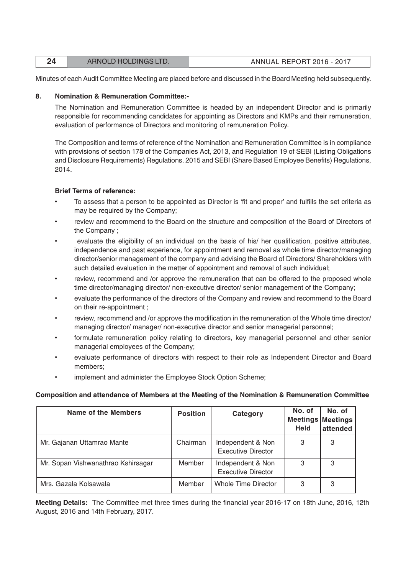| 24 | ARNOLD HOLDINGS LTD. | <b>ANNUAL REPORT 2016 - 2017</b> |
|----|----------------------|----------------------------------|
|    |                      |                                  |

Minutes of each Audit Committee Meeting are placed before and discussed in the Board Meeting held subsequently.

# 8. Nomination & Remuneration Committee:-

The Nomination and Remuneration Committee is headed by an independent Director and is primarily responsible for recommending candidates for appointing as Directors and KMPs and their remuneration, evaluation of performance of Directors and monitoring of remuneration Policy.

The Composition and terms of reference of the Nomination and Remuneration Committee is in compliance with provisions of section 178 of the Companies Act, 2013, and Regulation 19 of SEBI (Listing Obligations and Disclosure Requirements) Regulations, 2015 and SEBI (Share Based Employee Benefits) Regulations, 2014.

# Brief Terms of reference:

- To assess that a person to be appointed as Director is 'fit and proper' and fulfills the set criteria as may be required by the Company;
- review and recommend to the Board on the structure and composition of the Board of Directors of the Company ;
- evaluate the eligibility of an individual on the basis of his/ her qualification, positive attributes, independence and past experience, for appointment and removal as whole time director/managing director/senior management of the company and advising the Board of Directors/ Shareholders with such detailed evaluation in the matter of appointment and removal of such individual;
- review, recommend and /or approve the remuneration that can be offered to the proposed whole time director/managing director/ non-executive director/ senior management of the Company;
- evaluate the performance of the directors of the Company and review and recommend to the Board on their re-appointment ;
- review, recommend and /or approve the modification in the remuneration of the Whole time director/ managing director/ manager/ non-executive director and senior managerial personnel;
- formulate remuneration policy relating to directors, key managerial personnel and other senior managerial employees of the Company;
- evaluate performance of directors with respect to their role as Independent Director and Board members;
- implement and administer the Employee Stock Option Scheme;

#### Composition and attendance of Members at the Meeting of the Nomination & Remuneration Committee

| Name of the Members                | <b>Position</b> | Category                                       | No. of<br><b>Meetings Meetings</b><br><b>Held</b> | No. of<br>attended |
|------------------------------------|-----------------|------------------------------------------------|---------------------------------------------------|--------------------|
| Mr. Gajanan Uttamrao Mante         | Chairman        | Independent & Non<br><b>Executive Director</b> | 3                                                 | 3                  |
| Mr. Sopan Vishwanathrao Kshirsagar | Member          | Independent & Non<br><b>Executive Director</b> | 3                                                 | 3                  |
| Mrs. Gazala Kolsawala              | Member          | Whole Time Director                            | 3                                                 | 3                  |

Meeting Details: The Committee met three times during the financial year 2016-17 on 18th June, 2016, 12th August, 2016 and 14th February, 2017.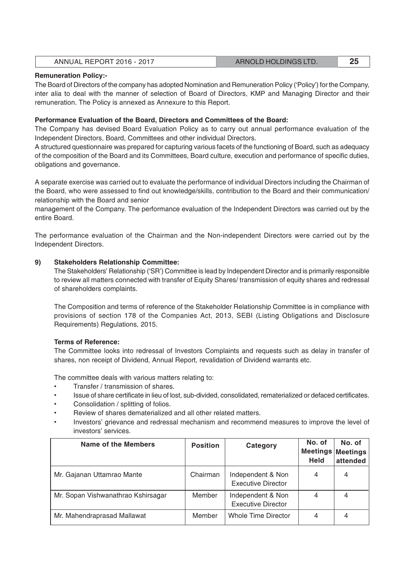| つん<br>ARNOLD HOLDINGS LTD.<br><b>ANNUAL REPORT 2016 - 2017</b> |  |
|----------------------------------------------------------------|--|
|----------------------------------------------------------------|--|

#### Remuneration Policy:-

The Board of Directors of the company has adopted Nomination and Remuneration Policy ('Policy') for the Company, inter alia to deal with the manner of selection of Board of Directors, KMP and Managing Director and their remuneration. The Policy is annexed as Annexure to this Report.

# Performance Evaluation of the Board, Directors and Committees of the Board:

The Company has devised Board Evaluation Policy as to carry out annual performance evaluation of the Independent Directors, Board, Committees and other individual Directors.

A structured questionnaire was prepared for capturing various facets of the functioning of Board, such as adequacy of the composition of the Board and its Committees, Board culture, execution and performance of specific duties, obligations and governance.

A separate exercise was carried out to evaluate the performance of individual Directors including the Chairman of the Board, who were assessed to find out knowledge/skills, contribution to the Board and their communication/ relationship with the Board and senior

management of the Company. The performance evaluation of the Independent Directors was carried out by the entire Board.

The performance evaluation of the Chairman and the Non-independent Directors were carried out by the Independent Directors.

# 9) Stakeholders Relationship Committee:

The Stakeholders' Relationship ('SR') Committee is lead by Independent Director and is primarily responsible to review all matters connected with transfer of Equity Shares/ transmission of equity shares and redressal of shareholders complaints.

The Composition and terms of reference of the Stakeholder Relationship Committee is in compliance with provisions of section 178 of the Companies Act, 2013, SEBI (Listing Obligations and Disclosure Requirements) Regulations, 2015.

# Terms of Reference:

The Committee looks into redressal of Investors Complaints and requests such as delay in transfer of shares, non receipt of Dividend, Annual Report, revalidation of Dividend warrants etc.

The committee deals with various matters relating to:

- Transfer / transmission of shares.
- Issue of share certificate in lieu of lost, sub-divided, consolidated, rematerialized or defaced certificates.
- Consolidation / splitting of folios.
- Review of shares dematerialized and all other related matters.
- Investors' grievance and redressal mechanism and recommend measures to improve the level of investors' services.

| Name of the Members                | <b>Position</b> | Category                                       | No. of<br><b>Meetings Meetings</b><br><b>Held</b> | No. of<br>attended |
|------------------------------------|-----------------|------------------------------------------------|---------------------------------------------------|--------------------|
| Mr. Gajanan Uttamrao Mante         | Chairman        | Independent & Non<br><b>Executive Director</b> | 4                                                 | 4                  |
| Mr. Sopan Vishwanathrao Kshirsagar | Member          | Independent & Non<br><b>Executive Director</b> | 4                                                 | 4                  |
| Mr. Mahendraprasad Mallawat        | Member          | Whole Time Director                            | 4                                                 | 4                  |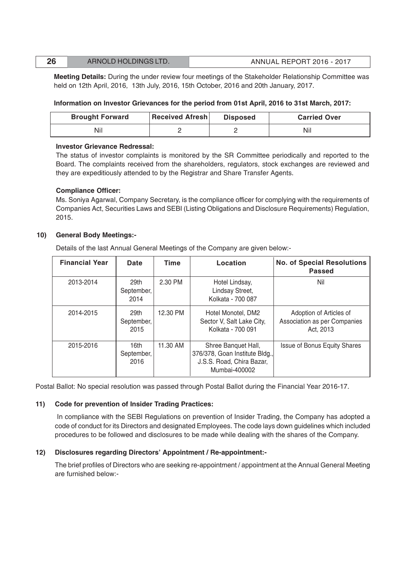| 26 | ARNOLD HOLDINGS LTD. | <b>ANNUAL REPORT 2016 - 2017</b> |
|----|----------------------|----------------------------------|
|----|----------------------|----------------------------------|

Meeting Details: During the under review four meetings of the Stakeholder Relationship Committee was held on 12th April, 2016, 13th July, 2016, 15th October, 2016 and 20th January, 2017.

Information on Investor Grievances for the period from 01st April, 2016 to 31st March, 2017:

| <b>Brought Forward</b> | <b>Received Afresh</b> | <b>Disposed</b> | <b>Carried Over</b> |
|------------------------|------------------------|-----------------|---------------------|
| Nil                    |                        |                 | Nil                 |

# Investor Grievance Redressal:

The status of investor complaints is monitored by the SR Committee periodically and reported to the Board. The complaints received from the shareholders, regulators, stock exchanges are reviewed and they are expeditiously attended to by the Registrar and Share Transfer Agents.

# Compliance Officer:

Ms. Soniya Agarwal, Company Secretary, is the compliance officer for complying with the requirements of Companies Act, Securities Laws and SEBI (Listing Obligations and Disclosure Requirements) Regulation, 2015.

# 10) General Body Meetings:-

Details of the last Annual General Meetings of the Company are given below:-

| <b>Financial Year</b> | Date                       | Time     | Location                                                                                            | <b>No. of Special Resolutions</b><br><b>Passed</b>                   |
|-----------------------|----------------------------|----------|-----------------------------------------------------------------------------------------------------|----------------------------------------------------------------------|
| 2013-2014             | 29th<br>September,<br>2014 | 2.30 PM  | Hotel Lindsay,<br>Lindsay Street,<br>Kolkata - 700 087                                              | Nil                                                                  |
| 2014-2015             | 29th<br>September,<br>2015 | 12.30 PM | Hotel Monotel, DM2<br>Sector V, Salt Lake City,<br>Kolkata - 700 091                                | Adoption of Articles of<br>Association as per Companies<br>Act. 2013 |
| 2015-2016             | 16th<br>September,<br>2016 | 11.30 AM | Shree Banquet Hall,<br>376/378, Goan Institute Bldg.,<br>J.S.S. Road, Chira Bazar,<br>Mumbai-400002 | <b>Issue of Bonus Equity Shares</b>                                  |

Postal Ballot: No special resolution was passed through Postal Ballot during the Financial Year 2016-17.

# 11) Code for prevention of Insider Trading Practices:

 In compliance with the SEBI Regulations on prevention of Insider Trading, the Company has adopted a code of conduct for its Directors and designated Employees. The code lays down guidelines which included procedures to be followed and disclosures to be made while dealing with the shares of the Company.

# 12) Disclosures regarding Directors' Appointment / Re-appointment:-

The brief profiles of Directors who are seeking re-appointment / appointment at the Annual General Meeting are furnished below:-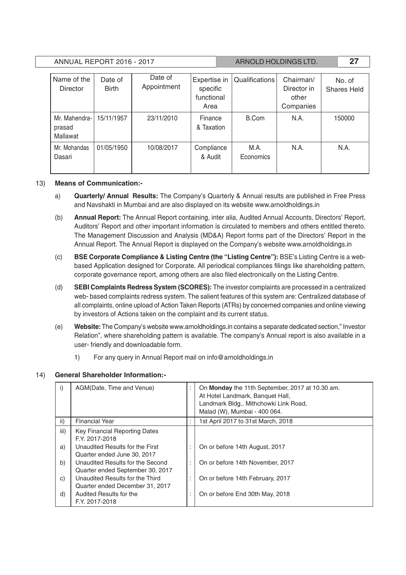| <b>ANNUAL REPORT 2016 - 2017</b>    |                         |                        |                                                | ARNOLD HOLDINGS LTD. |                                                | 27                           |
|-------------------------------------|-------------------------|------------------------|------------------------------------------------|----------------------|------------------------------------------------|------------------------------|
|                                     |                         |                        |                                                |                      |                                                |                              |
| Name of the<br><b>Director</b>      | Date of<br><b>Birth</b> | Date of<br>Appointment | Expertise in<br>specific<br>functional<br>Area | Qualifications       | Chairman/<br>Director in<br>other<br>Companies | No. of<br><b>Shares Held</b> |
| Mr. Mahendra-<br>prasad<br>Mallawat | 15/11/1957              | 23/11/2010             | Finance<br>& Taxation                          | B.Com                | N.A.                                           | 150000                       |
| Mr. Mohandas<br>Dasari              | 01/05/1950              | 10/08/2017             | Compliance<br>& Audit                          | M.A.<br>Economics    | N.A.                                           | N.A.                         |

# 13) Means of Communication:-

- a) **Quarterly/ Annual Results:** The Company's Quarterly & Annual results are published in Free Press and Navshakti in Mumbai and are also displayed on its website www.arnoldholdings.in
- (b) Annual Report: The Annual Report containing, inter alia, Audited Annual Accounts, Directors' Report, Auditors' Report and other important information is circulated to members and others entitled thereto. The Management Discussion and Analysis (MD&A) Report forms part of the Directors' Report in the Annual Report. The Annual Report is displayed on the Company's website www.arnoldholdings.in
- (c) BSE Corporate Compliance & Listing Centre (the "Listing Centre"): BSE's Listing Centre is a webbased Application designed for Corporate. All periodical compliances filings like shareholding pattern, corporate governance report, among others are also filed electronically on the Listing Centre.
- (d) SEBI Complaints Redress System (SCORES): The investor complaints are processed in a centralized web- based complaints redress system. The salient features of this system are: Centralized database of all complaints, online upload of Action Taken Reports (ATRs) by concerned companies and online viewing by investors of Actions taken on the complaint and its current status.
- (e) Website: The Company's website www.arnoldholdings.in contains a separate dedicated section," Investor Relation", where shareholding pattern is available. The company's Annual report is also available in a user- friendly and downloadable form.
	- 1) For any query in Annual Report mail on info@arnoldholdings.in

# 14) General Shareholder Information:-

| i)   | AGM(Date, Time and Venue)                                            | ÷ | On Monday the 11th September, 2017 at 10.30 am.<br>At Hotel Landmark, Banquet Hall,<br>Landmark Bldg., Mithchowki Link Road,<br>Malad (W), Mumbai - 400 064. |
|------|----------------------------------------------------------------------|---|--------------------------------------------------------------------------------------------------------------------------------------------------------------|
| ii)  | <b>Financial Year</b>                                                |   | 1st April 2017 to 31st March, 2018                                                                                                                           |
| iii) | Key Financial Reporting Dates<br>F.Y. 2017-2018                      |   |                                                                                                                                                              |
| a)   | Unaudited Results for the First<br>Quarter ended June 30, 2017       |   | On or before 14th August, 2017                                                                                                                               |
| b)   | Unaudited Results for the Second<br>Quarter ended September 30, 2017 | ÷ | On or before 14th November, 2017                                                                                                                             |
| C)   | Unaudited Results for the Third<br>Quarter ended December 31, 2017   | ÷ | On or before 14th February, 2017                                                                                                                             |
| d)   | Audited Results for the<br>F.Y. 2017-2018                            |   | On or before End 30th May, 2018                                                                                                                              |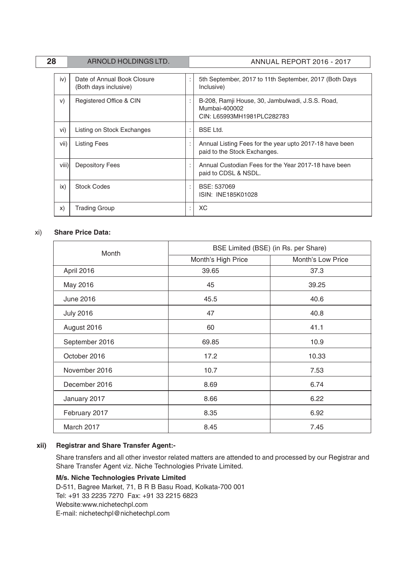| 28    | ARNOLD HOLDINGS LTD.                                 |  | <b>ANNUAL REPORT 2016 - 2017</b>                                                                |
|-------|------------------------------------------------------|--|-------------------------------------------------------------------------------------------------|
| iv)   | Date of Annual Book Closure<br>(Both days inclusive) |  | 5th September, 2017 to 11th September, 2017 (Both Days<br>Inclusive)                            |
| V)    | Registered Office & CIN                              |  | B-208, Ramji House, 30, Jambulwadi, J.S.S. Road,<br>Mumbai-400002<br>CIN: L65993MH1981PLC282783 |
| vi)   | Listing on Stock Exchanges                           |  | <b>BSE Ltd.</b>                                                                                 |
| vii)  | <b>Listing Fees</b>                                  |  | Annual Listing Fees for the year upto 2017-18 have been<br>paid to the Stock Exchanges.         |
| viii) | Depository Fees                                      |  | Annual Custodian Fees for the Year 2017-18 have been<br>paid to CDSL & NSDL.                    |
| ix)   | <b>Stock Codes</b>                                   |  | BSE: 537069<br>ISIN: INE185K01028                                                               |
| X)    | <b>Trading Group</b>                                 |  | ХC                                                                                              |

# xi) Share Price Data:

| Month            | BSE Limited (BSE) (in Rs. per Share) |                   |  |  |  |  |
|------------------|--------------------------------------|-------------------|--|--|--|--|
|                  | Month's High Price                   | Month's Low Price |  |  |  |  |
| April 2016       | 39.65                                | 37.3              |  |  |  |  |
| May 2016         | 45                                   | 39.25             |  |  |  |  |
| <b>June 2016</b> | 45.5                                 | 40.6              |  |  |  |  |
| <b>July 2016</b> | 47                                   | 40.8              |  |  |  |  |
| August 2016      | 60                                   | 41.1              |  |  |  |  |
| September 2016   | 69.85                                | 10.9              |  |  |  |  |
| October 2016     | 17.2                                 | 10.33             |  |  |  |  |
| November 2016    | 10.7                                 | 7.53              |  |  |  |  |
| December 2016    | 8.69                                 | 6.74              |  |  |  |  |
| January 2017     | 8.66                                 | 6.22              |  |  |  |  |
| February 2017    | 8.35                                 | 6.92              |  |  |  |  |
| March 2017       | 8.45                                 | 7.45              |  |  |  |  |

# xii) Registrar and Share Transfer Agent:-

Share transfers and all other investor related matters are attended to and processed by our Registrar and Share Transfer Agent viz. Niche Technologies Private Limited.

M/s. Niche Technologies Private Limited D-511, Bagree Market, 71, B R B Basu Road, Kolkata-700 001 Tel: +91 33 2235 7270 Fax: +91 33 2215 6823 Website:www.nichetechpl.com E-mail: nichetechpl@nichetechpl.com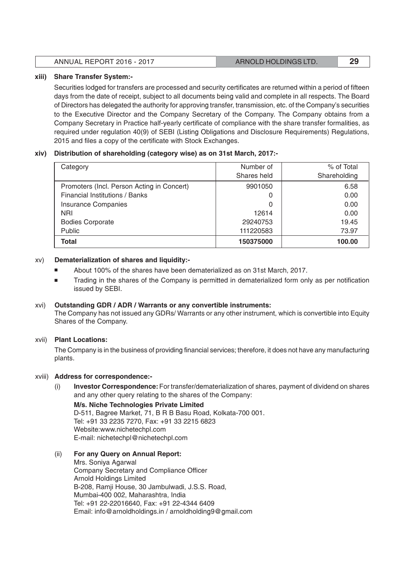| <b>ANNUAL REPORT 2016 - 2017</b> | ARNOLD HOLDINGS LTD. | 29 |
|----------------------------------|----------------------|----|
|----------------------------------|----------------------|----|

#### xiii) Share Transfer System:-

Securities lodged for transfers are processed and security certificates are returned within a period of fifteen days from the date of receipt, subject to all documents being valid and complete in all respects. The Board of Directors has delegated the authority for approving transfer, transmission, etc. of the Company's securities to the Executive Director and the Company Secretary of the Company. The Company obtains from a Company Secretary in Practice half-yearly certificate of compliance with the share transfer formalities, as required under regulation 40(9) of SEBI (Listing Obligations and Disclosure Requirements) Regulations, 2015 and files a copy of the certificate with Stock Exchanges.

# xiv) Distribution of shareholding (category wise) as on 31st March, 2017:-

| Category                                   | Number of   | % of Total   |
|--------------------------------------------|-------------|--------------|
|                                            | Shares held | Shareholding |
| Promoters (Incl. Person Acting in Concert) | 9901050     | 6.58         |
| Financial Institutions / Banks             | 0           | 0.00         |
| <b>Insurance Companies</b>                 | 0           | 0.00         |
| <b>NRI</b>                                 | 12614       | 0.00         |
| <b>Bodies Corporate</b>                    | 29240753    | 19.45        |
| Public                                     | 111220583   | 73.97        |
| <b>Total</b>                               | 150375000   | 100.00       |

#### xv) Dematerialization of shares and liquidity:-

- -About 100% of the shares have been dematerialized as on 31st March, 2017.
- - Trading in the shares of the Company is permitted in dematerialized form only as per notification issued by SEBI.

#### xvi) Outstanding GDR / ADR / Warrants or any convertible instruments:

The Company has not issued any GDRs/ Warrants or any other instrument, which is convertible into Equity Shares of the Company.

# xvii) Plant Locations:

The Company is in the business of providing financial services; therefore, it does not have any manufacturing plants.

#### xviii) Address for correspondence:-

(i) Investor Correspondence: For transfer/dematerialization of shares, payment of dividend on shares and any other query relating to the shares of the Company:

M/s. Niche Technologies Private Limited D-511, Bagree Market, 71, B R B Basu Road, Kolkata-700 001. Tel: +91 33 2235 7270, Fax: +91 33 2215 6823 Website:www.nichetechpl.com E-mail: nichetechpl@nichetechpl.com

(ii) For any Query on Annual Report: Mrs. Soniya Agarwal Company Secretary and Compliance Officer Arnold Holdings Limited B-208, Ramji House, 30 Jambulwadi, J.S.S. Road, Mumbai-400 002, Maharashtra, India Tel: +91 22-22016640, Fax: +91 22-4344 6409 Email: info@arnoldholdings.in / arnoldholding9@gmail.com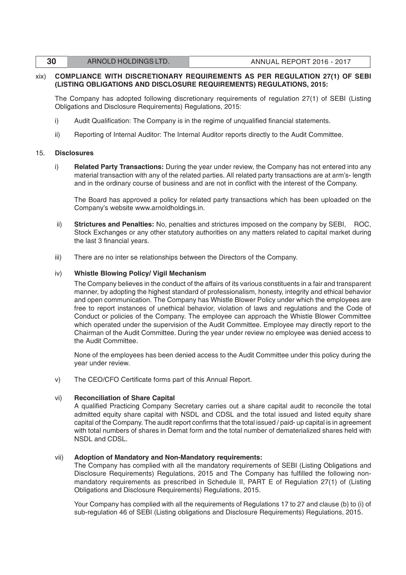| 30 | ARNOLD HOLDINGS LTD. | <b>ANNUAL REPORT 2016 - 2017</b> |
|----|----------------------|----------------------------------|
|----|----------------------|----------------------------------|

#### xix) COMPLIANCE WITH DISCRETIONARY REQUIREMENTS AS PER REGULATION 27(1) OF SEBI (LISTING OBLIGATIONS AND DISCLOSURE REQUIREMENTS) REGULATIONS, 2015:

The Company has adopted following discretionary requirements of regulation 27(1) of SEBI (Listing Obligations and Disclosure Requirements) Regulations, 2015:

- i) Audit Qualification: The Company is in the regime of unqualified financial statements.
- ii) Reporting of Internal Auditor: The Internal Auditor reports directly to the Audit Committee.

#### 15. Disclosures

i) Related Party Transactions: During the year under review, the Company has not entered into any material transaction with any of the related parties. All related party transactions are at arm's- length and in the ordinary course of business and are not in conflict with the interest of the Company.

The Board has approved a policy for related party transactions which has been uploaded on the Company's website www.arnoldholdings.in.

- ii) Strictures and Penalties: No, penalties and strictures imposed on the company by SEBI, ROC, Stock Exchanges or any other statutory authorities on any matters related to capital market during the last 3 financial years.
- iii) There are no inter se relationships between the Directors of the Company.

#### iv) Whistle Blowing Policy/ Vigil Mechanism

The Company believes in the conduct of the affairs of its various constituents in a fair and transparent manner, by adopting the highest standard of professionalism, honesty, integrity and ethical behavior and open communication. The Company has Whistle Blower Policy under which the employees are free to report instances of unethical behavior, violation of laws and regulations and the Code of Conduct or policies of the Company. The employee can approach the Whistle Blower Committee which operated under the supervision of the Audit Committee. Employee may directly report to the Chairman of the Audit Committee. During the year under review no employee was denied access to the Audit Committee.

None of the employees has been denied access to the Audit Committee under this policy during the year under review.

v) The CEO/CFO Certificate forms part of this Annual Report.

#### vi) Reconciliation of Share Capital

A qualified Practicing Company Secretary carries out a share capital audit to reconcile the total admitted equity share capital with NSDL and CDSL and the total issued and listed equity share capital of the Company. The audit report confirms that the total issued / paid- up capital is in agreement with total numbers of shares in Demat form and the total number of dematerialized shares held with NSDL and CDSL.

#### vii) Adoption of Mandatory and Non-Mandatory requirements:

The Company has complied with all the mandatory requirements of SEBI (Listing Obligations and Disclosure Requirements) Regulations, 2015 and The Company has fulfilled the following nonmandatory requirements as prescribed in Schedule II, PART E of Regulation 27(1) of (Listing Obligations and Disclosure Requirements) Regulations, 2015.

Your Company has complied with all the requirements of Regulations 17 to 27 and clause (b) to (i) of sub-regulation 46 of SEBI (Listing obligations and Disclosure Requirements) Regulations, 2015.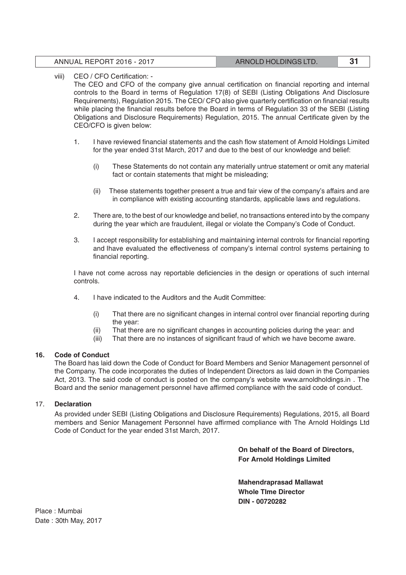| <b>ANNUAL REPORT 2016 - 2017</b> | ARNOLD HOLDINGS LTD. |  |
|----------------------------------|----------------------|--|
|----------------------------------|----------------------|--|

#### viii) CEO / CFO Certification: -

The CEO and CFO of the company give annual certification on financial reporting and internal controls to the Board in terms of Regulation 17(8) of SEBI (Listing Obligations And Disclosure Requirements), Regulation 2015. The CEO/ CFO also give quarterly certification on financial results while placing the financial results before the Board in terms of Regulation 33 of the SEBI (Listing Obligations and Disclosure Requirements) Regulation, 2015. The annual Certificate given by the CEO/CFO is given below:

- 1. I have reviewed financial statements and the cash flow statement of Arnold Holdings Limited for the year ended 31st March, 2017 and due to the best of our knowledge and belief:
	- (i) These Statements do not contain any materially untrue statement or omit any material fact or contain statements that might be misleading;
	- (ii) These statements together present a true and fair view of the company's affairs and are in compliance with existing accounting standards, applicable laws and regulations.
- 2. There are, to the best of our knowledge and belief, no transactions entered into by the company during the year which are fraudulent, illegal or violate the Company's Code of Conduct.
- 3. I accept responsibility for establishing and maintaining internal controls for financial reporting and Ihave evaluated the effectiveness of company's internal control systems pertaining to financial reporting.

I have not come across nay reportable deficiencies in the design or operations of such internal controls.

- 4. I have indicated to the Auditors and the Audit Committee:
	- (i) That there are no significant changes in internal control over financial reporting during the year:
	- (ii) That there are no significant changes in accounting policies during the year: and
	- (iii) That there are no instances of significant fraud of which we have become aware.

# 16. Code of Conduct

The Board has laid down the Code of Conduct for Board Members and Senior Management personnel of the Company. The code incorporates the duties of Independent Directors as laid down in the Companies Act, 2013. The said code of conduct is posted on the company's website www.arnoldholdings.in . The Board and the senior management personnel have affirmed compliance with the said code of conduct.

# 17. Declaration

As provided under SEBI (Listing Obligations and Disclosure Requirements) Regulations, 2015, all Board members and Senior Management Personnel have affirmed compliance with The Arnold Holdings Ltd Code of Conduct for the year ended 31st March, 2017.

> On behalf of the Board of Directors, For Arnold Holdings Limited

Mahendraprasad Mallawat Whole TIme Director DIN - 00720282

Place : Mumbai Date : 30th May, 2017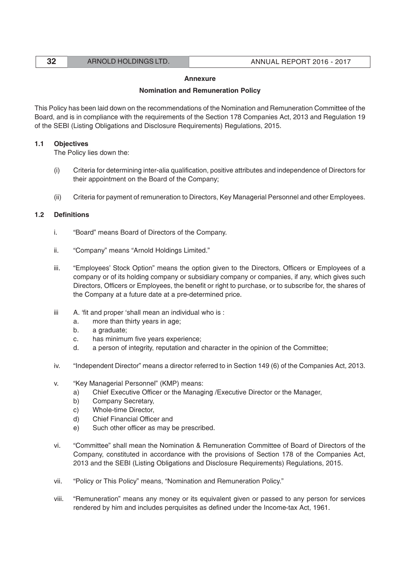# REPORT 2016 - 2017

#### Annexure

#### Nomination and Remuneration Policy

This Policy has been laid down on the recommendations of the Nomination and Remuneration Committee of the Board, and is in compliance with the requirements of the Section 178 Companies Act, 2013 and Regulation 19 of the SEBI (Listing Obligations and Disclosure Requirements) Regulations, 2015.

# 1.1 Objectives

The Policy lies down the:

- (i) Criteria for determining inter-alia qualification, positive attributes and independence of Directors for their appointment on the Board of the Company;
- (ii) Criteria for payment of remuneration to Directors, Key Managerial Personnel and other Employees.

#### 1.2 Definitions

- i. "Board" means Board of Directors of the Company.
- ii. "Company" means "Arnold Holdings Limited."
- iii. "Employees' Stock Option" means the option given to the Directors, Officers or Employees of a company or of its holding company or subsidiary company or companies, if any, which gives such Directors, Officers or Employees, the benefit or right to purchase, or to subscribe for, the shares of the Company at a future date at a pre-determined price.
- iii A. 'fit and proper 'shall mean an individual who is :
	- a. more than thirty years in age;
	- b. a graduate;
	- c. has minimum five years experience;
	- d. a person of integrity, reputation and character in the opinion of the Committee;
- iv. "Independent Director" means a director referred to in Section 149 (6) of the Companies Act, 2013.
- v. "Key Managerial Personnel" (KMP) means:
	- a) Chief Executive Officer or the Managing /Executive Director or the Manager,
	- b) Company Secretary,
	- c) Whole-time Director,
	- d) Chief Financial Officer and
	- e) Such other officer as may be prescribed.
- vi. "Committee" shall mean the Nomination & Remuneration Committee of Board of Directors of the Company, constituted in accordance with the provisions of Section 178 of the Companies Act, 2013 and the SEBI (Listing Obligations and Disclosure Requirements) Regulations, 2015.
- vii. "Policy or This Policy" means, "Nomination and Remuneration Policy."
- viii. "Remuneration" means any money or its equivalent given or passed to any person for services rendered by him and includes perquisites as defined under the Income-tax Act, 1961.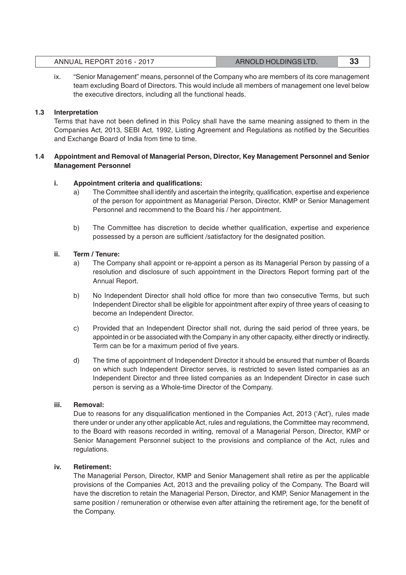| <b>ANNUAL REPORT 2016 - 2017</b> | ARNOLD HOLDINGS LTD. | 33 |
|----------------------------------|----------------------|----|
|----------------------------------|----------------------|----|

ix. "Senior Management" means, personnel of the Company who are members of its core management team excluding Board of Directors. This would include all members of management one level below the executive directors, including all the functional heads.

#### 1.3 Interpretation

Terms that have not been defined in this Policy shall have the same meaning assigned to them in the Companies Act, 2013, SEBI Act, 1992, Listing Agreement and Regulations as notified by the Securities and Exchange Board of India from time to time.

# 1.4 Appointment and Removal of Managerial Person, Director, Key Management Personnel and Senior Management Personnel

#### i. Appointment criteria and qualifications:

- a) The Committee shall identify and ascertain the integrity, qualification, expertise and experience of the person for appointment as Managerial Person, Director, KMP or Senior Management Personnel and recommend to the Board his / her appointment.
- b) The Committee has discretion to decide whether qualification, expertise and experience possessed by a person are sufficient /satisfactory for the designated position.

#### ii. Term / Tenure:

- a) The Company shall appoint or re-appoint a person as its Managerial Person by passing of a resolution and disclosure of such appointment in the Directors Report forming part of the Annual Report.
- b) No Independent Director shall hold office for more than two consecutive Terms, but such Independent Director shall be eligible for appointment after expiry of three years of ceasing to become an Independent Director.
- c) Provided that an Independent Director shall not, during the said period of three years, be appointed in or be associated with the Company in any other capacity, either directly or indirectly. Term can be for a maximum period of five years.
- d) The time of appointment of Independent Director it should be ensured that number of Boards on which such Independent Director serves, is restricted to seven listed companies as an Independent Director and three listed companies as an Independent Director in case such person is serving as a Whole-time Director of the Company.

#### iii. Removal:

Due to reasons for any disqualification mentioned in the Companies Act, 2013 ('Act'), rules made there under or under any other applicable Act, rules and regulations, the Committee may recommend, to the Board with reasons recorded in writing, removal of a Managerial Person, Director, KMP or Senior Management Personnel subject to the provisions and compliance of the Act, rules and regulations.

#### iv. Retirement:

The Managerial Person, Director, KMP and Senior Management shall retire as per the applicable provisions of the Companies Act, 2013 and the prevailing policy of the Company. The Board will have the discretion to retain the Managerial Person, Director, and KMP, Senior Management in the same position / remuneration or otherwise even after attaining the retirement age, for the benefit of the Company.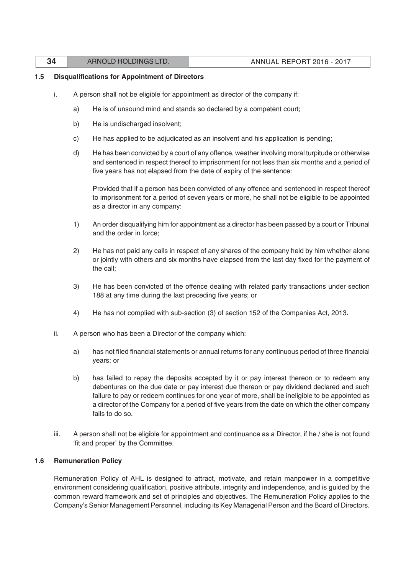#### **34 ARNOLD HOLDINGS LTD.** ANNUAL REPORT 2016 - 2017

#### 1.5 Disqualifications for Appointment of Directors

- i. A person shall not be eligible for appointment as director of the company if:
	- a) He is of unsound mind and stands so declared by a competent court;
	- b) He is undischarged insolvent;
	- c) He has applied to be adjudicated as an insolvent and his application is pending;
	- d) He has been convicted by a court of any offence, weather involving moral turpitude or otherwise and sentenced in respect thereof to imprisonment for not less than six months and a period of five years has not elapsed from the date of expiry of the sentence:

Provided that if a person has been convicted of any offence and sentenced in respect thereof to imprisonment for a period of seven years or more, he shall not be eligible to be appointed as a director in any company:

- 1) An order disqualifying him for appointment as a director has been passed by a court or Tribunal and the order in force;
- 2) He has not paid any calls in respect of any shares of the company held by him whether alone or jointly with others and six months have elapsed from the last day fixed for the payment of the call;
- 3) He has been convicted of the offence dealing with related party transactions under section 188 at any time during the last preceding five years; or
- 4) He has not complied with sub-section (3) of section 152 of the Companies Act, 2013.
- ii. A person who has been a Director of the company which:
	- a) has not filed financial statements or annual returns for any continuous period of three financial years; or
	- b) has failed to repay the deposits accepted by it or pay interest thereon or to redeem any debentures on the due date or pay interest due thereon or pay dividend declared and such failure to pay or redeem continues for one year of more, shall be ineligible to be appointed as a director of the Company for a period of five years from the date on which the other company fails to do so.
- iii. A person shall not be eligible for appointment and continuance as a Director, if he / she is not found 'fit and proper' by the Committee.

#### 1.6 Remuneration Policy

Remuneration Policy of AHL is designed to attract, motivate, and retain manpower in a competitive environment considering qualification, positive attribute, integrity and independence, and is guided by the common reward framework and set of principles and objectives. The Remuneration Policy applies to the Company's Senior Management Personnel, including its Key Managerial Person and the Board of Directors.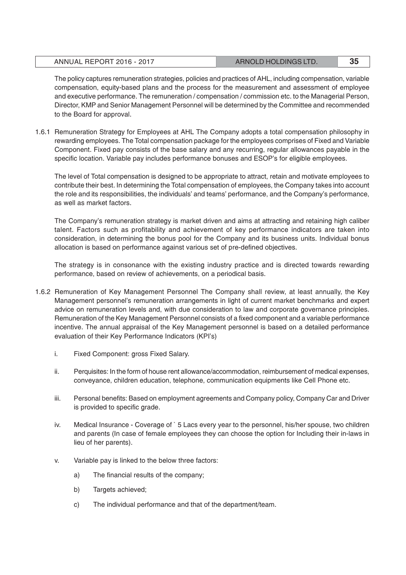| <b>ANNUAL REPORT 2016 - 2017</b> | ARNOLD HOLDINGS LTD. | 35 |
|----------------------------------|----------------------|----|
|----------------------------------|----------------------|----|

The policy captures remuneration strategies, policies and practices of AHL, including compensation, variable compensation, equity-based plans and the process for the measurement and assessment of employee and executive performance. The remuneration / compensation / commission etc. to the Managerial Person, Director, KMP and Senior Management Personnel will be determined by the Committee and recommended to the Board for approval.

1.6.1 Remuneration Strategy for Employees at AHL The Company adopts a total compensation philosophy in rewarding employees. The Total compensation package for the employees comprises of Fixed and Variable Component. Fixed pay consists of the base salary and any recurring, regular allowances payable in the specific location. Variable pay includes performance bonuses and ESOP's for eligible employees.

The level of Total compensation is designed to be appropriate to attract, retain and motivate employees to contribute their best. In determining the Total compensation of employees, the Company takes into account the role and its responsibilities, the individuals' and teams' performance, and the Company's performance, as well as market factors.

The Company's remuneration strategy is market driven and aims at attracting and retaining high caliber talent. Factors such as profitability and achievement of key performance indicators are taken into consideration, in determining the bonus pool for the Company and its business units. Individual bonus allocation is based on performance against various set of pre-defined objectives.

The strategy is in consonance with the existing industry practice and is directed towards rewarding performance, based on review of achievements, on a periodical basis.

- 1.6.2 Remuneration of Key Management Personnel The Company shall review, at least annually, the Key Management personnel's remuneration arrangements in light of current market benchmarks and expert advice on remuneration levels and, with due consideration to law and corporate governance principles. Remuneration of the Key Management Personnel consists of a fixed component and a variable performance incentive. The annual appraisal of the Key Management personnel is based on a detailed performance evaluation of their Key Performance Indicators (KPI's)
	- i. Fixed Component: gross Fixed Salary.
	- ii. Perquisites: In the form of house rent allowance/accommodation, reimbursement of medical expenses, conveyance, children education, telephone, communication equipments like Cell Phone etc.
	- iii. Personal benefits: Based on employment agreements and Company policy, Company Car and Driver is provided to specific grade.
	- iv. Medical Insurance Coverage of ` 5 Lacs every year to the personnel, his/her spouse, two children and parents (In case of female employees they can choose the option for Including their in-laws in lieu of her parents).
	- v. Variable pay is linked to the below three factors:
		- a) The financial results of the company;
		- b) Targets achieved;
		- c) The individual performance and that of the department/team.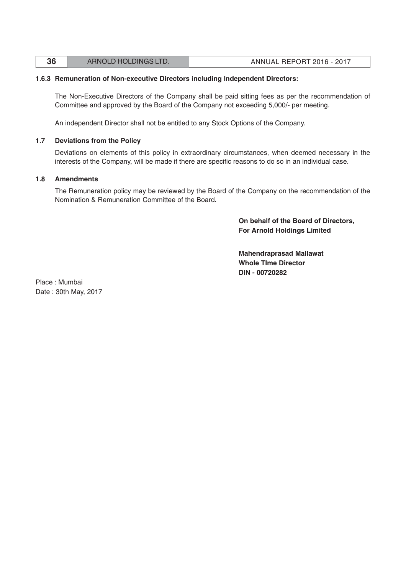| 36 | ARNOLD HOLDINGS LTD. | <b>ANNUAL REPORT 2016 - 2017</b> |
|----|----------------------|----------------------------------|
|----|----------------------|----------------------------------|

#### 1.6.3 Remuneration of Non-executive Directors including Independent Directors:

The Non-Executive Directors of the Company shall be paid sitting fees as per the recommendation of Committee and approved by the Board of the Company not exceeding 5,000/- per meeting.

An independent Director shall not be entitled to any Stock Options of the Company.

#### 1.7 Deviations from the Policy

Deviations on elements of this policy in extraordinary circumstances, when deemed necessary in the interests of the Company, will be made if there are specific reasons to do so in an individual case.

#### 1.8 Amendments

The Remuneration policy may be reviewed by the Board of the Company on the recommendation of the Nomination & Remuneration Committee of the Board.

> On behalf of the Board of Directors, For Arnold Holdings Limited

Mahendraprasad Mallawat Whole TIme Director DIN - 00720282

Place : Mumbai Date : 30th May, 2017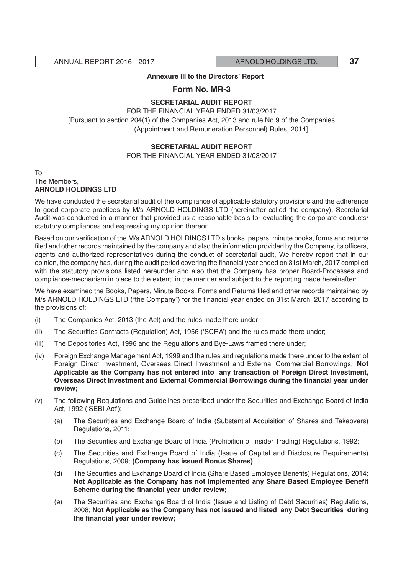ANNUAL REPORT 2016 - 2017 ARNOLD HOLDINGS LTD. **37** 

#### Annexure III to the Directors' Report

#### Form No. MR-3

#### SECRETARIAL AUDIT REPORT

FOR THE FINANCIAL YEAR ENDED 31/03/2017 [Pursuant to section 204(1) of the Companies Act, 2013 and rule No.9 of the Companies (Appointment and Remuneration Personnel) Rules, 2014]

#### SECRETARIAL AUDIT REPORT

FOR THE FINANCIAL YEAR ENDED 31/03/2017

To, The Members, ARNOLD HOLDINGS LTD

We have conducted the secretarial audit of the compliance of applicable statutory provisions and the adherence to good corporate practices by M/s ARNOLD HOLDINGS LTD (hereinafter called the company). Secretarial Audit was conducted in a manner that provided us a reasonable basis for evaluating the corporate conducts/ statutory compliances and expressing my opinion thereon.

Based on our verification of the M/s ARNOLD HOLDINGS LTD's books, papers, minute books, forms and returns filed and other records maintained by the company and also the information provided by the Company, its officers, agents and authorized representatives during the conduct of secretarial audit, We hereby report that in our opinion, the company has, during the audit period covering the financial year ended on 31st March, 2017 complied with the statutory provisions listed hereunder and also that the Company has proper Board-Processes and compliance-mechanism in place to the extent, in the manner and subject to the reporting made hereinafter:

We have examined the Books, Papers, Minute Books, Forms and Returns filed and other records maintained by M/s ARNOLD HOLDINGS LTD ("the Company") for the financial year ended on 31st March, 2017 according to the provisions of:

- (i) The Companies Act, 2013 (the Act) and the rules made there under;
- (ii) The Securities Contracts (Regulation) Act, 1956 ('SCRA') and the rules made there under;
- (iii) The Depositories Act, 1996 and the Regulations and Bye-Laws framed there under;
- (iv) Foreign Exchange Management Act, 1999 and the rules and regulations made there under to the extent of Foreign Direct Investment, Overseas Direct Investment and External Commercial Borrowings; Not Applicable as the Company has not entered into any transaction of Foreign Direct Investment, Overseas Direct Investment and External Commercial Borrowings during the financial year under review;
- (v) The following Regulations and Guidelines prescribed under the Securities and Exchange Board of India Act, 1992 ('SEBI Act'):-
	- (a) The Securities and Exchange Board of India (Substantial Acquisition of Shares and Takeovers) Regulations, 2011;
	- (b) The Securities and Exchange Board of India (Prohibition of Insider Trading) Regulations, 1992;
	- (c) The Securities and Exchange Board of India (Issue of Capital and Disclosure Requirements) Regulations, 2009; (Company has issued Bonus Shares)
	- (d) The Securities and Exchange Board of India (Share Based Employee Benefits) Regulations, 2014; Not Applicable as the Company has not implemented any Share Based Employee Benefit Scheme during the financial year under review;
	- (e) The Securities and Exchange Board of India (Issue and Listing of Debt Securities) Regulations, 2008; Not Applicable as the Company has not issued and listed any Debt Securities during the financial year under review;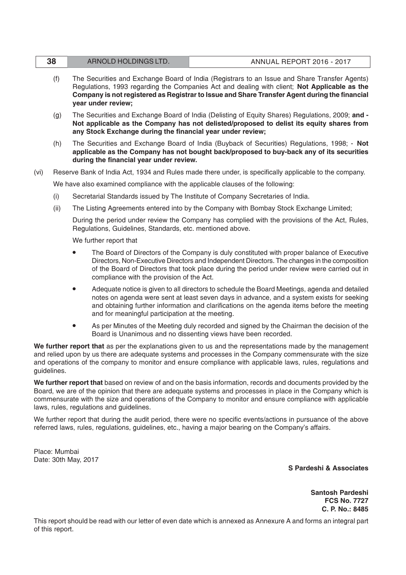|      | 38          | ARNOLD HOLDINGS LTD.                                                                                                                                        | ANNUAL REPORT 2016 - 2017                                                                                                                                                                                                                                                                                                            |  |  |  |  |  |
|------|-------------|-------------------------------------------------------------------------------------------------------------------------------------------------------------|--------------------------------------------------------------------------------------------------------------------------------------------------------------------------------------------------------------------------------------------------------------------------------------------------------------------------------------|--|--|--|--|--|
|      | (f)         | year under review;                                                                                                                                          | The Securities and Exchange Board of India (Registrars to an Issue and Share Transfer Agents)<br>Regulations, 1993 regarding the Companies Act and dealing with client; Not Applicable as the<br>Company is not registered as Registrar to Issue and Share Transfer Agent during the financial                                       |  |  |  |  |  |
|      | (g)         | any Stock Exchange during the financial year under review;                                                                                                  | The Securities and Exchange Board of India (Delisting of Equity Shares) Regulations, 2009; and -<br>Not applicable as the Company has not delisted/proposed to delist its equity shares from                                                                                                                                         |  |  |  |  |  |
|      | (h)         | during the financial year under review.                                                                                                                     | The Securities and Exchange Board of India (Buyback of Securities) Regulations, 1998; - Not<br>applicable as the Company has not bought back/proposed to buy-back any of its securities                                                                                                                                              |  |  |  |  |  |
| (vi) |             |                                                                                                                                                             | Reserve Bank of India Act, 1934 and Rules made there under, is specifically applicable to the company.                                                                                                                                                                                                                               |  |  |  |  |  |
|      |             | We have also examined compliance with the applicable clauses of the following:                                                                              |                                                                                                                                                                                                                                                                                                                                      |  |  |  |  |  |
|      | (i)         |                                                                                                                                                             | Secretarial Standards issued by The Institute of Company Secretaries of India.                                                                                                                                                                                                                                                       |  |  |  |  |  |
|      | (ii)        |                                                                                                                                                             | The Listing Agreements entered into by the Company with Bombay Stock Exchange Limited;                                                                                                                                                                                                                                               |  |  |  |  |  |
|      |             | During the period under review the Company has complied with the provisions of the Act, Rules,<br>Regulations, Guidelines, Standards, etc. mentioned above. |                                                                                                                                                                                                                                                                                                                                      |  |  |  |  |  |
|      |             | We further report that                                                                                                                                      |                                                                                                                                                                                                                                                                                                                                      |  |  |  |  |  |
|      |             | compliance with the provision of the Act.                                                                                                                   | The Board of Directors of the Company is duly constituted with proper balance of Executive<br>Directors, Non-Executive Directors and Independent Directors. The changes in the composition<br>of the Board of Directors that took place during the period under review were carried out in                                           |  |  |  |  |  |
|      |             | and for meaningful participation at the meeting.                                                                                                            | Adequate notice is given to all directors to schedule the Board Meetings, agenda and detailed<br>notes on agenda were sent at least seven days in advance, and a system exists for seeking<br>and obtaining further information and clarifications on the agenda items before the meeting                                            |  |  |  |  |  |
|      |             |                                                                                                                                                             | As per Minutes of the Meeting duly recorded and signed by the Chairman the decision of the<br>Board is Unanimous and no dissenting views have been recorded.                                                                                                                                                                         |  |  |  |  |  |
|      | guidelines. |                                                                                                                                                             | We further report that as per the explanations given to us and the representations made by the management<br>and relied upon by us there are adequate systems and processes in the Company commensurate with the size<br>and operations of the company to monitor and ensure compliance with applicable laws, rules, regulations and |  |  |  |  |  |
|      |             |                                                                                                                                                             | We further report that based on review of and on the basis information, records and documents provided by the                                                                                                                                                                                                                        |  |  |  |  |  |

Board, we are of the opinion that there are adequate systems and processes in place in the Company which is commensurate with the size and operations of the Company to monitor and ensure compliance with applicable laws, rules, regulations and guidelines.

We further report that during the audit period, there were no specific events/actions in pursuance of the above referred laws, rules, regulations, guidelines, etc., having a major bearing on the Company's affairs.

Place: Mumbai Date: 30th May, 2017

S Pardeshi & Associates

Santosh Pardeshi FCS No. 7727 C. P. No.: 8485

This report should be read with our letter of even date which is annexed as Annexure A and forms an integral part of this report.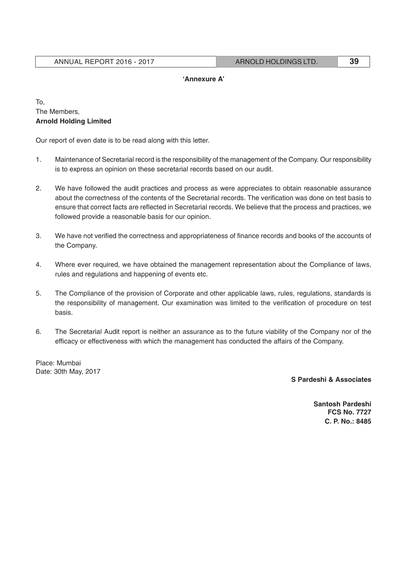#### 'Annexure A'

To, The Members, Arnold Holding Limited

Our report of even date is to be read along with this letter.

- 1. Maintenance of Secretarial record is the responsibility of the management of the Company. Our responsibility is to express an opinion on these secretarial records based on our audit.
- 2. We have followed the audit practices and process as were appreciates to obtain reasonable assurance about the correctness of the contents of the Secretarial records. The verification was done on test basis to ensure that correct facts are reflected in Secretarial records. We believe that the process and practices, we followed provide a reasonable basis for our opinion.
- 3. We have not verified the correctness and appropriateness of finance records and books of the accounts of the Company.
- 4. Where ever required, we have obtained the management representation about the Compliance of laws, rules and regulations and happening of events etc.
- 5. The Compliance of the provision of Corporate and other applicable laws, rules, regulations, standards is the responsibility of management. Our examination was limited to the verification of procedure on test basis.
- 6. The Secretarial Audit report is neither an assurance as to the future viability of the Company nor of the efficacy or effectiveness with which the management has conducted the affairs of the Company.

Place: Mumbai Date: 30th May, 2017

#### S Pardeshi & Associates

Santosh Pardeshi FCS No. 7727 C. P. No.: 8485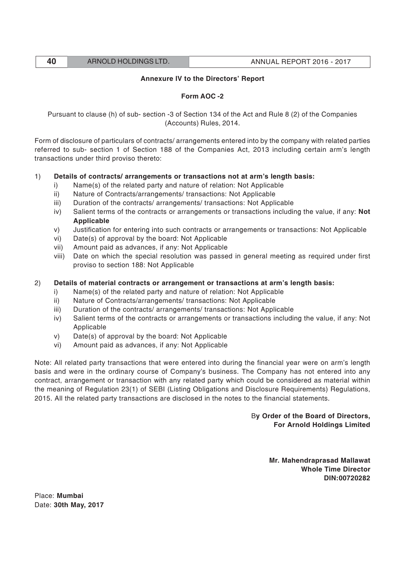|  | ARNOLD HOLDINGS LTD. |
|--|----------------------|
|--|----------------------|

#### Annexure IV to the Directors' Report

#### Form AOC -2

Pursuant to clause (h) of sub- section -3 of Section 134 of the Act and Rule 8 (2) of the Companies (Accounts) Rules, 2014.

Form of disclosure of particulars of contracts/ arrangements entered into by the company with related parties referred to sub- section 1 of Section 188 of the Companies Act, 2013 including certain arm's length transactions under third proviso thereto:

#### 1) Details of contracts/ arrangements or transactions not at arm's length basis:

- i) Name(s) of the related party and nature of relation: Not Applicable
- ii) Nature of Contracts/arrangements/ transactions: Not Applicable
- iii) Duration of the contracts/ arrangements/ transactions: Not Applicable
- iv) Salient terms of the contracts or arrangements or transactions including the value, if any: Not Applicable
- v) Justification for entering into such contracts or arrangements or transactions: Not Applicable
- vi) Date(s) of approval by the board: Not Applicable
- vii) Amount paid as advances, if any: Not Applicable
- viii) Date on which the special resolution was passed in general meeting as required under first proviso to section 188: Not Applicable

#### 2) Details of material contracts or arrangement or transactions at arm's length basis:

- i) Name(s) of the related party and nature of relation: Not Applicable
- ii) Nature of Contracts/arrangements/ transactions: Not Applicable
- iii) Duration of the contracts/ arrangements/ transactions: Not Applicable
- iv) Salient terms of the contracts or arrangements or transactions including the value, if any: Not Applicable
- v) Date(s) of approval by the board: Not Applicable
- vi) Amount paid as advances, if any: Not Applicable

Note: All related party transactions that were entered into during the financial year were on arm's length basis and were in the ordinary course of Company's business. The Company has not entered into any contract, arrangement or transaction with any related party which could be considered as material within the meaning of Regulation 23(1) of SEBI (Listing Obligations and Disclosure Requirements) Regulations, 2015. All the related party transactions are disclosed in the notes to the financial statements.

#### By Order of the Board of Directors, For Arnold Holdings Limited

 Mr. Mahendraprasad Mallawat Whole Time Director DIN:00720282

Place: Mumbai Date: 30th May, 2017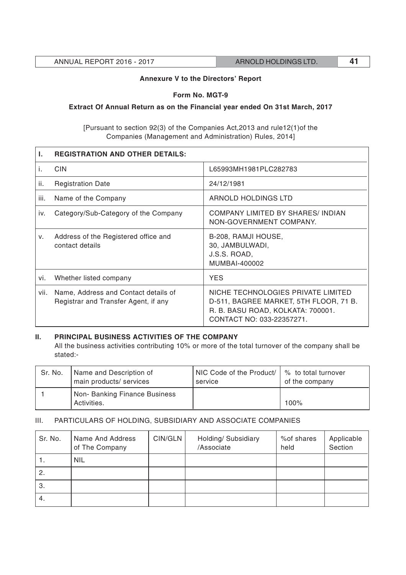| ARNOLD HOLDINGS LTD. |  |
|----------------------|--|
|                      |  |

#### Annexure V to the Directors' Report

#### Form No. MGT-9

#### Extract Of Annual Return as on the Financial year ended On 31st March, 2017

[Pursuant to section 92(3) of the Companies Act,2013 and rule12(1)of the Companies (Management and Administration) Rules, 2014]

| Τ.   | <b>REGISTRATION AND OTHER DETAILS:</b>                                       |                                                                                                                                                |
|------|------------------------------------------------------------------------------|------------------------------------------------------------------------------------------------------------------------------------------------|
| İ.   | <b>CIN</b>                                                                   | L65993MH1981PLC282783                                                                                                                          |
| ii.  | <b>Registration Date</b>                                                     | 24/12/1981                                                                                                                                     |
| iii. | Name of the Company                                                          | ARNOLD HOLDINGS LTD                                                                                                                            |
| iv.  | Category/Sub-Category of the Company                                         | COMPANY LIMITED BY SHARES/INDIAN<br>NON-GOVERNMENT COMPANY.                                                                                    |
| V.   | Address of the Registered office and<br>contact details                      | B-208, RAMJI HOUSE,<br>30, JAMBULWADI,<br>J.S.S. ROAD,<br>MUMBAI-400002                                                                        |
| vi.  | Whether listed company                                                       | <b>YES</b>                                                                                                                                     |
| vii. | Name, Address and Contact details of<br>Registrar and Transfer Agent, if any | NICHE TECHNOLOGIES PRIVATE LIMITED<br>D-511, BAGREE MARKET, 5TH FLOOR, 71 B.<br>R. B. BASU ROAD, KOLKATA: 700001.<br>CONTACT NO: 033-22357271. |

### II. PRINCIPAL BUSINESS ACTIVITIES OF THE COMPANY

All the business activities contributing 10% or more of the total turnover of the company shall be stated:-

| Sr. No. | Name and Description of                     | NIC Code of the Product/ | $\frac{1}{2}$ to total turnover |
|---------|---------------------------------------------|--------------------------|---------------------------------|
|         | main products/ services                     | service                  | of the company                  |
|         | Non-Banking Finance Business<br>Activities. |                          | 100%                            |

#### III. PARTICULARS OF HOLDING, SUBSIDIARY AND ASSOCIATE COMPANIES

| Sr. No. | Name And Address<br>of The Company | CIN/GLN | Holding/ Subsidiary<br>/Associate | %of shares<br>held | Applicable<br>Section |
|---------|------------------------------------|---------|-----------------------------------|--------------------|-----------------------|
|         | <b>NIL</b>                         |         |                                   |                    |                       |
|         |                                    |         |                                   |                    |                       |
| 3.      |                                    |         |                                   |                    |                       |
| 4.      |                                    |         |                                   |                    |                       |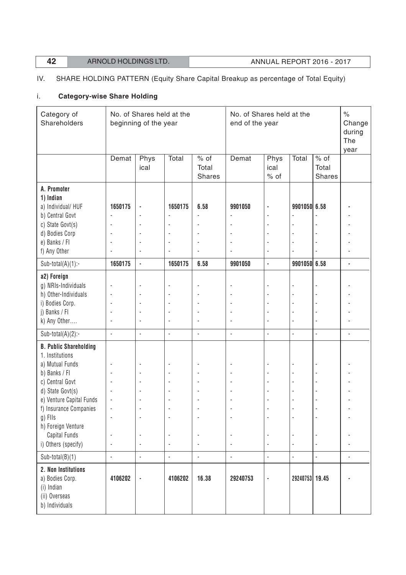| ARNOLD HOLDINGS LTD. | <b>ANNUAL REPORT 2016 - 2017</b> |
|----------------------|----------------------------------|
|                      |                                  |

## IV. SHARE HOLDING PATTERN (Equity Share Capital Breakup as percentage of Total Equity)

## i. Category-wise Share Holding

| Category of<br>Shareholders                                                             | No. of Shares held at the<br>beginning of the year |                          |                                                      | No. of Shares held at the<br>end of the year         |                                |                                  |                          | $\%$<br>Change<br>during<br>The<br>year    |                |
|-----------------------------------------------------------------------------------------|----------------------------------------------------|--------------------------|------------------------------------------------------|------------------------------------------------------|--------------------------------|----------------------------------|--------------------------|--------------------------------------------|----------------|
|                                                                                         | Demat                                              | Phys<br>ical             | Total                                                | $\frac{1}{6}$ of<br>Total<br><b>Shares</b>           | Demat                          | Phys<br>ical<br>$%$ of           | Total                    | $\frac{1}{6}$ of<br>Total<br><b>Shares</b> |                |
| A. Promoter<br>1) Indian                                                                |                                                    |                          |                                                      |                                                      |                                |                                  |                          |                                            |                |
| a) Individual/HUF                                                                       | 1650175                                            | $\blacksquare$           | 1650175                                              | 6.58                                                 | 9901050                        | $\blacksquare$                   | 9901050 6.58             |                                            |                |
| b) Central Govt                                                                         |                                                    | Ĩ.                       | ÷,                                                   | L                                                    | Ĭ.                             | ä,                               |                          |                                            |                |
| c) State Govt(s)                                                                        |                                                    |                          | ×                                                    |                                                      |                                | ×,                               |                          |                                            |                |
| d) Bodies Corp                                                                          |                                                    |                          | ٠                                                    |                                                      |                                | ٠                                |                          |                                            |                |
| e) Banks / Fl                                                                           |                                                    |                          | Ĭ.                                                   |                                                      |                                | ٠                                | ä,                       | Ĭ.                                         |                |
| f) Any Other                                                                            |                                                    | Ĩ.                       | Ĭ.                                                   |                                                      |                                | $\blacksquare$                   |                          | Ĭ.                                         |                |
| Sub-total $(A)(1)$ :-                                                                   | 1650175                                            | $\blacksquare$           | 1650175                                              | 6.58                                                 | 9901050                        | $\blacksquare$                   | 9901050                  | 6.58                                       | $\blacksquare$ |
| a2) Foreign                                                                             |                                                    |                          |                                                      |                                                      |                                |                                  |                          |                                            |                |
| g) NRIs-Individuals                                                                     |                                                    |                          | ×                                                    |                                                      |                                | ×,                               |                          | ÷,                                         |                |
| h) Other-Individuals                                                                    | Î.                                                 | ł,                       | ÷,                                                   |                                                      |                                | $\blacksquare$                   |                          |                                            |                |
| i) Bodies Corp.                                                                         | ٠                                                  | ×,                       | ×                                                    | ä,                                                   | ä,                             | $\blacksquare$                   | $\blacksquare$           | ×,                                         |                |
| j) Banks / Fl                                                                           |                                                    | ä,                       | ٠                                                    |                                                      | ٠                              | ٠                                | ٠                        | Ĭ.                                         |                |
| k) Any Other                                                                            | ×                                                  | ÷,                       | ÷,                                                   | ×,                                                   | ä,                             | $\overline{\phantom{a}}$         | $\blacksquare$           | $\overline{\phantom{a}}$                   |                |
| $Sub-total(A)(2)$ :-                                                                    | $\overline{\phantom{a}}$                           | $\overline{\phantom{a}}$ | $\overline{\phantom{a}}$                             | $\blacksquare$                                       | $\blacksquare$                 | ä,                               | $\blacksquare$           | $\blacksquare$                             | $\blacksquare$ |
| <b>B. Public Shareholding</b>                                                           |                                                    |                          |                                                      |                                                      |                                |                                  |                          |                                            |                |
| 1. Institutions                                                                         |                                                    |                          |                                                      |                                                      |                                |                                  |                          |                                            |                |
| a) Mutual Funds                                                                         | ٠                                                  | ٠                        | ÷                                                    |                                                      | $\overline{\phantom{a}}$       | ٠                                |                          |                                            |                |
| b) Banks / Fl                                                                           |                                                    |                          | ×                                                    |                                                      | ٠                              | ×,                               |                          |                                            |                |
| c) Central Govt                                                                         | ×,                                                 |                          | ×                                                    |                                                      |                                | ×,                               |                          | ٠                                          |                |
| d) State Govt(s)                                                                        | ٠                                                  | ä,                       | ×,                                                   |                                                      | ٠                              | ٠                                | $\overline{a}$           |                                            |                |
| e) Venture Capital Funds                                                                | ÷,                                                 |                          | Ĭ.                                                   |                                                      |                                | ٠                                |                          |                                            |                |
| f) Insurance Companies                                                                  | ×                                                  |                          |                                                      |                                                      |                                |                                  |                          |                                            |                |
| g) FIIs                                                                                 |                                                    |                          |                                                      |                                                      |                                |                                  |                          |                                            |                |
| h) Foreign Venture                                                                      |                                                    |                          |                                                      |                                                      |                                |                                  |                          |                                            |                |
| <b>Capital Funds</b><br>i) Others (specify)                                             | $\overline{\phantom{a}}$<br>×                      | ÷<br>$\blacksquare$      | $\overline{\phantom{a}}$<br>$\overline{\phantom{a}}$ | $\overline{\phantom{a}}$<br>$\overline{\phantom{a}}$ | $\overline{\phantom{a}}$<br>×, | $\blacksquare$<br>$\blacksquare$ | $\blacksquare$           | ×,<br>$\overline{\phantom{a}}$             |                |
|                                                                                         |                                                    |                          |                                                      |                                                      |                                |                                  |                          |                                            |                |
| $Sub-total(B)(1)$                                                                       | $\blacksquare$                                     | $\blacksquare$           | $\blacksquare$                                       | $\blacksquare$                                       | $\blacksquare$                 | $\blacksquare$                   | $\overline{\phantom{a}}$ | l,                                         | ×,             |
| 2. Non Institutions<br>a) Bodies Corp.<br>(i) Indian<br>(ii) Overseas<br>b) Individuals | 4106202                                            | $\blacksquare$           | 4106202                                              | 16.38                                                | 29240753                       | ۰                                | 29240753 19.45           |                                            |                |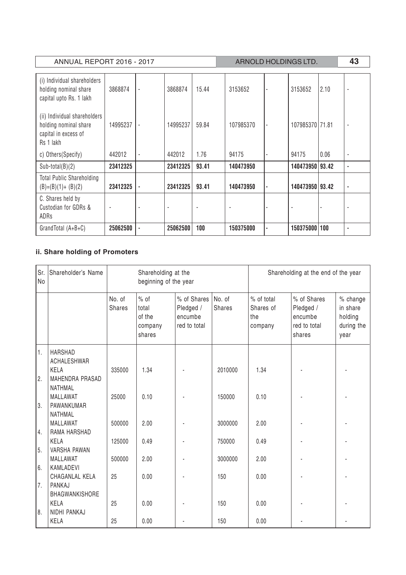| <b>ANNUAL REPORT 2016 - 2017</b>                                                           |                          |                          |                |       | ARNOLD HOLDINGS LTD. |  |                 |      | 43                       |
|--------------------------------------------------------------------------------------------|--------------------------|--------------------------|----------------|-------|----------------------|--|-----------------|------|--------------------------|
| (i) Individual shareholders<br>holding nominal share<br>capital upto Rs. 1 lakh            | 3868874                  | ×,                       | 3868874        | 15.44 | 3153652              |  | 3153652         | 2.10 | $\blacksquare$           |
| (ii) Individual shareholders<br>holding nominal share<br>capital in excess of<br>Rs 1 lakh | 14995237                 | $\overline{\phantom{a}}$ | 14995237       | 59.84 | 107985370            |  | 107985370 71.81 |      | ٠                        |
| c) Others (Specify)                                                                        | 442012                   | ٠                        | 442012         | 1.76  | 94175                |  | 94175           | 0.06 | $\overline{\phantom{a}}$ |
| $Sub-total(B)(2)$                                                                          | 23412325                 |                          | 23412325       | 93.41 | 140473950            |  | 140473950 93.42 |      | ٠                        |
| <b>Total Public Shareholding</b><br>$(B)=(B)(1)+(B)(2)$                                    | 23412325                 | ä,                       | 23412325       | 93.41 | 140473950            |  | 140473950 93.42 |      | ٠                        |
| C. Shares held by<br>Custodian for GDRs &<br>ADRs                                          | $\overline{\phantom{a}}$ |                          | $\blacksquare$ |       |                      |  |                 |      |                          |
| GrandTotal (A+B+C)                                                                         | 25062500                 |                          | 25062500       | 100   | 150375000            |  | 150375000 100   |      |                          |

## ii. Share holding of Promoters

| Sr.<br>No      | Shareholder's Name              |                  | Shareholding at the<br>beginning of the year   |                                                     |                  | Shareholding at the end of the year       |                                                               |                                                       |
|----------------|---------------------------------|------------------|------------------------------------------------|-----------------------------------------------------|------------------|-------------------------------------------|---------------------------------------------------------------|-------------------------------------------------------|
|                |                                 | No. of<br>Shares | $%$ of<br>total<br>of the<br>company<br>shares | % of Shares<br>Pledged /<br>encumbe<br>red to total | No. of<br>Shares | % of total<br>Shares of<br>the<br>company | % of Shares<br>Pledged /<br>encumbe<br>red to total<br>shares | % change<br>in share<br>holding<br>during the<br>year |
| $\mathbf{1}$ . | HARSHAD<br>ACHALESHWAR          |                  |                                                |                                                     |                  |                                           |                                                               |                                                       |
|                | KELA                            | 335000           | 1.34                                           |                                                     | 2010000          | 1.34                                      |                                                               |                                                       |
| 2.             | MAHENDRA PRASAD<br>NATHMAL      |                  |                                                |                                                     |                  |                                           |                                                               |                                                       |
| 3.             | MALLAWAT<br>PAWANKUMAR          | 25000            | 0.10                                           |                                                     | 150000           | 0.10                                      |                                                               |                                                       |
|                | NATHMAL                         |                  |                                                |                                                     |                  |                                           |                                                               |                                                       |
| 4.             | MALLAWAT<br>RAMA HARSHAD        | 500000           | 2.00                                           |                                                     | 3000000          | 2.00                                      |                                                               |                                                       |
|                | <b>KELA</b>                     | 125000           | 0.49                                           |                                                     | 750000           | 0.49                                      |                                                               |                                                       |
| 5.             | <b>VARSHA PAWAN</b><br>MALLAWAT | 500000           | 2.00                                           |                                                     | 3000000          | 2.00                                      |                                                               |                                                       |
| 6.             | KAMLADEVI                       |                  |                                                |                                                     |                  |                                           |                                                               |                                                       |
| 7.             | CHAGANLAL KELA<br>PANKAJ        | 25               | 0.00                                           |                                                     | 150              | 0.00                                      |                                                               |                                                       |
|                | BHAGWANKISHORE                  |                  |                                                |                                                     |                  |                                           |                                                               |                                                       |
| 8.             | KELA<br>NIDHI PANKAJ            | 25               | 0.00                                           |                                                     | 150              | 0.00                                      |                                                               |                                                       |
|                | KELA                            | 25               | 0.00                                           |                                                     | 150              | 0.00                                      |                                                               |                                                       |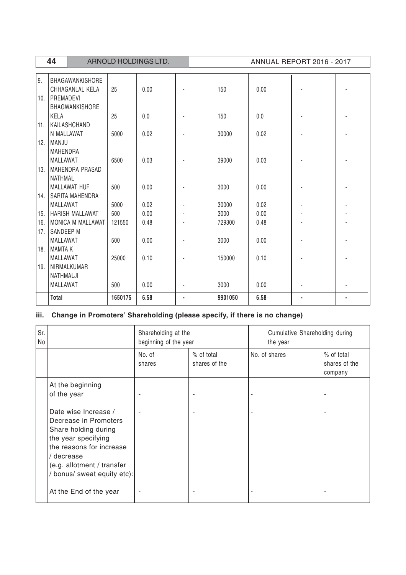|     | 44<br>ARNOLD HOLDINGS LTD. |                        |         | <b>ANNUAL REPORT 2016 - 2017</b> |         |      |                |                |
|-----|----------------------------|------------------------|---------|----------------------------------|---------|------|----------------|----------------|
|     |                            |                        |         |                                  |         |      |                |                |
| 9.  |                            | BHAGAWANKISHORE        |         |                                  |         |      |                |                |
|     |                            | CHHAGANLAL KELA        | 25      | 0.00                             | 150     | 0.00 |                |                |
| 10. | PREMADEVI                  |                        |         |                                  |         |      |                |                |
|     |                            | <b>BHAGWANKISHORE</b>  |         |                                  |         |      |                |                |
|     | KELA                       |                        | 25      | 0.0                              | 150     | 0.0  |                |                |
| 11. |                            | KAILASHCHAND           |         |                                  |         |      |                |                |
|     | N MALLAWAT                 |                        | 5000    | 0.02                             | 30000   | 0.02 |                |                |
| 12. | <b>MANJU</b>               |                        |         |                                  |         |      |                |                |
|     | <b>MAHENDRA</b>            |                        |         |                                  |         |      |                |                |
|     | MALLAWAT                   |                        | 6500    | 0.03                             | 39000   | 0.03 |                |                |
| 13. |                            | MAHENDRA PRASAD        |         |                                  |         |      |                |                |
|     | NATHMAL                    |                        |         |                                  |         |      |                |                |
|     |                            | <b>MALLAWAT HUF</b>    | 500     | 0.00                             | 3000    | 0.00 |                |                |
| 14. | MALLAWAT                   | SARITA MAHENDRA        | 5000    |                                  | 30000   | 0.02 |                |                |
| 15. |                            | <b>HARISH MALLAWAT</b> | 500     | 0.02<br>0.00                     | 3000    | 0.00 |                |                |
| 16. |                            | MONICA M MALLAWAT      | 121550  | 0.48                             | 729300  | 0.48 |                |                |
| 17. | SANDEEP M                  |                        |         |                                  |         |      |                |                |
|     | MALLAWAT                   |                        | 500     | 0.00                             | 3000    | 0.00 |                |                |
| 18. | MAMTA K                    |                        |         |                                  |         |      |                |                |
|     | MALLAWAT                   |                        | 25000   | 0.10                             | 150000  | 0.10 |                |                |
| 19. | NIRMALKUMAR                |                        |         |                                  |         |      |                |                |
|     | NATHMALJI                  |                        |         |                                  |         |      |                |                |
|     | MALLAWAT                   |                        | 500     | 0.00                             | 3000    | 0.00 |                |                |
|     | Total                      |                        | 1650175 | 6.58                             | 9901050 | 6.58 | $\blacksquare$ | $\blacksquare$ |

## iii. Change in Promoters' Shareholding (please specify, if there is no change)

| Sr.<br>No |                                                                                                                                                                                                     | Shareholding at the<br>beginning of the year |                             | Cumulative Shareholding during<br>the year |                                        |
|-----------|-----------------------------------------------------------------------------------------------------------------------------------------------------------------------------------------------------|----------------------------------------------|-----------------------------|--------------------------------------------|----------------------------------------|
|           |                                                                                                                                                                                                     | No. of<br>shares                             | % of total<br>shares of the | No. of shares                              | % of total<br>shares of the<br>company |
|           | At the beginning<br>of the year                                                                                                                                                                     |                                              |                             |                                            |                                        |
|           | Date wise Increase /<br>Decrease in Promoters<br>Share holding during<br>the year specifying<br>the reasons for increase<br>/ decrease<br>(e.g. allotment / transfer<br>/ bonus/ sweat equity etc): |                                              |                             |                                            |                                        |
|           | At the End of the year                                                                                                                                                                              |                                              |                             |                                            |                                        |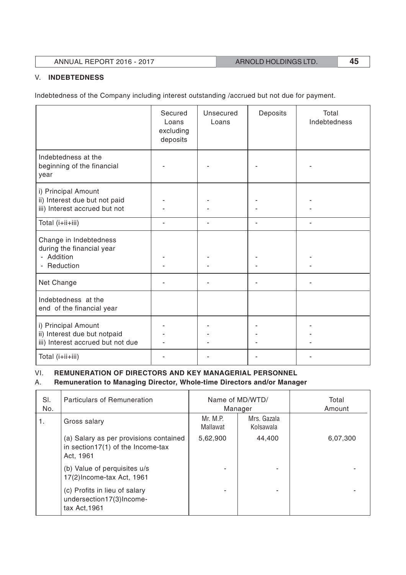ANNUAL REPORT 2016 - 2017 ARNOLD HOLDINGS LTD. 45

### V. INDEBTEDNESS

Indebtedness of the Company including interest outstanding /accrued but not due for payment.

|                                                                                          | Secured<br>Loans<br>excluding<br>deposits | Unsecured<br>Loans | Deposits | Total<br>Indebtedness |
|------------------------------------------------------------------------------------------|-------------------------------------------|--------------------|----------|-----------------------|
| Indebtedness at the<br>beginning of the financial<br>year                                |                                           |                    |          |                       |
| i) Principal Amount<br>ii) Interest due but not paid<br>iii) Interest accrued but not    |                                           |                    |          |                       |
| Total (i+ii+iii)                                                                         |                                           |                    |          |                       |
| Change in Indebtedness<br>during the financial year<br>- Addition<br>- Reduction         |                                           |                    |          |                       |
| Net Change                                                                               |                                           |                    |          |                       |
| Indebtedness at the<br>end of the financial year                                         |                                           |                    |          |                       |
| i) Principal Amount<br>ii) Interest due but notpaid<br>iii) Interest accrued but not due |                                           |                    |          |                       |
| Total (i+ii+iii)                                                                         |                                           |                    |          |                       |

## VI. REMUNERATION OF DIRECTORS AND KEY MANAGERIAL PERSONNEL

A. Remuneration to Managing Director, Whole-time Directors and/or Manager

| SI.<br>No. | Particulars of Remuneration                                                              |                      | Name of MD/WTD/<br>Manager | Total<br>Amount |
|------------|------------------------------------------------------------------------------------------|----------------------|----------------------------|-----------------|
| 1.         | Gross salary                                                                             | Mr. M.P.<br>Mallawat | Mrs. Gazala<br>Kolsawala   |                 |
|            | (a) Salary as per provisions contained<br>in section17(1) of the Income-tax<br>Act. 1961 | 5,62,900             | 44,400                     | 6,07,300        |
|            | (b) Value of perquisites u/s<br>17(2) Income-tax Act, 1961                               | ۰                    | ۰                          |                 |
|            | (c) Profits in lieu of salary<br>undersection17(3)Income-<br>tax Act, 1961               |                      |                            |                 |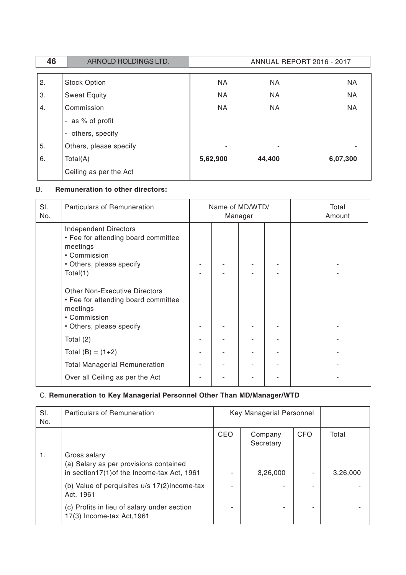| 46       | ARNOLD HOLDINGS LTD.                        | <b>ANNUAL REPORT 2016 - 2017</b> |                 |                        |
|----------|---------------------------------------------|----------------------------------|-----------------|------------------------|
| 2.<br>3. | <b>Stock Option</b><br><b>Sweat Equity</b>  | NA<br><b>NA</b>                  | NA<br><b>NA</b> | <b>NA</b><br><b>NA</b> |
| 4.       | Commission<br>- as % of profit              | <b>NA</b>                        | <b>NA</b>       | <b>NA</b>              |
| 5.       | - others, specify<br>Others, please specify | ٠                                |                 |                        |
| 6.       | Total(A)<br>Ceiling as per the Act          | 5,62,900                         | 44,400          | 6,07,300               |

## B. Remuneration to other directors:

| SI.<br>No. | <b>Particulars of Remuneration</b>                                                                                                      | Name of MD/WTD/<br>Manager |  | Total<br>Amount |  |
|------------|-----------------------------------------------------------------------------------------------------------------------------------------|----------------------------|--|-----------------|--|
|            | <b>Independent Directors</b><br>• Fee for attending board committee<br>meetings<br>• Commission<br>• Others, please specify<br>Total(1) |                            |  |                 |  |
|            | <b>Other Non-Executive Directors</b><br>• Fee for attending board committee<br>meetings<br>• Commission<br>• Others, please specify     |                            |  |                 |  |
|            | Total $(2)$                                                                                                                             |                            |  |                 |  |
|            | Total $(B) = (1+2)$                                                                                                                     |                            |  |                 |  |
|            | <b>Total Managerial Remuneration</b>                                                                                                    |                            |  |                 |  |
|            | Over all Ceiling as per the Act                                                                                                         |                            |  |                 |  |

## C. Remuneration to Key Managerial Personnel Other Than MD/Manager/WTD

| SI.<br>No. | <b>Particulars of Remuneration</b>                                                                    |            | Key Managerial Personnel |            |          |
|------------|-------------------------------------------------------------------------------------------------------|------------|--------------------------|------------|----------|
|            |                                                                                                       | <b>CEO</b> | Company<br>Secretary     | <b>CFO</b> | Total    |
| 1.         | Gross salary<br>(a) Salary as per provisions contained<br>in section17(1) of the Income-tax Act, 1961 |            | 3,26,000                 |            | 3,26,000 |
|            | (b) Value of perquisites u/s 17(2) Income-tax<br>Act, 1961                                            |            |                          | ۰          |          |
|            | (c) Profits in lieu of salary under section<br>17(3) Income-tax Act, 1961                             |            |                          |            |          |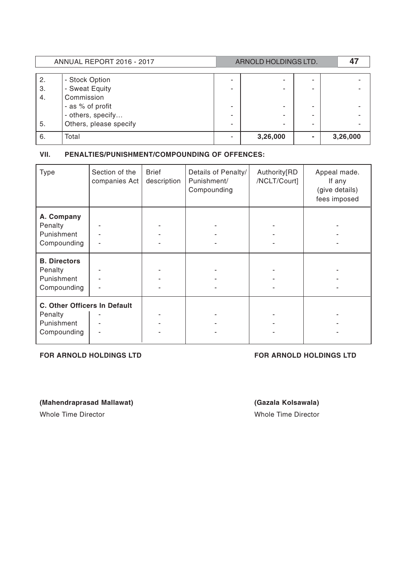| <b>ANNUAL REPORT 2016 - 2017</b> |                        | ARNOLD HOLDINGS LTD. |          |
|----------------------------------|------------------------|----------------------|----------|
|                                  |                        |                      |          |
| 2.                               | - Stock Option         | ۰                    |          |
| 3.                               | - Sweat Equity         | ۰                    |          |
| -4.                              | Commission             |                      |          |
|                                  | - as % of profit       | ۰                    |          |
|                                  | - others, specify      | ۰                    |          |
| 5.                               | Others, please specify | -                    |          |
| 6.                               | Total                  | 3,26,000             | 3,26,000 |

### VII. PENALTIES/PUNISHMENT/COMPOUNDING OF OFFENCES:

| <b>Type</b>                                                                 | Section of the<br>companies Act | <b>Brief</b><br>description | Details of Penalty/<br>Punishment/<br>Compounding | Authority[RD<br>/NCLT/Court] | Appeal made.<br>If any<br>(give details)<br>fees imposed |
|-----------------------------------------------------------------------------|---------------------------------|-----------------------------|---------------------------------------------------|------------------------------|----------------------------------------------------------|
| A. Company<br>Penalty<br>Punishment<br>Compounding                          |                                 |                             |                                                   |                              |                                                          |
| <b>B. Directors</b><br>Penalty<br>Punishment<br>Compounding                 |                                 |                             |                                                   |                              |                                                          |
| <b>C. Other Officers In Default</b><br>Penalty<br>Punishment<br>Compounding |                                 |                             |                                                   |                              |                                                          |

#### FOR ARNOLD HOLDINGS LTD FOR ARNOLD HOLDINGS LTD

(Mahendraprasad Mallawat) (Gazala Kolsawala)

Whole Time Director Whole Time Director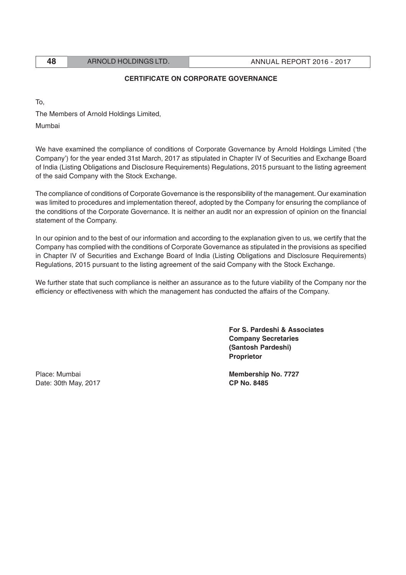ARNOLD HOLDINGS LTD. ANNUAL REPORT 2016 - 2017

#### CERTIFICATE ON CORPORATE GOVERNANCE

To,

The Members of Arnold Holdings Limited,

Mumbai

48

We have examined the compliance of conditions of Corporate Governance by Arnold Holdings Limited ('the Company') for the year ended 31st March, 2017 as stipulated in Chapter IV of Securities and Exchange Board of India (Listing Obligations and Disclosure Requirements) Regulations, 2015 pursuant to the listing agreement of the said Company with the Stock Exchange.

The compliance of conditions of Corporate Governance is the responsibility of the management. Our examination was limited to procedures and implementation thereof, adopted by the Company for ensuring the compliance of the conditions of the Corporate Governance. It is neither an audit nor an expression of opinion on the financial statement of the Company.

In our opinion and to the best of our information and according to the explanation given to us, we certify that the Company has complied with the conditions of Corporate Governance as stipulated in the provisions as specified in Chapter IV of Securities and Exchange Board of India (Listing Obligations and Disclosure Requirements) Regulations, 2015 pursuant to the listing agreement of the said Company with the Stock Exchange.

We further state that such compliance is neither an assurance as to the future viability of the Company nor the efficiency or effectiveness with which the management has conducted the affairs of the Company.

Date: 30th May, 2017 **CP No. 8485** 

For S. Pardeshi & Associates Company Secretaries (Santosh Pardeshi) Proprietor

Place: Mumbai **Membership No. 7727**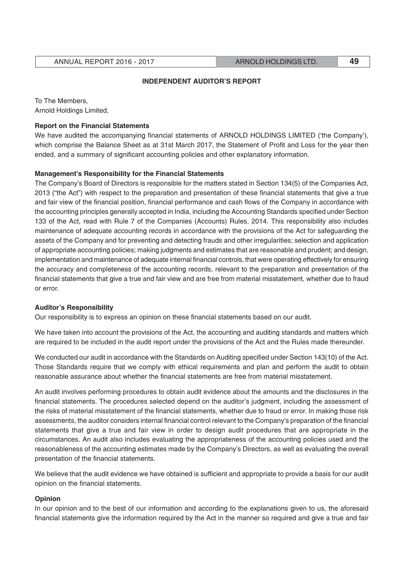#### INDEPENDENT AUDITOR'S REPORT

To The Members, Arnold Holdings Limited,

#### Report on the Financial Statements

We have audited the accompanying financial statements of ARNOLD HOLDINGS LIMITED ('the Company'), which comprise the Balance Sheet as at 31st March 2017, the Statement of Profit and Loss for the year then ended, and a summary of significant accounting policies and other explanatory information.

#### Management's Responsibility for the Financial Statements

The Company's Board of Directors is responsible for the matters stated in Section 134(5) of the Companies Act, 2013 ("the Act") with respect to the preparation and presentation of these financial statements that give a true and fair view of the financial position, financial performance and cash flows of the Company in accordance with the accounting principles generally accepted in India, including the Accounting Standards specified under Section 133 of the Act, read with Rule 7 of the Companies (Accounts) Rules, 2014. This responsibility also includes maintenance of adequate accounting records in accordance with the provisions of the Act for safeguarding the assets of the Company and for preventing and detecting frauds and other irregularities; selection and application of appropriate accounting policies; making judgments and estimates that are reasonable and prudent; and design, implementation and maintenance of adequate internal financial controls, that were operating effectively for ensuring the accuracy and completeness of the accounting records, relevant to the preparation and presentation of the financial statements that give a true and fair view and are free from material misstatement, whether due to fraud or error.

#### Auditor's Responsibility

Our responsibility is to express an opinion on these financial statements based on our audit.

We have taken into account the provisions of the Act, the accounting and auditing standards and matters which are required to be included in the audit report under the provisions of the Act and the Rules made thereunder.

We conducted our audit in accordance with the Standards on Auditing specified under Section 143(10) of the Act. Those Standards require that we comply with ethical requirements and plan and perform the audit to obtain reasonable assurance about whether the financial statements are free from material misstatement.

An audit involves performing procedures to obtain audit evidence about the amounts and the disclosures in the financial statements. The procedures selected depend on the auditor's judgment, including the assessment of the risks of material misstatement of the financial statements, whether due to fraud or error. In making those risk assessments, the auditor considers internal financial control relevant to the Company's preparation of the financial statements that give a true and fair view in order to design audit procedures that are appropriate in the circumstances. An audit also includes evaluating the appropriateness of the accounting policies used and the reasonableness of the accounting estimates made by the Company's Directors, as well as evaluating the overall presentation of the financial statements.

We believe that the audit evidence we have obtained is sufficient and appropriate to provide a basis for our audit opinion on the financial statements.

#### Opinion

In our opinion and to the best of our information and according to the explanations given to us, the aforesaid financial statements give the information required by the Act in the manner so required and give a true and fair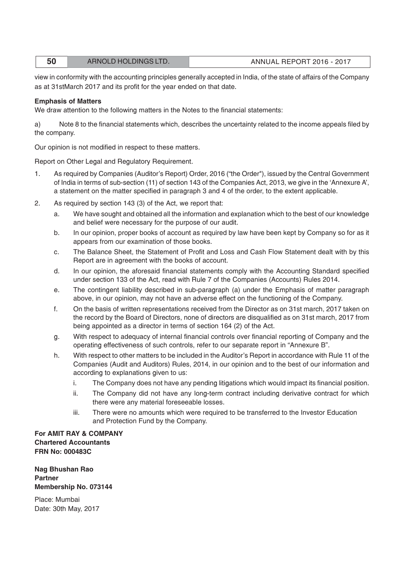| 50 | ARNOLD HOLDINGS LTD. | <b>ANNUAL REPORT 2016 - 2017</b> |
|----|----------------------|----------------------------------|
|----|----------------------|----------------------------------|

view in conformity with the accounting principles generally accepted in India, of the state of affairs of the Company as at 31stMarch 2017 and its profit for the year ended on that date.

#### Emphasis of Matters

We draw attention to the following matters in the Notes to the financial statements:

a) Note 8 to the financial statements which, describes the uncertainty related to the income appeals filed by the company.

Our opinion is not modified in respect to these matters.

Report on Other Legal and Regulatory Requirement.

- 1. As required by Companies (Auditor's Report) Order, 2016 ("the Order"), issued by the Central Government of India in terms of sub-section (11) of section 143 of the Companies Act, 2013, we give in the 'Annexure A', a statement on the matter specified in paragraph 3 and 4 of the order, to the extent applicable.
- 2. As required by section 143 (3) of the Act, we report that:
	- a. We have sought and obtained all the information and explanation which to the best of our knowledge and belief were necessary for the purpose of our audit.
	- b. In our opinion, proper books of account as required by law have been kept by Company so for as it appears from our examination of those books.
	- c. The Balance Sheet, the Statement of Profit and Loss and Cash Flow Statement dealt with by this Report are in agreement with the books of account.
	- d. In our opinion, the aforesaid financial statements comply with the Accounting Standard specified under section 133 of the Act, read with Rule 7 of the Companies (Accounts) Rules 2014.
	- e. The contingent liability described in sub-paragraph (a) under the Emphasis of matter paragraph above, in our opinion, may not have an adverse effect on the functioning of the Company.
	- f. On the basis of written representations received from the Director as on 31st march, 2017 taken on the record by the Board of Directors, none of directors are disqualified as on 31st march, 2017 from being appointed as a director in terms of section 164 (2) of the Act.
	- g. With respect to adequacy of internal financial controls over financial reporting of Company and the operating effectiveness of such controls, refer to our separate report in "Annexure B".
	- h. With respect to other matters to be included in the Auditor's Report in accordance with Rule 11 of the Companies (Audit and Auditors) Rules, 2014, in our opinion and to the best of our information and according to explanations given to us:
		- i. The Company does not have any pending litigations which would impact its financial position.
		- ii. The Company did not have any long-term contract including derivative contract for which there were any material foreseeable losses.
		- iii. There were no amounts which were required to be transferred to the Investor Education and Protection Fund by the Company.

For AMIT RAY & COMPANY Chartered Accountants FRN No: 000483C

Nag Bhushan Rao Partner Membership No. 073144

Place: Mumbai Date: 30th May, 2017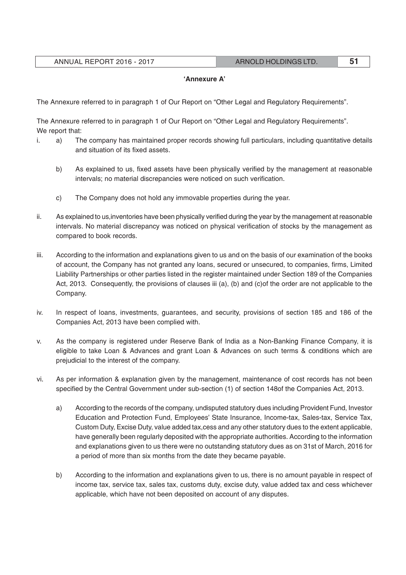#### ANNUAL REPORT 2016 - 2017 ARNOLD HOLDINGS LTD.

#### 51

#### 'Annexure A'

The Annexure referred to in paragraph 1 of Our Report on "Other Legal and Regulatory Requirements".

The Annexure referred to in paragraph 1 of Our Report on "Other Legal and Regulatory Requirements". We report that:

- i. a) The company has maintained proper records showing full particulars, including quantitative details and situation of its fixed assets.
	- b) As explained to us, fixed assets have been physically verified by the management at reasonable intervals; no material discrepancies were noticed on such verification.
	- c) The Company does not hold any immovable properties during the year.
- ii. As explained to us,inventories have been physically verified during the year by the management at reasonable intervals. No material discrepancy was noticed on physical verification of stocks by the management as compared to book records.
- iii. According to the information and explanations given to us and on the basis of our examination of the books of account, the Company has not granted any loans, secured or unsecured, to companies, firms, Limited Liability Partnerships or other parties listed in the register maintained under Section 189 of the Companies Act, 2013. Consequently, the provisions of clauses iii (a), (b) and (c) of the order are not applicable to the Company.
- iv. In respect of loans, investments, guarantees, and security, provisions of section 185 and 186 of the Companies Act, 2013 have been complied with.
- v. As the company is registered under Reserve Bank of India as a Non-Banking Finance Company, it is eligible to take Loan & Advances and grant Loan & Advances on such terms & conditions which are prejudicial to the interest of the company.
- vi. As per information & explanation given by the management, maintenance of cost records has not been specified by the Central Government under sub-section (1) of section 148of the Companies Act, 2013.
	- a) According to the records of the company, undisputed statutory dues including Provident Fund, Investor Education and Protection Fund, Employees' State Insurance, Income-tax, Sales-tax, Service Tax, Custom Duty, Excise Duty, value added tax,cess and any other statutory dues to the extent applicable, have generally been regularly deposited with the appropriate authorities. According to the information and explanations given to us there were no outstanding statutory dues as on 31st of March, 2016 for a period of more than six months from the date they became payable.
	- b) According to the information and explanations given to us, there is no amount payable in respect of income tax, service tax, sales tax, customs duty, excise duty, value added tax and cess whichever applicable, which have not been deposited on account of any disputes.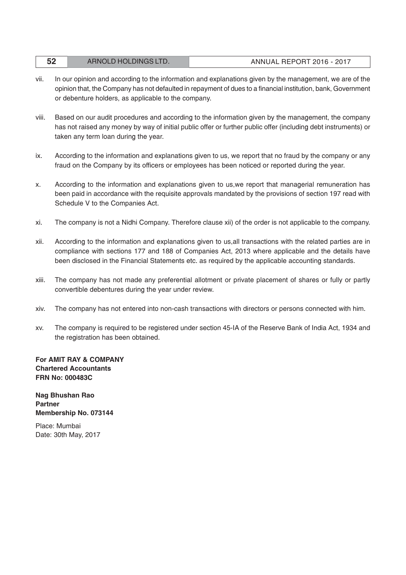| 52 | ARNOLD HOLDINGS LTD. | <b>ANNUAL REPORT 2016 - 2017</b> |
|----|----------------------|----------------------------------|
|----|----------------------|----------------------------------|

- vii. In our opinion and according to the information and explanations given by the management, we are of the opinion that, the Company has not defaulted in repayment of dues to a financial institution, bank, Government or debenture holders, as applicable to the company.
- viii. Based on our audit procedures and according to the information given by the management, the company has not raised any money by way of initial public offer or further public offer (including debt instruments) or taken any term loan during the year.
- ix. According to the information and explanations given to us, we report that no fraud by the company or any fraud on the Company by its officers or employees has been noticed or reported during the year.
- x. According to the information and explanations given to us,we report that managerial remuneration has been paid in accordance with the requisite approvals mandated by the provisions of section 197 read with Schedule V to the Companies Act.
- xi. The company is not a Nidhi Company. Therefore clause xii) of the order is not applicable to the company.
- xii. According to the information and explanations given to us,all transactions with the related parties are in compliance with sections 177 and 188 of Companies Act, 2013 where applicable and the details have been disclosed in the Financial Statements etc. as required by the applicable accounting standards.
- xiii. The company has not made any preferential allotment or private placement of shares or fully or partly convertible debentures during the year under review.
- xiv. The company has not entered into non-cash transactions with directors or persons connected with him.
- xv. The company is required to be registered under section 45-IA of the Reserve Bank of India Act, 1934 and the registration has been obtained.

For AMIT RAY & COMPANY Chartered Accountants FRN No: 000483C

Nag Bhushan Rao Partner Membership No. 073144

Place: Mumbai Date: 30th May, 2017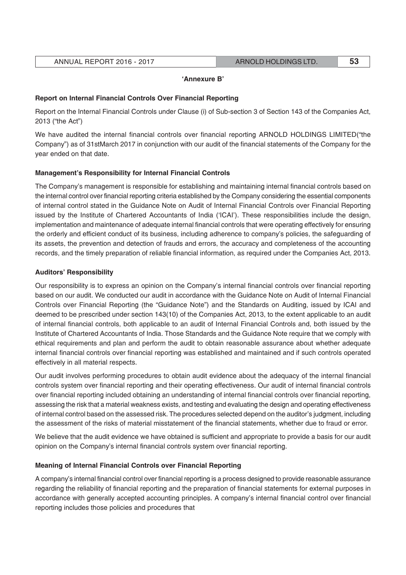| <b>ANNUAL REPORT 2016 - 2017</b> | ARNOLD HOLDINGS LTD. | IJ |
|----------------------------------|----------------------|----|
|----------------------------------|----------------------|----|

#### 'Annexure B'

#### Report on Internal Financial Controls Over Financial Reporting

Report on the Internal Financial Controls under Clause (i) of Sub-section 3 of Section 143 of the Companies Act, 2013 ("the Act")

We have audited the internal financial controls over financial reporting ARNOLD HOLDINGS LIMITED("the Company") as of 31stMarch 2017 in conjunction with our audit of the financial statements of the Company for the year ended on that date.

#### Management's Responsibility for Internal Financial Controls

The Company's management is responsible for establishing and maintaining internal financial controls based on the internal control over financial reporting criteria established by the Company considering the essential components of internal control stated in the Guidance Note on Audit of Internal Financial Controls over Financial Reporting issued by the Institute of Chartered Accountants of India ('ICAI'). These responsibilities include the design, implementation and maintenance of adequate internal financial controls that were operating effectively for ensuring the orderly and efficient conduct of its business, including adherence to company's policies, the safeguarding of its assets, the prevention and detection of frauds and errors, the accuracy and completeness of the accounting records, and the timely preparation of reliable financial information, as required under the Companies Act, 2013.

#### Auditors' Responsibility

Our responsibility is to express an opinion on the Company's internal financial controls over financial reporting based on our audit. We conducted our audit in accordance with the Guidance Note on Audit of Internal Financial Controls over Financial Reporting (the "Guidance Note") and the Standards on Auditing, issued by ICAI and deemed to be prescribed under section 143(10) of the Companies Act, 2013, to the extent applicable to an audit of internal financial controls, both applicable to an audit of Internal Financial Controls and, both issued by the Institute of Chartered Accountants of India. Those Standards and the Guidance Note require that we comply with ethical requirements and plan and perform the audit to obtain reasonable assurance about whether adequate internal financial controls over financial reporting was established and maintained and if such controls operated effectively in all material respects.

Our audit involves performing procedures to obtain audit evidence about the adequacy of the internal financial controls system over financial reporting and their operating effectiveness. Our audit of internal financial controls over financial reporting included obtaining an understanding of internal financial controls over financial reporting, assessing the risk that a material weakness exists, and testing and evaluating the design and operating effectiveness of internal control based on the assessed risk. The procedures selected depend on the auditor's judgment, including the assessment of the risks of material misstatement of the financial statements, whether due to fraud or error.

We believe that the audit evidence we have obtained is sufficient and appropriate to provide a basis for our audit opinion on the Company's internal financial controls system over financial reporting.

### Meaning of Internal Financial Controls over Financial Reporting

A company's internal financial control over financial reporting is a process designed to provide reasonable assurance regarding the reliability of financial reporting and the preparation of financial statements for external purposes in accordance with generally accepted accounting principles. A company's internal financial control over financial reporting includes those policies and procedures that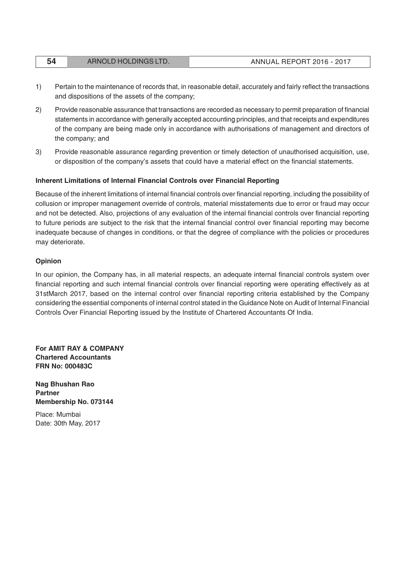| 54 | ARNOLD HOLDINGS LTD. | <b>ANNUAL REPORT 2016 - 2017</b> |
|----|----------------------|----------------------------------|
|----|----------------------|----------------------------------|

- 1) Pertain to the maintenance of records that, in reasonable detail, accurately and fairly reflect the transactions and dispositions of the assets of the company;
- 2) Provide reasonable assurance that transactions are recorded as necessary to permit preparation of financial statements in accordance with generally accepted accounting principles, and that receipts and expenditures of the company are being made only in accordance with authorisations of management and directors of the company; and
- 3) Provide reasonable assurance regarding prevention or timely detection of unauthorised acquisition, use, or disposition of the company's assets that could have a material effect on the financial statements.

#### Inherent Limitations of Internal Financial Controls over Financial Reporting

Because of the inherent limitations of internal financial controls over financial reporting, including the possibility of collusion or improper management override of controls, material misstatements due to error or fraud may occur and not be detected. Also, projections of any evaluation of the internal financial controls over financial reporting to future periods are subject to the risk that the internal financial control over financial reporting may become inadequate because of changes in conditions, or that the degree of compliance with the policies or procedures may deteriorate.

#### Opinion

In our opinion, the Company has, in all material respects, an adequate internal financial controls system over financial reporting and such internal financial controls over financial reporting were operating effectively as at 31stMarch 2017, based on the internal control over financial reporting criteria established by the Company considering the essential components of internal control stated in the Guidance Note on Audit of Internal Financial Controls Over Financial Reporting issued by the Institute of Chartered Accountants Of India.

For AMIT RAY & COMPANY Chartered Accountants FRN No: 000483C

Nag Bhushan Rao Partner Membership No. 073144

Place: Mumbai Date: 30th May, 2017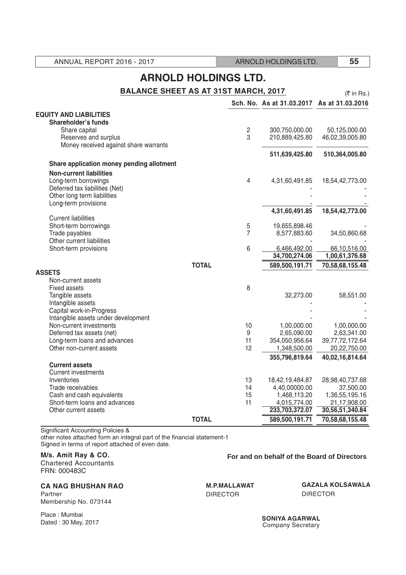ANNUAL REPORT 2016 - 2017 ARNOLD HOLDINGS LTD.

55

 $($ ₹ in Rs.)

## ARNOLD HOLDINGS LTD.

BALANCE SHEET AS AT 31ST MARCH, 2017

|                                                                 |              |                     | Sch. No. As at 31.03.2017 As at 31.03.2016 |                 |
|-----------------------------------------------------------------|--------------|---------------------|--------------------------------------------|-----------------|
| <b>EQUITY AND LIABILITIES</b>                                   |              |                     |                                            |                 |
| <b>Shareholder's funds</b>                                      |              |                     |                                            |                 |
| Share capital                                                   |              | $\overline{c}$<br>3 | 300,750,000.00                             | 50,125,000.00   |
| Reserves and surplus<br>Money received against share warrants   |              |                     | 210,889,425.80                             | 46,02,39,005.80 |
|                                                                 |              |                     | 511,639,425.80                             | 510,364,005.80  |
| Share application money pending allotment                       |              |                     |                                            |                 |
| <b>Non-current liabilities</b>                                  |              |                     |                                            |                 |
| Long-term borrowings                                            |              | 4                   | 4,31,60,491.85                             | 18,54,42,773.00 |
| Deferred tax liabilities (Net)                                  |              |                     |                                            |                 |
| Other long term liabilities                                     |              |                     |                                            |                 |
| Long-term provisions                                            |              |                     |                                            |                 |
|                                                                 |              |                     | 4,31,60,491.85                             | 18,54,42,773.00 |
| <b>Current liabilities</b>                                      |              |                     |                                            |                 |
| Short-term borrowings                                           |              | 5<br>$\overline{7}$ | 19,655,898.46                              |                 |
| Trade payables<br>Other current liabilities                     |              |                     | 8,577,883.60                               | 34,50,860.68    |
| Short-term provisions                                           |              | 6                   | 6,466,492.00                               | 66,10,516.00    |
|                                                                 |              |                     | 34,700,274.06                              | 1,00,61,376.68  |
|                                                                 | <b>TOTAL</b> |                     | 589,500,191.71                             | 70,58,68,155.48 |
| <b>ASSETS</b>                                                   |              |                     |                                            |                 |
| Non-current assets                                              |              |                     |                                            |                 |
| <b>Fixed assets</b>                                             |              | 8                   |                                            |                 |
| Tangible assets                                                 |              |                     | 32,273.00                                  | 58,551.00       |
| Intangible assets                                               |              |                     |                                            |                 |
| Capital work-in-Progress<br>Intangible assets under development |              |                     |                                            |                 |
| Non-current investments                                         |              | 10                  | 1,00,000.00                                | 1,00,000.00     |
| Deferred tax assets (net)                                       |              | 9                   | 2,65,090.00                                | 2,63,341.00     |
| Long-term loans and advances                                    |              | 11                  | 354,050,956.64                             | 39,77,72,172.64 |
| Other non-current assets                                        |              | 12                  | 1,348,500.00                               | 20,22,750.00    |
|                                                                 |              |                     | 355,796,819.64                             | 40,02,16,814.64 |
| <b>Current assets</b>                                           |              |                     |                                            |                 |
| <b>Current investments</b>                                      |              |                     |                                            |                 |
| Inventories                                                     |              | 13                  | 18,42,19,484.87                            | 28,98,40,737.68 |
| Trade receivables                                               |              | 14                  | 4,40,00000.00                              | 37,500.00       |
| Cash and cash equivalents                                       |              | 15                  | 1,468,113.20                               | 1,36,55,195.16  |
| Short-term loans and advances                                   |              | 11                  | 4,015,774.00                               | 21,17,908.00    |
| Other current assets                                            |              |                     | 233,703,372.07                             | 30,56,51,340.84 |
|                                                                 | <b>TOTAL</b> |                     | 589,500,191.71                             | 70,58,68,155.48 |

Significant Accounting Policies & other notes attached form an integral part of the financial statement-1 Signed in terms of report attached of even date.

M/s. Amit Ray & CO. **For and on behalf of the Board of Directors** Chartered Accountants FRN: 000483C

CA NAG BHUSHAN RAO Partner Membership No. 073144

M.P.MALLAWAT DIRECTOR

GAZALA KOLSAWALA DIRECTOR

Place : Mumbal<br>Dated : 30 May, 2017 Sonic Sonic Sonic Sonic Sonic Sonic Sonic Sonic Secretary Company Secretary

Place : Mumbai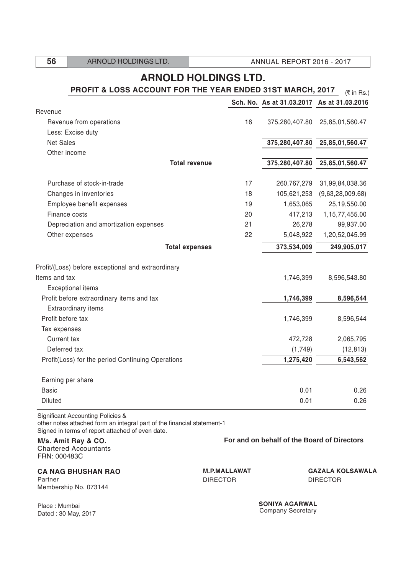56

ARNOLD HOLDINGS LTD. ANNUAL REPORT 2016 - 2017

## ARNOLD HOLDINGS LTD.

| PROFIT & LOSS ACCOUNT FOR THE YEAR ENDED 31ST MARCH, 2017 |    |                                            | $($ ₹ in Rs.)    |
|-----------------------------------------------------------|----|--------------------------------------------|------------------|
|                                                           |    | Sch. No. As at 31.03.2017 As at 31.03.2016 |                  |
| Revenue                                                   |    |                                            |                  |
| Revenue from operations                                   | 16 | 375,280,407.80                             | 25,85,01,560.47  |
| Less: Excise duty                                         |    |                                            |                  |
| <b>Net Sales</b>                                          |    | 375,280,407.80                             | 25,85,01,560.47  |
| Other income                                              |    |                                            |                  |
| <b>Total revenue</b>                                      |    | 375,280,407.80                             | 25,85,01,560.47  |
| Purchase of stock-in-trade                                | 17 | 260,767,279                                | 31,99,84,038.36  |
| Changes in inventories                                    | 18 | 105,621,253                                | (9,63,28,009.68) |
| Employee benefit expenses                                 | 19 | 1,653,065                                  | 25,19,550.00     |
| Finance costs                                             | 20 | 417,213                                    | 1,15,77,455.00   |
| Depreciation and amortization expenses                    | 21 | 26,278                                     | 99,937.00        |
| Other expenses                                            | 22 | 5,048,922                                  | 1,20,52,045.99   |
| <b>Total expenses</b>                                     |    | 373,534,009                                | 249,905,017      |
| Profit/(Loss) before exceptional and extraordinary        |    |                                            |                  |
| Items and tax                                             |    | 1,746,399                                  | 8,596,543.80     |
| <b>Exceptional items</b>                                  |    |                                            |                  |
| Profit before extraordinary items and tax                 |    | 1,746,399                                  | 8,596,544        |
| Extraordinary items                                       |    |                                            |                  |
| Profit before tax                                         |    | 1,746,399                                  | 8,596,544        |
| Tax expenses                                              |    |                                            |                  |
| <b>Current tax</b>                                        |    | 472,728                                    | 2,065,795        |
| Deferred tax                                              |    | (1,749)                                    | (12, 813)        |
| Profit(Loss) for the period Continuing Operations         |    | 1,275,420                                  | 6,543,562        |
| Earning per share                                         |    |                                            |                  |
| <b>Basic</b>                                              |    | 0.01                                       | 0.26             |
| <b>Diluted</b>                                            |    | 0.01                                       | 0.26             |

Significant Accounting Policies & other notes attached form an integral part of the financial statement-1 Signed in terms of report attached of even date.

M/s. Amit Ray & CO. **For and on behalf of the Board of Directors** Chartered Accountants FRN: 000483C

#### CA NAG BHUSHAN RAO

Partner Membership No. 073144

Place : Mumbai Dated : 30 May, 2017

M.P.MALLAWAT DIRECTOR

GAZALA KOLSAWALA DIRECTOR

SONIYA AGARWAL Company Secretary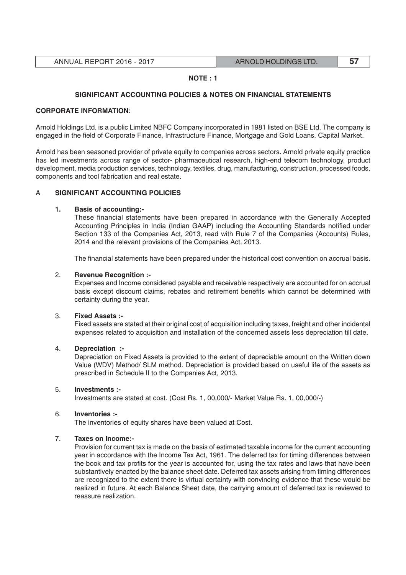| <b>ANNUAL REPORT 2016 - 2017</b> | ARNOLD HOLDINGS LTD. |  |
|----------------------------------|----------------------|--|
|----------------------------------|----------------------|--|

#### NOTE : 1

#### SIGNIFICANT ACCOUNTING POLICIES & NOTES ON FINANCIAL STATEMENTS

#### CORPORATE INFORMATION:

Arnold Holdings Ltd. is a public Limited NBFC Company incorporated in 1981 listed on BSE Ltd. The company is engaged in the field of Corporate Finance, Infrastructure Finance, Mortgage and Gold Loans, Capital Market.

Arnold has been seasoned provider of private equity to companies across sectors. Arnold private equity practice has led investments across range of sector- pharmaceutical research, high-end telecom technology, product development, media production services, technology, textiles, drug, manufacturing, construction, processed foods, components and tool fabrication and real estate.

#### A SIGNIFICANT ACCOUNTING POLICIES

#### 1. Basis of accounting:-

These financial statements have been prepared in accordance with the Generally Accepted Accounting Principles in India (Indian GAAP) including the Accounting Standards notified under Section 133 of the Companies Act, 2013, read with Rule 7 of the Companies (Accounts) Rules, 2014 and the relevant provisions of the Companies Act, 2013.

The financial statements have been prepared under the historical cost convention on accrual basis.

#### 2. Revenue Recognition :-

Expenses and Income considered payable and receivable respectively are accounted for on accrual basis except discount claims, rebates and retirement benefits which cannot be determined with certainty during the year.

#### 3. Fixed Assets :-

Fixed assets are stated at their original cost of acquisition including taxes, freight and other incidental expenses related to acquisition and installation of the concerned assets less depreciation till date.

#### 4. Depreciation :-

Depreciation on Fixed Assets is provided to the extent of depreciable amount on the Written down Value (WDV) Method/ SLM method. Depreciation is provided based on useful life of the assets as prescribed in Schedule II to the Companies Act, 2013.

#### 5. Investments :-

Investments are stated at cost. (Cost Rs. 1, 00,000/- Market Value Rs. 1, 00,000/-)

#### 6. Inventories :-

The inventories of equity shares have been valued at Cost.

#### 7. Taxes on Income:-

Provision for current tax is made on the basis of estimated taxable income for the current accounting year in accordance with the Income Tax Act, 1961. The deferred tax for timing differences between the book and tax profits for the year is accounted for, using the tax rates and laws that have been substantively enacted by the balance sheet date. Deferred tax assets arising from timing differences are recognized to the extent there is virtual certainty with convincing evidence that these would be realized in future. At each Balance Sheet date, the carrying amount of deferred tax is reviewed to reassure realization.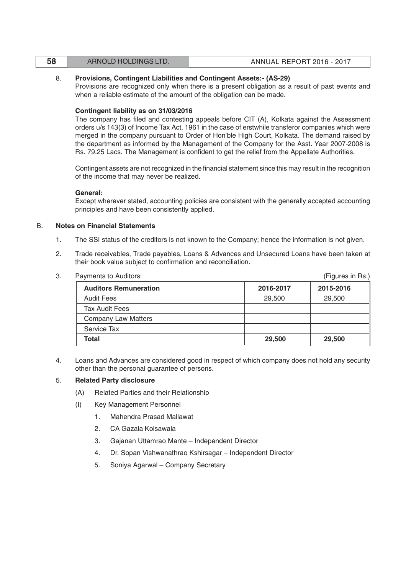#### 8. Provisions, Contingent Liabilities and Contingent Assets:- (AS-29)

Provisions are recognized only when there is a present obligation as a result of past events and when a reliable estimate of the amount of the obligation can be made.

#### Contingent liability as on 31/03/2016

The company has filed and contesting appeals before CIT (A), Kolkata against the Assessment orders u/s 143(3) of Income Tax Act, 1961 in the case of erstwhile transferor companies which were merged in the company pursuant to Order of Hon'ble High Court, Kolkata. The demand raised by the department as informed by the Management of the Company for the Asst. Year 2007-2008 is Rs. 79.25 Lacs. The Management is confident to get the relief from the Appellate Authorities.

Contingent assets are not recognized in the financial statement since this may result in the recognition of the income that may never be realized.

#### General:

Except wherever stated, accounting policies are consistent with the generally accepted accounting principles and have been consistently applied.

#### B. Notes on Financial Statements

- 1. The SSI status of the creditors is not known to the Company; hence the information is not given.
- 2. Trade receivables, Trade payables, Loans & Advances and Unsecured Loans have been taken at their book value subject to confirmation and reconciliation.

| Payments to Auditors:        |           | (Figures in Rs.) |
|------------------------------|-----------|------------------|
| <b>Auditors Remuneration</b> | 2016-2017 | 2015-2016        |
| <b>Audit Fees</b>            | 29,500    | 29,500           |
| <b>Tax Audit Fees</b>        |           |                  |
| <b>Company Law Matters</b>   |           |                  |
| Service Tax                  |           |                  |
| Total                        | 29,500    | 29,500           |

4. Loans and Advances are considered good in respect of which company does not hold any security other than the personal guarantee of persons.

#### 5. Related Party disclosure

- (A) Related Parties and their Relationship
- (I) Key Management Personnel
	- 1. Mahendra Prasad Mallawat
	- 2. CA Gazala Kolsawala
	- 3. Gajanan Uttamrao Mante Independent Director
	- 4. Dr. Sopan Vishwanathrao Kshirsagar Independent Director
	- 5. Soniya Agarwal Company Secretary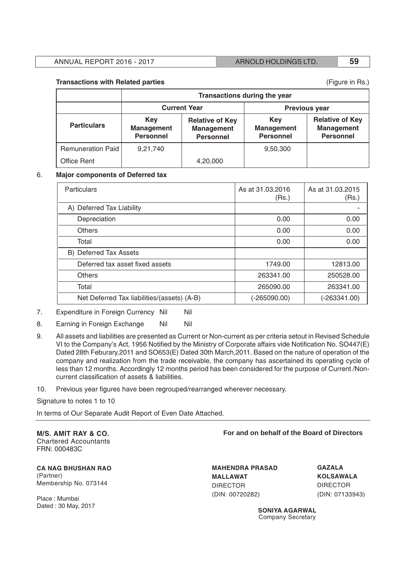#### ANNUAL REPORT 2016 - 2017 ARNOLD HOLDINGS LTD.

59

#### Transactions with Related parties **Exercise 2018** (Figure in Rs.)

|                    | <b>Transactions during the year</b>                 |                                                                 |                                              |                                                                 |  |
|--------------------|-----------------------------------------------------|-----------------------------------------------------------------|----------------------------------------------|-----------------------------------------------------------------|--|
|                    | <b>Current Year</b><br><b>Previous year</b>         |                                                                 |                                              |                                                                 |  |
| <b>Particulars</b> | <b>Key</b><br><b>Management</b><br><b>Personnel</b> | <b>Relative of Key</b><br><b>Management</b><br><b>Personnel</b> | Kev<br><b>Management</b><br><b>Personnel</b> | <b>Relative of Key</b><br><b>Management</b><br><b>Personnel</b> |  |
| Remuneration Paid  | 9,21,740                                            |                                                                 | 9,50,300                                     |                                                                 |  |
| Office Rent        |                                                     | 4,20,000                                                        |                                              |                                                                 |  |

#### 6. Major components of Deferred tax

| Particulars                                 | As at 31.03.2016<br>(Rs.) | As at 31.03.2015<br>(Rs.) |
|---------------------------------------------|---------------------------|---------------------------|
| A) Deferred Tax Liability                   |                           |                           |
| Depreciation                                | 0.00                      | 0.00                      |
| <b>Others</b>                               | 0.00                      | 0.00                      |
| Total                                       | 0.00                      | 0.00                      |
| B) Deferred Tax Assets                      |                           |                           |
| Deferred tax asset fixed assets             | 1749.00                   | 12813.00                  |
| Others                                      | 263341.00                 | 250528.00                 |
| Total                                       | 265090.00                 | 263341.00                 |
| Net Deferred Tax liabilities/(assets) (A-B) | $(-265090.00)$            | $(-263341.00)$            |

#### 7. Expenditure in Foreign Currency Nil Nil

- 8. Earning in Foreign Exchange Nil Nil
- 9. All assets and liabilities are presented as Current or Non-current as per criteria setout in Revised Schedule VI to the Company's Act, 1956 Notified by the Ministry of Corporate affairs vide Notification No. SO447(E) Dated 28th Feburary,2011 and SO653(E) Dated 30th March,2011. Based on the nature of operation of the company and realization from the trade receivable, the company has ascertained its operating cycle of less than 12 months. Accordingly 12 months period has been considered for the purpose of Current /Noncurrent classification of assets & liabilities.
- 10. Previous year figures have been regrouped/rearranged wherever necessary.

Signature to notes 1 to 10

In terms of Our Separate Audit Report of Even Date Attached.

M/S. AMIT RAY & CO. Chartered Accountants FRN: 000483C

CA NAG BHUSHAN RAO (Partner) Membership No. 073144

Place : Mumbai Dated : 30 May, 2017 MAHENDRA PRASAD MALLAWAT DIRECTOR (DIN: 00720282)

GAZALA KOLSAWALA DIRECTOR (DIN: 07133943)

SONIYA AGARWAL Company Secretary

**For and on behalf of the Board of Directors**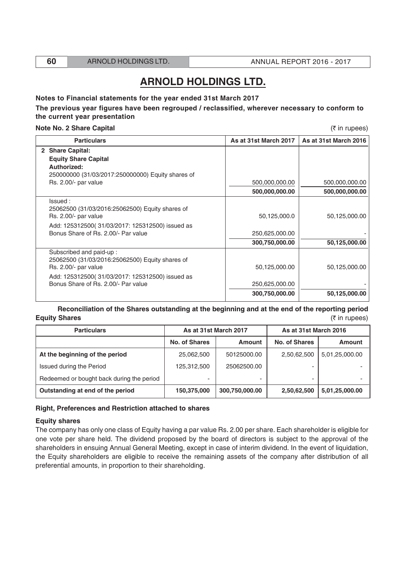## ARNOLD HOLDINGS LTD.

#### Notes to Financial statements for the year ended 31st March 2017 The previous year figures have been regrouped / reclassified, wherever necessary to conform to the current year presentation

#### Note No. 2 Share Capital and the set of the set of the set of the set of the set of the set of the set of the set of the set of the set of the set of the set of the set of the set of the set of the set of the set of the s

| <b>Particulars</b>                                                                                                                                                                           | As at 31st March 2017                             | As at 31st March 2016            |
|----------------------------------------------------------------------------------------------------------------------------------------------------------------------------------------------|---------------------------------------------------|----------------------------------|
| 2 Share Capital:<br><b>Equity Share Capital</b><br>Authorized:<br>250000000 (31/03/2017:250000000) Equity shares of<br>Rs. 2.00/- par value                                                  | 500,000,000.00<br>500,000,000.00                  | 500,000,000.00<br>500,000,000.00 |
| Issued:<br>25062500 (31/03/2016:25062500) Equity shares of<br>Rs. 2.00/- par value<br>Add: 125312500(31/03/2017: 125312500) issued as<br>Bonus Share of Rs. 2.00/- Par value                 | 50,125,000.0<br>250,625,000.00<br>300,750,000.00  | 50,125,000.00<br>50,125,000.00   |
| Subscribed and paid-up:<br>25062500 (31/03/2016:25062500) Equity shares of<br>Rs. 2.00/- par value<br>Add: 125312500(31/03/2017: 125312500) issued as<br>Bonus Share of Rs. 2.00/- Par value | 50,125,000.00<br>250,625,000.00<br>300,750,000.00 | 50,125,000.00<br>50,125,000.00   |

#### Reconciliation of the Shares outstanding at the beginning and at the end of the reporting period **Equity Shares** (₹ in rupees)

| <b>Particulars</b>                        | As at 31st March 2017   |                | As at 31st March 2016 |                |
|-------------------------------------------|-------------------------|----------------|-----------------------|----------------|
|                                           | No. of Shares<br>Amount |                | No. of Shares         | <b>Amount</b>  |
| At the beginning of the period            | 25,062,500              | 50125000.00    | 2,50,62,500           | 5,01,25,000.00 |
| Issued during the Period                  | 125,312,500             | 25062500.00    |                       |                |
| Redeemed or bought back during the period |                         | ۰              | ٠                     |                |
| Outstanding at end of the period          | 150,375,000             | 300,750,000.00 | 2,50,62,500           | 5,01,25,000.00 |

#### Right, Preferences and Restriction attached to shares

#### Equity shares

The company has only one class of Equity having a par value Rs. 2.00 per share. Each shareholder is eligible for one vote per share held. The dividend proposed by the board of directors is subject to the approval of the shareholders in ensuing Annual General Meeting, except in case of interim dividend. In the event of liquidation, the Equity shareholders are eligible to receive the remaining assets of the company after distribution of all preferential amounts, in proportion to their shareholding.

60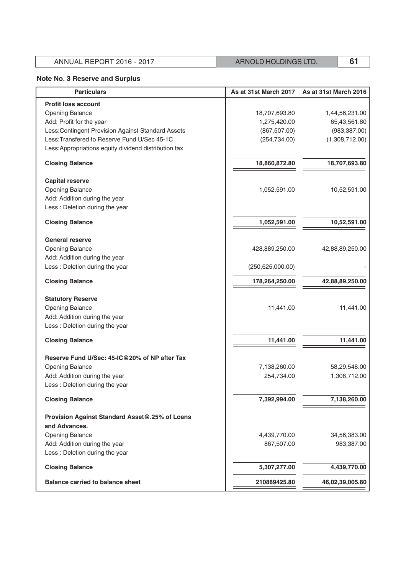### Note No. 3 Reserve and Surplus

| <b>Particulars</b>                                    | As at 31st March 2017 | As at 31st March 2016 |
|-------------------------------------------------------|-----------------------|-----------------------|
| <b>Profit loss account</b>                            |                       |                       |
| Opening Balance                                       | 18,707,693.80         | 1,44,56,231.00        |
| Add: Profit for the year                              | 1,275,420.00          | 65,43,561.80          |
| Less: Contingent Provision Against Standard Assets    | (867, 507.00)         | (983, 387.00)         |
| Less: Transfered to Reserve Fund U/Sec 45-1C          | (254, 734.00)         | (1,308,712.00)        |
| Less: Appropriations equity dividend distribution tax |                       |                       |
| <b>Closing Balance</b>                                | 18,860,872.80         | 18,707,693.80         |
| <b>Capital reserve</b>                                |                       |                       |
| <b>Opening Balance</b>                                | 1,052,591.00          | 10,52,591.00          |
| Add: Addition during the year                         |                       |                       |
| Less : Deletion during the year                       |                       |                       |
| <b>Closing Balance</b>                                | 1,052,591.00          | 10,52,591.00          |
| <b>General reserve</b>                                |                       |                       |
| Opening Balance                                       | 428,889,250.00        | 42,88,89,250.00       |
| Add: Addition during the year                         |                       |                       |
| Less : Deletion during the year                       | (250, 625, 000.00)    |                       |
|                                                       |                       |                       |
| <b>Closing Balance</b>                                | 178,264,250.00        | 42,88,89,250.00       |
| <b>Statutory Reserve</b>                              |                       |                       |
| Opening Balance                                       | 11,441.00             | 11,441.00             |
| Add: Addition during the year                         |                       |                       |
| Less : Deletion during the year                       |                       |                       |
| <b>Closing Balance</b>                                | 11,441.00             | 11,441.00             |
| Reserve Fund U/Sec: 45-IC@20% of NP after Tax         |                       |                       |
| Opening Balance                                       | 7,138,260.00          | 58,29,548.00          |
| Add: Addition during the year                         | 254,734.00            | 1,308,712.00          |
| Less : Deletion during the year                       |                       |                       |
| <b>Closing Balance</b>                                | 7,392,994.00          | 7,138,260.00          |
| Provision Against Standard Asset@.25% of Loans        |                       |                       |
| and Advances.                                         |                       |                       |
| Opening Balance                                       | 4,439,770.00          | 34,56,383.00          |
| Add: Addition during the year                         | 867,507.00            | 983,387.00            |
| Less : Deletion during the year                       |                       |                       |
| <b>Closing Balance</b>                                | 5,307,277.00          | 4,439,770.00          |
| <b>Balance carried to balance sheet</b>               | 210889425.80          | 46,02,39,005.80       |
|                                                       |                       |                       |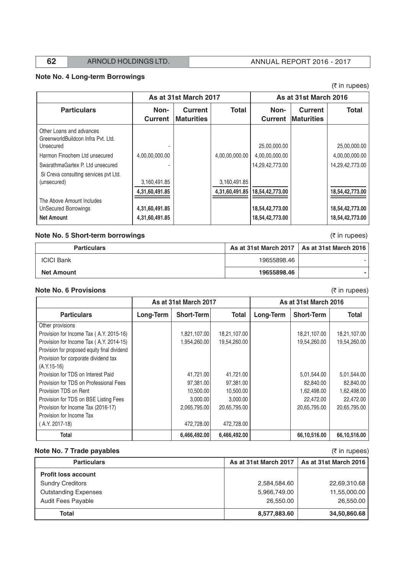### 62 ARNOLD HOLDINGS LTD. ANNUAL REPORT 2016 - 2017

#### Note No. 4 Long-term Borrowings

|  | (₹ in rupees) |
|--|---------------|
|  |               |

|                                                                             | As at 31st March 2017 |                              |                | As at 31st March 2016 |                              |                 |
|-----------------------------------------------------------------------------|-----------------------|------------------------------|----------------|-----------------------|------------------------------|-----------------|
| <b>Particulars</b>                                                          | Non-<br>Current       | Current<br><b>Maturities</b> | Total          | Non-<br>Current       | Current<br><b>Maturities</b> | <b>Total</b>    |
| Other Loans and advances<br>GreenworldBuildcon Infra Pvt. Ltd.<br>Unsecured |                       |                              |                | 25,00,000.00          |                              | 25,00,000.00    |
| Harmon Finochem Ltd unsecured                                               | 4,00,00,000.00        |                              | 4,00,00,000.00 | 4,00,00,000.00        |                              | 4,00,00,000.00  |
| SwarathmaGartex P. Ltd unsecured<br>Si Creva consulting services pvt Ltd.   |                       |                              |                | 14,29,42,773.00       |                              | 14,29,42,773.00 |
| (unsecured)                                                                 | 3,160,491.85          |                              | 3,160,491.85   |                       |                              |                 |
|                                                                             | 4,31,60,491.85        |                              | 4,31,60,491.85 | 18,54,42,773.00       |                              | 18,54,42,773.00 |
| The Above Amount Includes                                                   |                       |                              |                |                       |                              |                 |
| <b>UnSecured Borrowings</b>                                                 | 4,31,60,491.85        |                              |                | 18,54,42,773.00       |                              | 18,54,42,773.00 |
| <b>Net Amount</b>                                                           | 4,31,60,491.85        |                              |                | 18,54,42,773.00       |                              | 18,54,42,773.00 |

#### Note No. 5 Short-term borrowings (₹ in rupees)

| <b>Particulars</b> |             | As at 31st March 2017 $\vert$ As at 31st March 2016 |
|--------------------|-------------|-----------------------------------------------------|
| <b>ICICI Bank</b>  | 19655898.46 |                                                     |
| <b>Net Amount</b>  | 19655898.46 |                                                     |

#### Note No. 6 Provisions (₹ in rupees)

|                                              | As at 31st March 2017 |              |              |           | As at 31st March 2016 |              |
|----------------------------------------------|-----------------------|--------------|--------------|-----------|-----------------------|--------------|
| <b>Particulars</b>                           | Long-Term             | Short-Term   | <b>Total</b> | Long-Term | <b>Short-Term</b>     | <b>Total</b> |
| Other provisions                             |                       |              |              |           |                       |              |
| Provision for Income Tax (A.Y. 2015-16)      |                       | 1,821,107.00 | 18,21,107.00 |           | 18,21,107.00          | 18,21,107.00 |
| Provision for Income Tax (A.Y. 2014-15)      |                       | 1,954,260.00 | 19,54,260.00 |           | 19,54,260.00          | 19,54,260.00 |
| Provision for proposed equity final dividend |                       |              |              |           |                       |              |
| Provision for corporate dividend tax         |                       |              |              |           |                       |              |
| $(A.Y.15-16)$                                |                       |              |              |           |                       |              |
| Provision for TDS on Interest Paid           |                       | 41,721.00    | 41,721.00    |           | 5,01,544.00           | 5,01,544.00  |
| Provision for TDS on Professional Fees       |                       | 97,381.00    | 97,381.00    |           | 82,840.00             | 82,840.00    |
| Provision TDS on Rent                        |                       | 10,500.00    | 10,500.00    |           | 1,62,498.00           | 1,62,498.00  |
| Provision for TDS on BSE Listing Fees        |                       | 3,000.00     | 3,000.00     |           | 22,472.00             | 22,472.00    |
| Provision for Income Tax (2016-17)           |                       | 2,065,795.00 | 20,65,795.00 |           | 20,65,795.00          | 20,65,795.00 |
| Provision for Income Tax                     |                       |              |              |           |                       |              |
| (A.Y. 2017-18)                               |                       | 472,728.00   | 472,728.00   |           |                       |              |
| Total                                        |                       | 6,466,492.00 | 6,466,492.00 |           | 66,10,516.00          | 66,10,516.00 |

#### Note No. 7 Trade payables (₹ in rupees)

| <b>Particulars</b>          | As at 31st March 2017 | <b>As at 31st March 2016</b> |
|-----------------------------|-----------------------|------------------------------|
| <b>Profit loss account</b>  |                       |                              |
| <b>Sundry Creditors</b>     | 2,584,584.60          | 22,69,310.68                 |
| <b>Outstanding Expenses</b> | 5,966,749.00          | 11,55,000.00                 |
| Audit Fees Payable          | 26,550.00             | 26,550.00                    |
| Total                       | 8,577,883.60          | 34,50,860.68                 |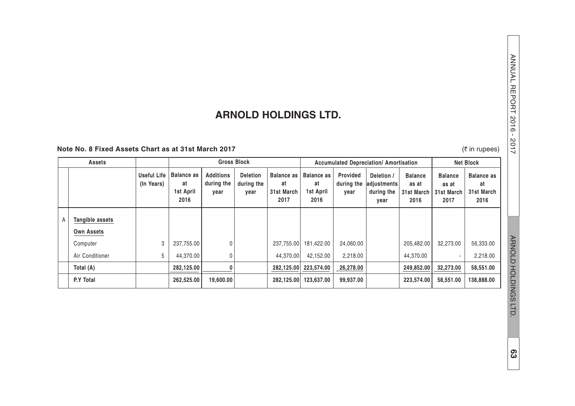## ARNOLD HOLDINGS LTD.

|   | <b>Assets</b>                        |                                  |                                              | <b>Gross Block</b>                     |                                       |                                               |                                              |                                       | <b>Accumulated Depreciation/ Amortisation</b>   |                                               |                                               | <b>Net Block</b>                              |
|---|--------------------------------------|----------------------------------|----------------------------------------------|----------------------------------------|---------------------------------------|-----------------------------------------------|----------------------------------------------|---------------------------------------|-------------------------------------------------|-----------------------------------------------|-----------------------------------------------|-----------------------------------------------|
|   |                                      | <b>Useful Life</b><br>(In Years) | <b>Balance as</b><br>at<br>1st April<br>2016 | <b>Additions</b><br>during the<br>year | <b>Deletion</b><br>during the<br>year | <b>Balance as</b><br>at<br>31st March<br>2017 | <b>Balance as</b><br>at<br>1st April<br>2016 | <b>Provided</b><br>during the<br>year | Deletion /<br>adjustments<br>during the<br>year | <b>Balance</b><br>as at<br>31st March<br>2016 | <b>Balance</b><br>as at<br>31st March<br>2017 | <b>Balance as</b><br>at<br>31st March<br>2016 |
| А | Tangible assets<br><b>Own Assets</b> |                                  |                                              |                                        |                                       |                                               |                                              |                                       |                                                 |                                               |                                               |                                               |
|   | Computer                             | $\ensuremath{\mathsf{3}}$        | 237,755.00                                   | 0                                      |                                       | 237,755.00                                    | 181,422.00                                   | 24,060.00                             |                                                 | 205,482.00                                    | 32,273.00                                     | 56,333.00                                     |
|   | Air Conditioner                      | 5                                | 44,370.00                                    | 0                                      |                                       | 44,370.00                                     | 42,152.00                                    | 2,218.00                              |                                                 | 44,370.00                                     |                                               | 2,218.00                                      |
|   | Total (A)                            |                                  | 282,125.00                                   | 0                                      |                                       |                                               | 282,125.00 223,574.00                        | 26,278.00                             |                                                 | 249,852.00                                    | 32,273.00                                     | 58,551.00                                     |
|   | P.Y Total                            |                                  | 262,525.00                                   | 19,600.00                              |                                       |                                               | 282,125.00 123,637.00                        | 99,937.00                             |                                                 | 223,574.00                                    | 58,551.00                                     | 138,888.00                                    |
|   |                                      |                                  |                                              |                                        |                                       |                                               |                                              |                                       |                                                 |                                               |                                               |                                               |
|   |                                      |                                  |                                              |                                        |                                       |                                               |                                              |                                       |                                                 |                                               |                                               |                                               |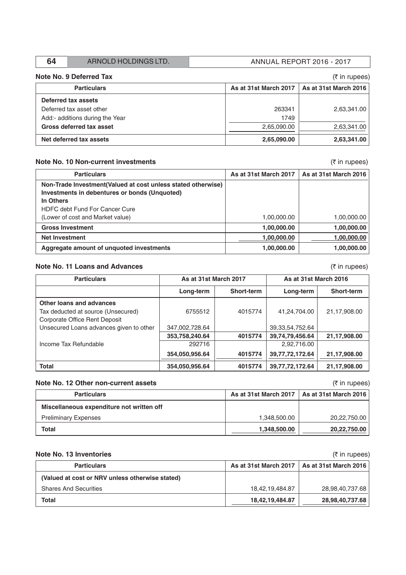| 64 | ARNOLD HOLDINGS LTD. | <b>ANNUAL REPORT 2016 - 2017</b> |
|----|----------------------|----------------------------------|
|----|----------------------|----------------------------------|

### Note No. 9 Deferred Tax (₹ in rupees)

| <b>Particulars</b>              | As at 31st March 2017 | As at 31st March 2016 |
|---------------------------------|-----------------------|-----------------------|
| Deferred tax assets             |                       |                       |
| Deferred tax asset other        | 263341                | 2,63,341.00           |
| Add:- additions during the Year | 1749                  |                       |
| Gross deferred tax asset        | 2,65,090.00           | 2,63,341.00           |
| Net deferred tax assets         | 2,65,090.00           | 2,63,341.00           |

#### Note No. 10 Non-current investments (₹ in rupees)

| <b>Particulars</b>                                           | As at 31st March 2017 | As at 31st March 2016 |
|--------------------------------------------------------------|-----------------------|-----------------------|
| Non-Trade Investment(Valued at cost unless stated otherwise) |                       |                       |
| Investments in debentures or bonds (Unquoted)                |                       |                       |
| In Others                                                    |                       |                       |
| <b>HDFC debt Fund For Cancer Cure</b>                        |                       |                       |
| (Lower of cost and Market value)                             | 1,00,000.00           | 1,00,000.00           |
| <b>Gross Investment</b>                                      | 1,00,000.00           | 1,00,000.00           |
| <b>Net Investment</b>                                        | 1,00,000.00           | 1,00,000.00           |
| Aggregate amount of unquoted investments                     | 1,00,000.00           | 1,00,000.00           |

## Note No. 11 Loans and Advances (₹ in rupees)

| <b>Particulars</b>                      | As at 31st March 2017 |            | As at 31st March 2016 |              |
|-----------------------------------------|-----------------------|------------|-----------------------|--------------|
|                                         | Long-term             | Short-term | Long-term             | Short-term   |
| Other loans and advances                |                       |            |                       |              |
| Tax deducted at source (Unsecured)      | 6755512               | 4015774    | 41,24,704.00          | 21,17,908.00 |
| Corporate Office Rent Deposit           |                       |            |                       |              |
| Unsecured Loans advances given to other | 347,002,728.64        |            | 39, 33, 54, 752. 64   |              |
|                                         | 353,758,240.64        | 4015774    | 39,74,79,456.64       | 21,17,908.00 |
| Income Tax Refundable                   | 292716                |            | 2,92,716.00           |              |
|                                         | 354,050,956.64        | 4015774    | 39,77,72,172.64       | 21,17,908.00 |
| <b>Total</b>                            | 354,050,956.64        | 4015774    | 39,77,72,172.64       | 21,17,908.00 |

### Note No. 12 Other non-current assets (₹ in rupees)

| <b>Particulars</b>                        |              | As at 31st March 2017   As at 31st March 2016 |
|-------------------------------------------|--------------|-----------------------------------------------|
| Miscellaneous expenditure not written off |              |                                               |
| <b>Preliminary Expenses</b>               | 1,348,500.00 | 20,22,750.00                                  |
| <b>Total</b>                              | 1,348,500.00 | 20,22,750.00                                  |

#### Note No. 13 Inventories  $(\bar{z}$  in rupees)

| <b>Particulars</b>                              |                 | As at 31st March 2017   As at 31st March 2016 |
|-------------------------------------------------|-----------------|-----------------------------------------------|
| (Valued at cost or NRV unless otherwise stated) |                 |                                               |
| <b>Shares And Securities</b>                    | 18,42,19,484.87 | 28,98,40,737.68                               |
| Total                                           | 18,42,19,484.87 | 28,98,40,737.68                               |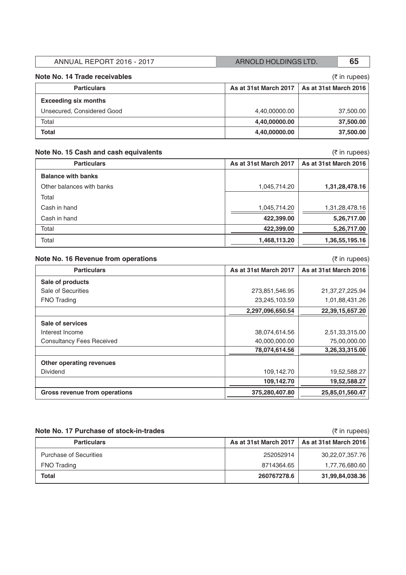| <b>ANNUAL REPORT 2016 - 2017</b> | ARNOLD HOLDINGS LTD. | 65 |
|----------------------------------|----------------------|----|
|----------------------------------|----------------------|----|

#### Note No. 14 Trade receivables (₹ in rupees)

| <b>Particulars</b>          | As at 31st March 2017 | As at 31st March 2016 |
|-----------------------------|-----------------------|-----------------------|
| <b>Exceeding six months</b> |                       |                       |
| Unsecured, Considered Good  | 4,40,00000.00         | 37,500.00             |
| Total                       | 4,40,00000.00         | 37,500.00             |
| <b>Total</b>                | 4,40,00000.00         | 37,500.00             |

| Note No. 15 Cash and cash equivalents |                       | $(3\overline{5})$ in rupees) |
|---------------------------------------|-----------------------|------------------------------|
| <b>Particulars</b>                    | As at 31st March 2017 | As at 31st March 2016        |
| <b>Balance with banks</b>             |                       |                              |
| Other balances with banks             | 1,045,714.20          | 1,31,28,478.16               |
| Total                                 |                       |                              |
| Cash in hand                          | 1,045,714.20          | 1,31,28,478.16               |
| Cash in hand                          | 422,399.00            | 5,26,717.00                  |
| Total                                 | 422,399.00            | 5,26,717.00                  |
| Total                                 | 1,468,113.20          | 1,36,55,195.16               |

| Note No. 16 Revenue from operations  |                       | $($ ₹ in rupees)      |
|--------------------------------------|-----------------------|-----------------------|
| <b>Particulars</b>                   | As at 31st March 2017 | As at 31st March 2016 |
| Sale of products                     |                       |                       |
| Sale of Securities                   | 273,851,546.95        | 21, 37, 27, 225. 94   |
| <b>FNO Trading</b>                   | 23,245,103.59         | 1,01,88,431.26        |
|                                      | 2,297,096,650.54      | 22,39,15,657.20       |
| Sale of services                     |                       |                       |
| Interest Income                      | 38,074,614.56         | 2,51,33,315.00        |
| <b>Consultancy Fees Received</b>     | 40,000,000.00         | 75,00,000.00          |
|                                      | 78,074,614.56         | 3,26,33,315.00        |
| Other operating revenues             |                       |                       |
| Dividend                             | 109,142.70            | 19,52,588.27          |
|                                      | 109,142.70            | 19,52,588.27          |
| <b>Gross revenue from operations</b> | 375,280,407.80        | 25,85,01,560.47       |

|  |  |  |  |  | Note No. 17 Purchase of stock-in-trades |
|--|--|--|--|--|-----------------------------------------|
|--|--|--|--|--|-----------------------------------------|

 $($ ₹ in rupees)

| <b>Particulars</b>            |             | As at 31st March 2017   As at 31st March 2016 |
|-------------------------------|-------------|-----------------------------------------------|
| <b>Purchase of Securities</b> | 252052914   | 30,22,07,357.76                               |
| <b>FNO Trading</b>            | 8714364.65  | 1,77,76,680.60                                |
| <b>Total</b>                  | 260767278.6 | 31,99,84,038.36                               |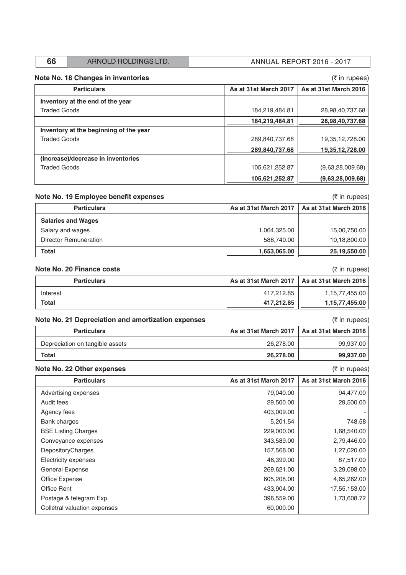| $\sim$<br>hr | ARNOLD<br>$\rightarrow$ DINGS $\rightarrow$ | ANNUAL REPORT 2016<br>2017 |
|--------------|---------------------------------------------|----------------------------|
|              |                                             |                            |

#### Note No. 18 Changes in inventories  $(\bar{z})$  in rupees)

| <b>Particulars</b>                     | As at 31st March 2017 | As at 31st March 2016 |
|----------------------------------------|-----------------------|-----------------------|
| Inventory at the end of the year       |                       |                       |
| <b>Traded Goods</b>                    | 184,219,484.81        | 28,98,40,737.68       |
|                                        | 184,219,484.81        | 28,98,40,737.68       |
| Inventory at the beginning of the year |                       |                       |
| <b>Traded Goods</b>                    | 289,840,737.68        | 19,35,12,728.00       |
|                                        | 289,840,737.68        | 19,35,12,728.00       |
| (Increase)/decrease in inventories     |                       |                       |
| <b>Traded Goods</b>                    | 105,621,252.87        | (9,63,28,009.68)      |
|                                        | 105,621,252.87        | (9,63,28,009.68)      |

## Note No. 19 Employee benefit expenses and the set of the set of the set of the set of the set of the set of the set of the set of the set of the set of the set of the set of the set of the set of the set of the set of the

| <b>Particulars</b>        | As at 31st March 2017 | As at 31st March 2016 |
|---------------------------|-----------------------|-----------------------|
| <b>Salaries and Wages</b> |                       |                       |
| Salary and wages          | 1,064,325.00          | 15,00,750.00          |
| Director Remuneration     | 588.740.00            | 10,18,800.00          |
| Total                     | 1,653,065.00          | 25,19,550.00          |

#### Note No. 20 Finance costs (₹ in rupees)

| <b>Particulars</b> |            | As at 31st March 2017 $\mid$ As at 31st March 2016 |
|--------------------|------------|----------------------------------------------------|
| Interest           | 417.212.85 | 1,15,77,455.00                                     |
| <b>Total</b>       | 417,212.85 | 1,15,77,455.00                                     |

#### Note No. 21 Depreciation and amortization expenses (` in rupees)

| <b>Particulars</b>              | As at 31st March 2017   As at 31st March 2016 |           |
|---------------------------------|-----------------------------------------------|-----------|
| Depreciation on tangible assets | 26,278,00                                     | 99.937.00 |
| <b>Total</b>                    | 26,278,00                                     | 99.937.00 |

#### Note No. 22 Other expenses (₹ in rupees)

| As at 31st March 2017 | As at 31st March 2016 |
|-----------------------|-----------------------|
| 79,040.00             | 94,477.00             |
| 29,500.00             | 29,500.00             |
| 403,009.00            |                       |
| 5,201.54              | 748.58                |
| 229,000.00            | 1,68,540.00           |
| 343,589.00            | 2,79,446.00           |
| 157,568.00            | 1,27,020.00           |
| 46,399.00             | 87,517.00             |
| 269,621.00            | 3,29,098.00           |
| 605,208.00            | 4,65,262.00           |
| 433,904.00            | 17,55,153.00          |
| 396,559.00            | 1,73,608.72           |
| 60,000.00             |                       |
|                       |                       |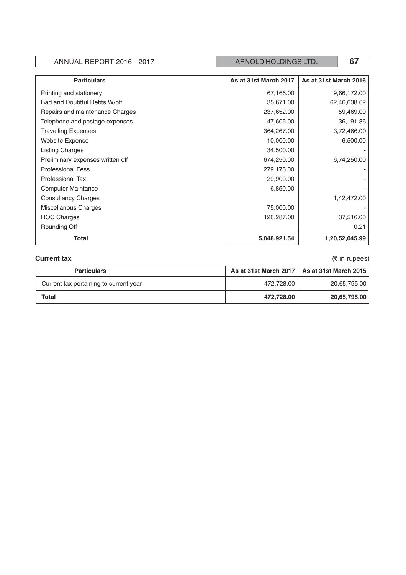ANNUAL REPORT 2016 - 2017 ARNOLD HOLDINGS LTD. 67

| <b>Particulars</b>               | As at 31st March 2017 | As at 31st March 2016 |
|----------------------------------|-----------------------|-----------------------|
| Printing and stationery          | 67,166.00             | 9,66,172.00           |
| Bad and Doubtful Debts W/off     | 35,671.00             | 62,46,638.62          |
| Repairs and maintenance Charges  | 237,652.00            | 59,469.00             |
| Telephone and postage expenses   | 47,605.00             | 36,191.86             |
| <b>Travelling Expenses</b>       | 364,267.00            | 3,72,466.00           |
| <b>Website Expense</b>           | 10,000.00             | 6,500.00              |
| <b>Listing Charges</b>           | 34,500.00             |                       |
| Preliminary expenses written off | 674,250.00            | 6,74,250.00           |
| <b>Professional Fess</b>         | 279,175.00            |                       |
| <b>Professional Tax</b>          | 29,900.00             |                       |
| Computer Maintance               | 6,850.00              |                       |
| <b>Consultancy Charges</b>       |                       | 1,42,472.00           |
| Miscellanous Charges             | 75,000.00             |                       |
| <b>ROC Charges</b>               | 128,287.00            | 37,516.00             |
| Rounding Off                     |                       | 0.21                  |
| Total                            | 5,048,921.54          | 1,20,52,045.99        |

## **Current tax**  $(\bar{\tau}$  in rupees)

| <b>Particulars</b>                     | As at 31st March 2017 $\vert$ As at 31st March 2015 |              |
|----------------------------------------|-----------------------------------------------------|--------------|
| Current tax pertaining to current year | 472.728.00                                          | 20.65.795.00 |
| Total                                  | 472.728.00                                          | 20,65,795.00 |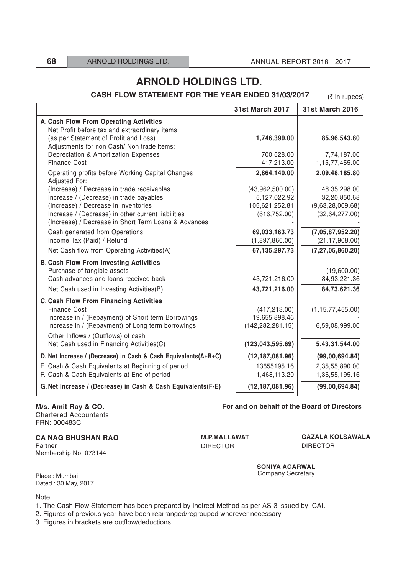## ARNOLD HOLDINGS LTD.

CASH FLOW STATEMENT FOR THE YEAR ENDED 31/03/2017  $($ ₹ in rupees)

|                                                                                                            | <b>31st March 2017</b> | <b>31st March 2016</b> |
|------------------------------------------------------------------------------------------------------------|------------------------|------------------------|
| A. Cash Flow From Operating Activities<br>Net Profit before tax and extraordinary items                    |                        |                        |
| (as per Statement of Profit and Loss)                                                                      | 1,746,399.00           | 85,96,543.80           |
| Adjustments for non Cash/ Non trade items:                                                                 |                        |                        |
| Depreciation & Amortization Expenses                                                                       | 700,528.00             | 7,74,187.00            |
| <b>Finance Cost</b>                                                                                        | 417,213.00             | 1, 15, 77, 455.00      |
| Operating profits before Working Capital Changes<br>Adjusted For:                                          | 2,864,140.00           | 2,09,48,185.80         |
| (Increase) / Decrease in trade receivables                                                                 | (43,962,500.00)        | 48, 35, 298.00         |
| Increase / (Decrease) in trade payables                                                                    | 5,127,022.92           | 32,20,850.68           |
| (Increase) / Decrease in inventories                                                                       | 105,621,252.81         | (9,63,28,009.68)       |
| Increase / (Decrease) in other current liabilities<br>(Increase) / Decrease in Short Term Loans & Advances | (616, 752.00)          | (32, 64, 277.00)       |
|                                                                                                            |                        |                        |
| Cash generated from Operations                                                                             | 69,033,163.73          | (7,05,87,952.20)       |
| Income Tax (Paid) / Refund                                                                                 | (1,897,866.00)         | (21, 17, 908.00)       |
| Net Cash flow from Operating Activities(A)                                                                 | 67,135,297.73          | (7, 27, 05, 860.20)    |
| <b>B. Cash Flow From Investing Activities</b>                                                              |                        |                        |
| Purchase of tangible assets                                                                                |                        | (19,600.00)            |
| Cash advances and loans received back                                                                      | 43,721,216.00          | 84,93,221.36           |
| Net Cash used in Investing Activities(B)                                                                   | 43,721,216.00          | 84,73,621.36           |
| <b>C. Cash Flow From Financing Activities</b>                                                              |                        |                        |
| <b>Finance Cost</b>                                                                                        | (417, 213.00)          | (1, 15, 77, 455.00)    |
| Increase in / (Repayment) of Short term Borrowings                                                         | 19,655,898.46          |                        |
| Increase in / (Repayment) of Long term borrowings                                                          | (142, 282, 281.15)     | 6,59,08,999.00         |
| Other Inflows / (Outflows) of cash                                                                         |                        |                        |
| Net Cash used in Financing Activities(C)                                                                   | (123, 043, 595.69)     | 5,43,31,544.00         |
| D. Net Increase / (Decrease) in Cash & Cash Equivalents (A+B+C)                                            | (12, 187, 081.96)      | (99,00,694.84)         |
| E. Cash & Cash Equivalents at Beginning of period                                                          | 13655195.16            | 2,35,55,890.00         |
| F. Cash & Cash Equivalents at End of period                                                                | 1,468,113.20           | 1,36,55,195.16         |
| G. Net Increase / (Decrease) in Cash & Cash Equivalents(F-E)                                               | (12, 187, 081.96)      | (99,00,694.84)         |

#### M/s. Amit Ray & CO. **For and on behalf of the Board of Directors**

Chartered Accountants FRN: 000483C

CA NAG BHUSHAN RAO Partner

Membership No. 073144

M.P.MALLAWAT DIRECTOR

GAZALA KOLSAWALA DIRECTOR

SONIYA AGARWAL Company Secretary

Place : Mumbai Dated : 30 May, 2017

Note:

- 1. The Cash Flow Statement has been prepared by Indirect Method as per AS-3 issued by ICAI.
- 2. Figures of previous year have been rearranged/regrouped wherever necessary
- 3. Figures in brackets are outflow/deductions

68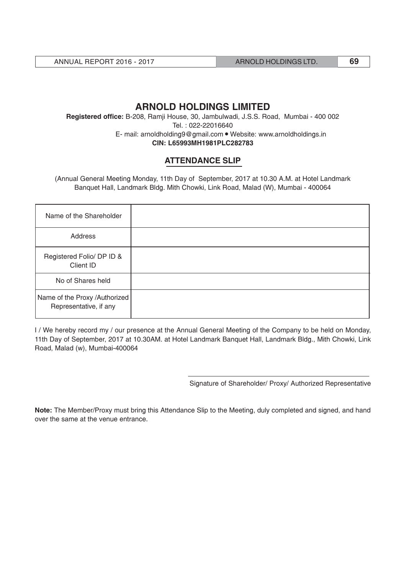## ARNOLD HOLDINGS LIMITED

Registered office: B-208, Ramji House, 30, Jambulwadi, J.S.S. Road, Mumbai - 400 002 Tel. : 022-22016640 E- mail: arnoldholding9@gmail.com Website: www.arnoldholdings.in CIN: L65993MH1981PLC282783

## ATTENDANCE SLIP

(Annual General Meeting Monday, 11th Day of September, 2017 at 10.30 A.M. at Hotel Landmark Banquet Hall, Landmark Bldg. Mith Chowki, Link Road, Malad (W), Mumbai - 400064

| Name of the Shareholder                                   |  |
|-----------------------------------------------------------|--|
| Address                                                   |  |
| Registered Folio/ DP ID &<br>Client ID                    |  |
| No of Shares held                                         |  |
| Name of the Proxy /Authorized  <br>Representative, if any |  |

I / We hereby record my / our presence at the Annual General Meeting of the Company to be held on Monday, 11th Day of September, 2017 at 10.30AM. at Hotel Landmark Banquet Hall, Landmark Bldg., Mith Chowki, Link Road, Malad (w), Mumbai-400064

Signature of Shareholder/ Proxy/ Authorized Representative

Note: The Member/Proxy must bring this Attendance Slip to the Meeting, duly completed and signed, and hand over the same at the venue entrance.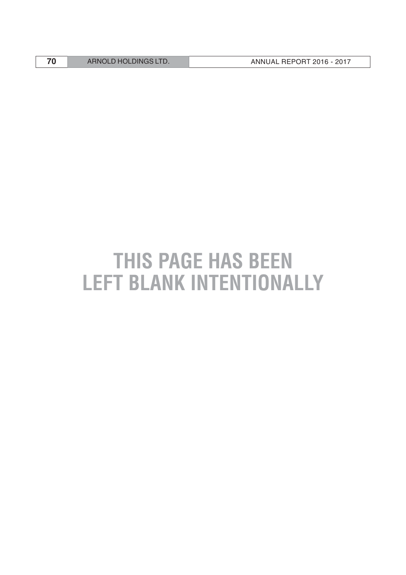| ARNOLD HOLDINGS LTD. | <b>ANNUAL REPORT 2016 - 2017</b> |
|----------------------|----------------------------------|
|----------------------|----------------------------------|

# THIS PAGE HAS BEEN LEFT BLANK INTENTIONALLY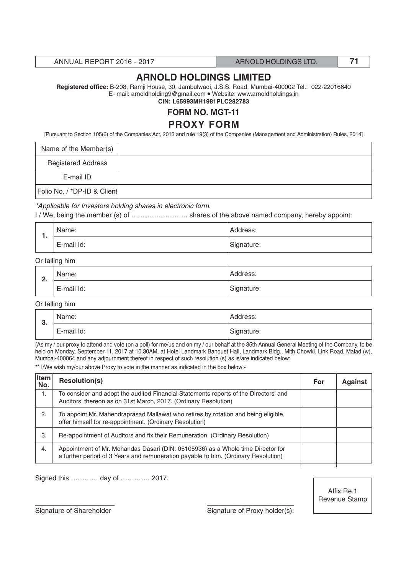ANNUAL REPORT 2016 - 2017 ARNOLD HOLDINGS LTD. 21

## ARNOLD HOLDINGS LIMITED

Registered office: B-208, Ramji House, 30, Jambulwadi, J.S.S. Road, Mumbai-400002 Tel.: 022-22016640 E- mail: arnoldholding9@gmail.com Website: www.arnoldholdings.in

CIN: L65993MH1981PLC282783

## FORM NO. MGT-11

## PROXY FORM

[Pursuant to Section 105(6) of the Companies Act, 2013 and rule 19(3) of the Companies (Management and Administration) Rules, 2014]

| Name of the Member(s)       |  |
|-----------------------------|--|
| <b>Registered Address</b>   |  |
| E-mail ID                   |  |
| Folio No. / *DP-ID & Client |  |

#### \*Applicable for Investors holding shares in electronic form.

I / We, being the member (s) of ……………………. shares of the above named company, hereby appoint:

| . . | Name:      | Address:   |
|-----|------------|------------|
|     | E-mail Id: | Signature: |

#### Or falling him

| -- | Name:      | Address:   |
|----|------------|------------|
|    | E-mail Id: | Signature: |

Or falling him

| ◠<br>v. | Name:      | Address:   |
|---------|------------|------------|
|         | E-mail Id: | Signature: |

(As my / our proxy to attend and vote (on a poll) for me/us and on my / our behalf at the 35th Annual General Meeting of the Company, to be held on Monday, September 11, 2017 at 10.30AM. at Hotel Landmark Banquet Hall, Landmark Bldg., Mith Chowki, Link Road, Malad (w), Mumbai-400064 and any adjournment thereof in respect of such resolution (s) as is/are indicated below:

\*\* I/We wish my/our above Proxy to vote in the manner as indicated in the box below:-

\_\_\_\_\_\_\_\_\_\_\_\_\_\_\_\_\_\_\_\_\_ \_\_\_\_\_\_\_\_\_\_\_\_\_\_\_\_\_\_\_\_\_\_\_

| Item<br>No. | <b>Resolution(s)</b>                                                                                                                                                  | For | <b>Against</b> |
|-------------|-----------------------------------------------------------------------------------------------------------------------------------------------------------------------|-----|----------------|
| 1.          | To consider and adopt the audited Financial Statements reports of the Directors' and<br>Auditors' thereon as on 31st March, 2017. (Ordinary Resolution)               |     |                |
| 2.          | To appoint Mr. Mahendraprasad Mallawat who retires by rotation and being eligible,<br>offer himself for re-appointment. (Ordinary Resolution)                         |     |                |
| 3.          | Re-appointment of Auditors and fix their Remuneration. (Ordinary Resolution)                                                                                          |     |                |
| 4.          | Appointment of Mr. Mohandas Dasari (DIN: 05105936) as a Whole time Director for<br>a further period of 3 Years and remuneration payable to him. (Ordinary Resolution) |     |                |
|             |                                                                                                                                                                       |     |                |

Signed this ………… day of …………. 2017.

Affix Re.1 Revenue Stamp

Signature of Shareholder Signature of Proxy holder(s):